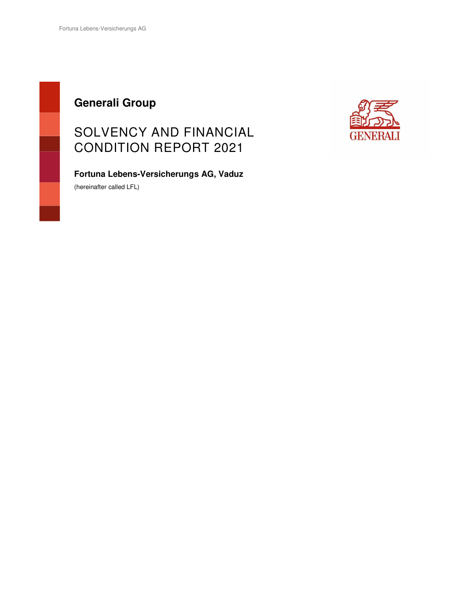## **Generali Group**

## SOLVENCY AND FINANCIAL CONDITION REPORT 2021



**Fortuna Lebens-Versicherungs AG, Vaduz** 

(hereinafter called LFL)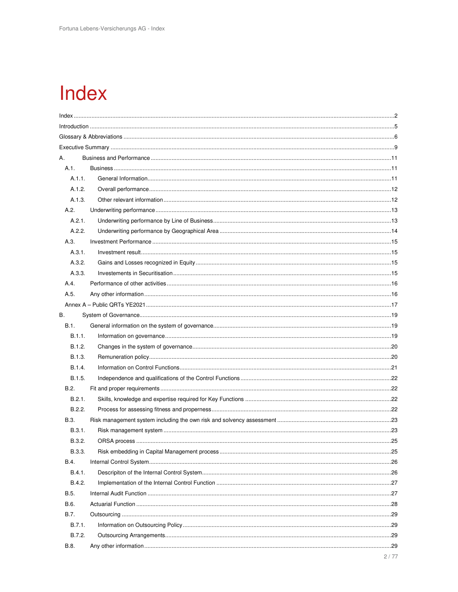# Index

| Α.     |      |
|--------|------|
| A.1.   |      |
| A.1.1. |      |
| A.1.2. |      |
| A.1.3. |      |
| A.2.   |      |
| A.2.1. |      |
| A.2.2. |      |
| A.3.   |      |
| A.3.1. |      |
| A.3.2. |      |
| A.3.3. |      |
| A.4.   |      |
| A.5.   |      |
|        |      |
| В.     |      |
| B.1.   |      |
| B.1.1. |      |
| B.1.2. |      |
| B.1.3. |      |
| B.1.4. |      |
| B.1.5. |      |
| B.2.   |      |
| B.2.1. |      |
| B.2.2. |      |
| B.3.   |      |
| B.3.1. |      |
| B.3.2. |      |
| B.3.3. |      |
| B.4.   |      |
| B.4.1. |      |
| B.4.2. |      |
| B.5.   |      |
| B.6.   |      |
| B.7.   |      |
| B.7.1. |      |
| B.7.2. |      |
| B.8.   |      |
|        | 2/77 |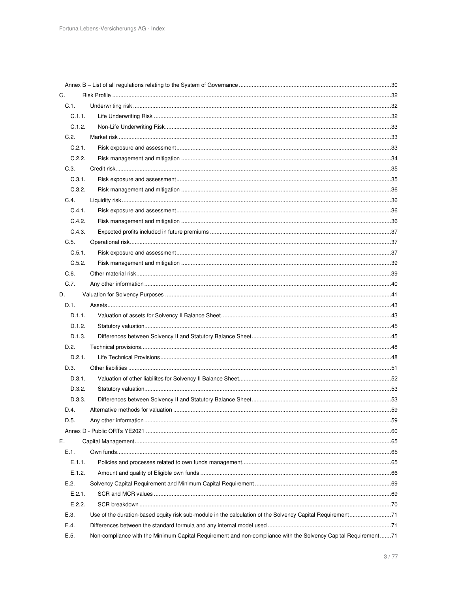| C.     |                                                                                                                |  |
|--------|----------------------------------------------------------------------------------------------------------------|--|
| C.1.   |                                                                                                                |  |
| C.1.1. |                                                                                                                |  |
| C.1.2. |                                                                                                                |  |
| C.2.   |                                                                                                                |  |
| C.2.1. |                                                                                                                |  |
| C.2.2. |                                                                                                                |  |
| C.3.   |                                                                                                                |  |
| C.3.1. |                                                                                                                |  |
| C.3.2. |                                                                                                                |  |
| C.4.   |                                                                                                                |  |
| C.4.1. |                                                                                                                |  |
| C.4.2. |                                                                                                                |  |
| C.4.3. |                                                                                                                |  |
| C.5.   |                                                                                                                |  |
| C.5.1. |                                                                                                                |  |
| C.5.2. |                                                                                                                |  |
| C.6.   |                                                                                                                |  |
| C.7.   |                                                                                                                |  |
| D.     |                                                                                                                |  |
| D.1.   |                                                                                                                |  |
| D.1.1. |                                                                                                                |  |
| D.1.2. |                                                                                                                |  |
| D.1.3. |                                                                                                                |  |
| D.2.   |                                                                                                                |  |
| D.2.1. |                                                                                                                |  |
| D.3.   |                                                                                                                |  |
| D.3.1. |                                                                                                                |  |
| D.3.2. |                                                                                                                |  |
| D.3.3. |                                                                                                                |  |
| D.4.   |                                                                                                                |  |
| D.5.   |                                                                                                                |  |
|        |                                                                                                                |  |
| Ε.     |                                                                                                                |  |
| E.1.   |                                                                                                                |  |
| E.1.1. |                                                                                                                |  |
| E.1.2. |                                                                                                                |  |
| E.2.   |                                                                                                                |  |
| E.2.1. |                                                                                                                |  |
| E.2.2. |                                                                                                                |  |
| E.3.   | Use of the duration-based equity risk sub-module in the calculation of the Solvency Capital Requirement71      |  |
| E.4.   |                                                                                                                |  |
| E.5.   | Non-compliance with the Minimum Capital Requirement and non-compliance with the Solvency Capital Requirement71 |  |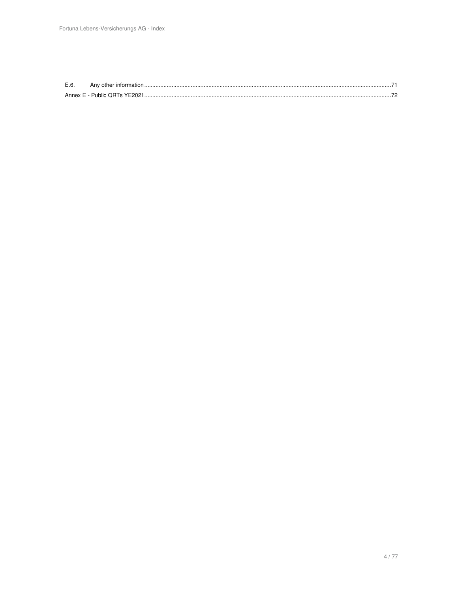| E.6. | Any other information.        |  |
|------|-------------------------------|--|
|      | Annex E - Public QRTs YE2021. |  |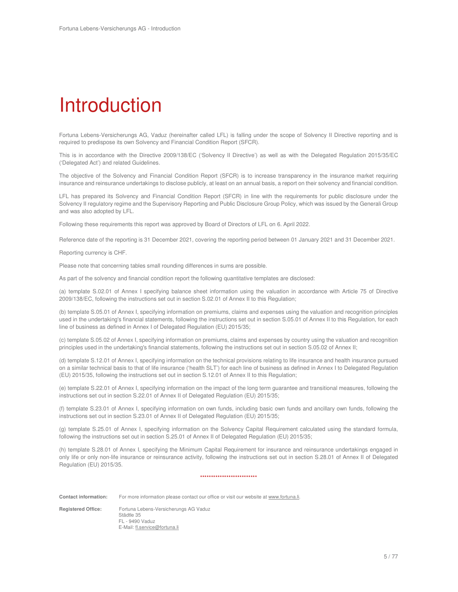# Introduction

Fortuna Lebens-Versicherungs AG, Vaduz (hereinafter called LFL) is falling under the scope of Solvency II Directive reporting and is required to predispose its own Solvency and Financial Condition Report (SFCR).

This is in accordance with the Directive 2009/138/EC ('Solvency II Directive') as well as with the Delegated Regulation 2015/35/EC ('Delegated Act') and related Guidelines.

The objective of the Solvency and Financial Condition Report (SFCR) is to increase transparency in the insurance market requiring insurance and reinsurance undertakings to disclose publicly, at least on an annual basis, a report on their solvency and financial condition.

LFL has prepared its Solvency and Financial Condition Report (SFCR) in line with the requirements for public disclosure under the Solvency II regulatory regime and the Supervisory Reporting and Public Disclosure Group Policy, which was issued by the Generali Group and was also adopted by LFL.

Following these requirements this report was approved by Board of Directors of LFL on 6. April 2022.

Reference date of the reporting is 31 December 2021, covering the reporting period between 01 January 2021 and 31 December 2021.

Reporting currency is CHF.

Please note that concerning tables small rounding differences in sums are possible.

As part of the solvency and financial condition report the following quantitative templates are disclosed:

(a) template S.02.01 of Annex I specifying balance sheet information using the valuation in accordance with Article 75 of Directive 2009/138/EC, following the instructions set out in section S.02.01 of Annex II to this Regulation;

(b) template S.05.01 of Annex I, specifying information on premiums, claims and expenses using the valuation and recognition principles used in the undertaking's financial statements, following the instructions set out in section S.05.01 of Annex II to this Regulation, for each line of business as defined in Annex I of Delegated Regulation (EU) 2015/35;

(c) template S.05.02 of Annex I, specifying information on premiums, claims and expenses by country using the valuation and recognition principles used in the undertaking's financial statements, following the instructions set out in section S.05.02 of Annex II;

(d) template S.12.01 of Annex I, specifying information on the technical provisions relating to life insurance and health insurance pursued on a similar technical basis to that of life insurance ('health SLT') for each line of business as defined in Annex I to Delegated Regulation (EU) 2015/35, following the instructions set out in section S.12.01 of Annex II to this Regulation;

(e) template S.22.01 of Annex I, specifying information on the impact of the long term guarantee and transitional measures, following the instructions set out in section S.22.01 of Annex II of Delegated Regulation (EU) 2015/35;

(f) template S.23.01 of Annex I, specifying information on own funds, including basic own funds and ancillary own funds, following the instructions set out in section S.23.01 of Annex II of Delegated Regulation (EU) 2015/35;

(g) template S.25.01 of Annex I, specifying information on the Solvency Capital Requirement calculated using the standard formula, following the instructions set out in section S.25.01 of Annex II of Delegated Regulation (EU) 2015/35;

(h) template S.28.01 of Annex I, specifying the Minimum Capital Requirement for insurance and reinsurance undertakings engaged in only life or only non-life insurance or reinsurance activity, following the instructions set out in section S.28.01 of Annex II of Delegated Regulation (EU) 2015/35.

#### \*\*\*\*\*\*\*\*\*\*\*\*\*\*\*\*\*\*\*\*\*\*\*\*\*\*

**Contact information:** For more information please contact our office or visit our website at www.fortuna.li.

**Registered Office:** Fortuna Lebens-Versicherungs AG Vaduz Städtle 35 FL - 9490 Vaduz E-Mail: fl.service@fortuna.li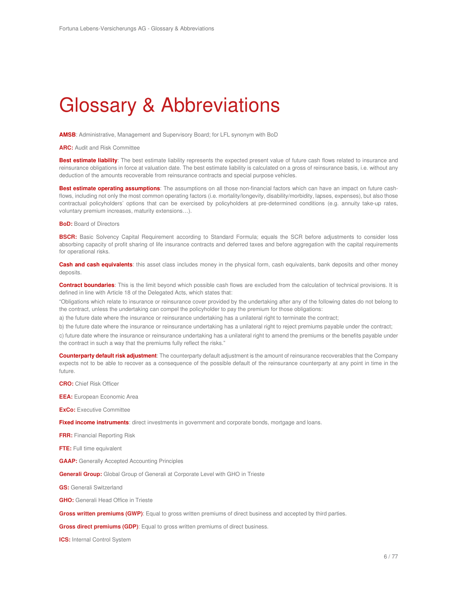## Glossary & Abbreviations

**AMSB**: Administrative, Management and Supervisory Board; for LFL synonym with BoD

**ARC:** Audit and Risk Committee

Best estimate liability: The best estimate liability represents the expected present value of future cash flows related to insurance and reinsurance obligations in force at valuation date. The best estimate liability is calculated on a gross of reinsurance basis, i.e. without any deduction of the amounts recoverable from reinsurance contracts and special purpose vehicles.

**Best estimate operating assumptions**: The assumptions on all those non-financial factors which can have an impact on future cashflows, including not only the most common operating factors (i.e. mortality/longevity, disability/morbidity, lapses, expenses), but also those contractual policyholders' options that can be exercised by policyholders at pre-determined conditions (e.g. annuity take-up rates, voluntary premium increases, maturity extensions…).

**BoD:** Board of Directors

**BSCR:** Basic Solvency Capital Requirement according to Standard Formula; equals the SCR before adjustments to consider loss absorbing capacity of profit sharing of life insurance contracts and deferred taxes and before aggregation with the capital requirements for operational risks.

**Cash and cash equivalents**: this asset class includes money in the physical form, cash equivalents, bank deposits and other money deposits.

**Contract boundaries**: This is the limit beyond which possible cash flows are excluded from the calculation of technical provisions. It is defined in line with Article 18 of the Delegated Acts, which states that:

"Obligations which relate to insurance or reinsurance cover provided by the undertaking after any of the following dates do not belong to the contract, unless the undertaking can compel the policyholder to pay the premium for those obligations:

a) the future date where the insurance or reinsurance undertaking has a unilateral right to terminate the contract;

b) the future date where the insurance or reinsurance undertaking has a unilateral right to reject premiums payable under the contract;

c) future date where the insurance or reinsurance undertaking has a unilateral right to amend the premiums or the benefits payable under the contract in such a way that the premiums fully reflect the risks."

**Counterparty default risk adjustment**: The counterparty default adjustment is the amount of reinsurance recoverables that the Company expects not to be able to recover as a consequence of the possible default of the reinsurance counterparty at any point in time in the future.

**CRO:** Chief Risk Officer

**EEA:** European Economic Area

**ExCo:** Executive Committee

**Fixed income instruments**: direct investments in government and corporate bonds, mortgage and loans.

**FRR:** Financial Reporting Risk

**FTE:** Full time equivalent

**GAAP:** Generally Accepted Accounting Principles

**Generali Group:** Global Group of Generali at Corporate Level with GHO in Trieste

**GS:** Generali Switzerland

**GHO:** Generali Head Office in Trieste

**Gross written premiums (GWP)**: Equal to gross written premiums of direct business and accepted by third parties.

**Gross direct premiums (GDP)**: Equal to gross written premiums of direct business.

**ICS:** Internal Control System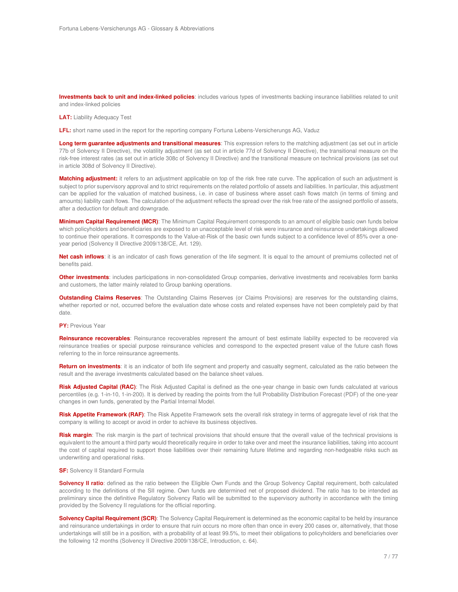**Investments back to unit and index-linked policies**: includes various types of investments backing insurance liabilities related to unit and index-linked policies

**LAT:** Liability Adequacy Test

**LFL:** short name used in the report for the reporting company Fortuna Lebens-Versicherungs AG, Vaduz

**Long term guarantee adjustments and transitional measures**: This expression refers to the matching adjustment (as set out in article 77b of Solvency II Directive), the volatility adjustment (as set out in article 77d of Solvency II Directive), the transitional measure on the risk-free interest rates (as set out in article 308c of Solvency II Directive) and the transitional measure on technical provisions (as set out in article 308d of Solvency II Directive).

**Matching adjustment:** it refers to an adjustment applicable on top of the risk free rate curve. The application of such an adjustment is subject to prior supervisory approval and to strict requirements on the related portfolio of assets and liabilities. In particular, this adjustment can be applied for the valuation of matched business, i.e. in case of business where asset cash flows match (in terms of timing and amounts) liability cash flows. The calculation of the adjustment reflects the spread over the risk free rate of the assigned portfolio of assets, after a deduction for default and downgrade.

**Minimum Capital Requirement (MCR)**: The Minimum Capital Requirement corresponds to an amount of eligible basic own funds below which policyholders and beneficiaries are exposed to an unacceptable level of risk were insurance and reinsurance undertakings allowed to continue their operations. It corresponds to the Value-at-Risk of the basic own funds subject to a confidence level of 85% over a oneyear period (Solvency II Directive 2009/138/CE, Art. 129).

Net cash inflows: it is an indicator of cash flows generation of the life segment. It is equal to the amount of premiums collected net of benefits paid.

**Other investments**: includes participations in non-consolidated Group companies, derivative investments and receivables form banks and customers, the latter mainly related to Group banking operations.

**Outstanding Claims Reserves**: The Outstanding Claims Reserves (or Claims Provisions) are reserves for the outstanding claims, whether reported or not, occurred before the evaluation date whose costs and related expenses have not been completely paid by that date.

**PY:** Previous Year

**Reinsurance recoverables**: Reinsurance recoverables represent the amount of best estimate liability expected to be recovered via reinsurance treaties or special purpose reinsurance vehicles and correspond to the expected present value of the future cash flows referring to the in force reinsurance agreements.

**Return on investments**: it is an indicator of both life segment and property and casualty segment, calculated as the ratio between the result and the average investments calculated based on the balance sheet values.

**Risk Adjusted Capital (RAC)**: The Risk Adjusted Capital is defined as the one-year change in basic own funds calculated at various percentiles (e.g. 1-in-10, 1-in-200). It is derived by reading the points from the full Probability Distribution Forecast (PDF) of the one-year changes in own funds, generated by the Partial Internal Model.

**Risk Appetite Framework (RAF)**: The Risk Appetite Framework sets the overall risk strategy in terms of aggregate level of risk that the company is willing to accept or avoid in order to achieve its business objectives.

**Risk margin**: The risk margin is the part of technical provisions that should ensure that the overall value of the technical provisions is equivalent to the amount a third party would theoretically require in order to take over and meet the insurance liabilities, taking into account the cost of capital required to support those liabilities over their remaining future lifetime and regarding non-hedgeable risks such as underwriting and operational risks.

**SF:** Solvency II Standard Formula

**Solvency II ratio**: defined as the ratio between the Eligible Own Funds and the Group Solvency Capital requirement, both calculated according to the definitions of the SII regime. Own funds are determined net of proposed dividend. The ratio has to be intended as preliminary since the definitive Regulatory Solvency Ratio will be submitted to the supervisory authority in accordance with the timing provided by the Solvency II regulations for the official reporting.

**Solvency Capital Requirement (SCR)**: The Solvency Capital Requirement is determined as the economic capital to be held by insurance and reinsurance undertakings in order to ensure that ruin occurs no more often than once in every 200 cases or, alternatively, that those undertakings will still be in a position, with a probability of at least 99.5%, to meet their obligations to policyholders and beneficiaries over the following 12 months (Solvency II Directive 2009/138/CE, Introduction, c. 64).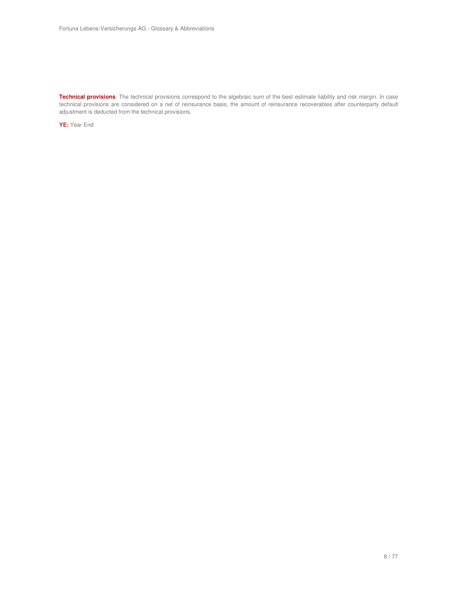**Technical provisions**: The technical provisions correspond to the algebraic sum of the best estimate liability and risk margin. In case technical provisions are considered on a net of reinsurance basis, the amount of reinsurance recoverables after counterparty default adjustment is deducted from the technical provisions.

**YE:** Year End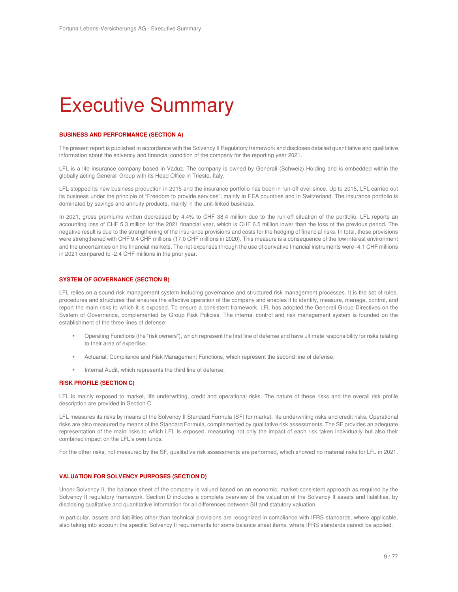## Executive Summary

#### **BUSINESS AND PERFORMANCE (SECTION A)**

The present report is published in accordance with the Solvency II Regulatory framework and discloses detailed quantitative and qualitative information about the solvency and financial condition of the company for the reporting year 2021.

LFL is a life insurance company based in Vaduz. The company is owned by Generali (Schweiz) Holding and is embedded within the globally acting Generali Group with its Head Office in Trieste, Italy.

LFL stopped its new business production in 2015 and the insurance portfolio has been in run-off ever since. Up to 2015, LFL carried out its business under the principle of "Freedom to provide services", mainly in EEA countries and in Switzerland. The insurance portfolio is dominated by savings and annuity products, mainly in the unit-linked business.

In 2021, gross premiums written decreased by 4.4% to CHF 38.4 million due to the run-off situation of the portfolio. LFL reports an accounting loss of CHF 5.3 million for the 2021 financial year, which is CHF 6.5 million lower than the loss of the previous period. The negative result is due to the strengthening of the insurance provisions and costs for the hedging of financial risks. In total, these provisions were strengthened with CHF 9.4 CHF millions (17.0 CHF millions in 2020). This measure is a consequence of the low interest environment and the uncertainties on the financial markets. The net expenses through the use of derivative financial instruments were -4.1 CHF millions in 2021 compared to -2.4 CHF millions in the prior year.

#### **SYSTEM OF GOVERNANCE (SECTION B)**

LFL relies on a sound risk management system including governance and structured risk management processes. It is the set of rules, procedures and structures that ensures the effective operation of the company and enables it to identify, measure, manage, control, and report the main risks to which it is exposed. To ensure a consistent framework, LFL has adopted the Generali Group Directives on the System of Governance, complemented by Group Risk Policies. The internal control and risk management system is founded on the establishment of the three lines of defense:

- Operating Functions (the "risk owners"), which represent the first line of defense and have ultimate responsibility for risks relating to their area of expertise;
- Actuarial, Compliance and Risk Management Functions, which represent the second line of defense;
- Internal Audit, which represents the third line of defense.

#### **RISK PROFILE (SECTION C)**

LFL is mainly exposed to market, life underwriting, credit and operational risks. The nature of these risks and the overall risk profile description are provided in Section C.

LFL measures its risks by means of the Solvency II Standard Formula (SF) for market, life underwriting risks and credit risks. Operational risks are also measured by means of the Standard Formula, complemented by qualitative risk assessments. The SF provides an adequate representation of the main risks to which LFL is exposed, measuring not only the impact of each risk taken individually but also their combined impact on the LFL's own funds.

For the other risks, not measured by the SF, qualitative risk assessments are performed, which showed no material risks for LFL in 2021.

#### **VALUATION FOR SOLVENCY PURPOSES (SECTION D)**

Under Solvency II, the balance sheet of the company is valued based on an economic, market-consistent approach as required by the Solvency II regulatory framework. Section D includes a complete overview of the valuation of the Solvency II assets and liabilities, by disclosing qualitative and quantitative information for all differences between SII and statutory valuation.

In particular, assets and liabilities other than technical provisions are recognized in compliance with IFRS standards, where applicable, also taking into account the specific Solvency II requirements for some balance sheet items, where IFRS standards cannot be applied.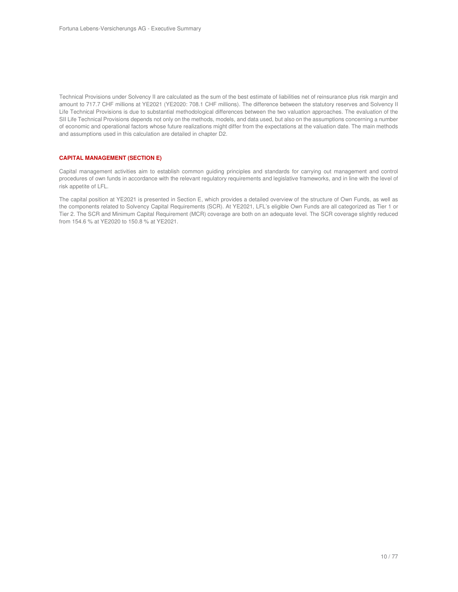Technical Provisions under Solvency II are calculated as the sum of the best estimate of liabilities net of reinsurance plus risk margin and amount to 717.7 CHF millions at YE2021 (YE2020: 708.1 CHF millions). The difference between the statutory reserves and Solvency II Life Technical Provisions is due to substantial methodological differences between the two valuation approaches. The evaluation of the SII Life Technical Provisions depends not only on the methods, models, and data used, but also on the assumptions concerning a number of economic and operational factors whose future realizations might differ from the expectations at the valuation date. The main methods and assumptions used in this calculation are detailed in chapter D2.

#### **CAPITAL MANAGEMENT (SECTION E)**

Capital management activities aim to establish common guiding principles and standards for carrying out management and control procedures of own funds in accordance with the relevant regulatory requirements and legislative frameworks, and in line with the level of risk appetite of LFL.

The capital position at YE2021 is presented in Section E, which provides a detailed overview of the structure of Own Funds, as well as the components related to Solvency Capital Requirements (SCR). At YE2021, LFL's eligible Own Funds are all categorized as Tier 1 or Tier 2. The SCR and Minimum Capital Requirement (MCR) coverage are both on an adequate level. The SCR coverage slightly reduced from 154.6 % at YE2020 to 150.8 % at YE2021.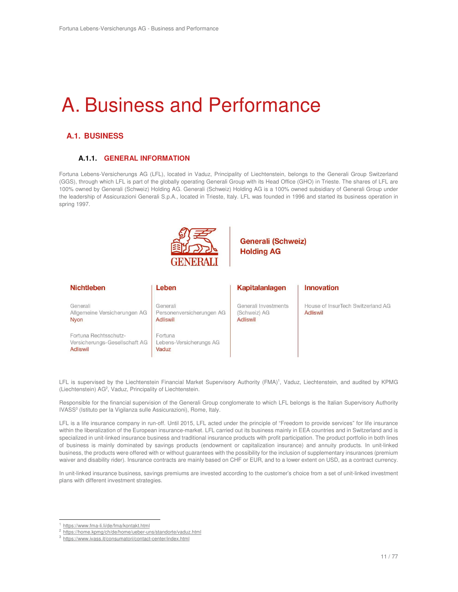## A. Business and Performance

## **A.1. BUSINESS**

### **A.1.1. GENERAL INFORMATION**

Fortuna Lebens-Versicherungs AG (LFL), located in Vaduz, Principality of Liechtenstein, belongs to the Generali Group Switzerland (GGS), through which LFL is part of the globally operating Generali Group with its Head Office (GHO) in Trieste. The shares of LFL are 100% owned by Generali (Schweiz) Holding AG. Generali (Schweiz) Holding AG is a 100% owned subsidiary of Generali Group under the leadership of Assicurazioni Generali S.p.A., located in Trieste, Italy. LFL was founded in 1996 and started its business operation in spring 1997.



## **Generali (Schweiz) Holding AG**

| <b>Nichtleben</b>                                                         | Leben                                                    | Kapitalanlagen                                          | <b>Innovation</b>                             |
|---------------------------------------------------------------------------|----------------------------------------------------------|---------------------------------------------------------|-----------------------------------------------|
| Generali<br>Allgemeine Versicherungen AG<br>Nyon                          | Generali<br>Personenversicherungen AG<br><b>Adliswil</b> | Generali Investments<br>(Schweiz) AG<br><b>Adliswil</b> | House of InsurTech Switzerland AG<br>Adliswil |
| Fortuna Rechtsschutz-<br>Versicherungs-Gesellschaft AG<br><b>Adliswil</b> | Fortuna<br>Lebens-Versicherungs AG<br>Vaduz              |                                                         |                                               |

LFL is supervised by the Liechtenstein Financial Market Supervisory Authority (FMA)<sup>1</sup>, Vaduz, Liechtenstein, and audited by KPMG (Liechtenstein) AG<sup>2</sup>, Vaduz, Principality of Liechtenstein.

Responsible for the financial supervision of the Generali Group conglomerate to which LFL belongs is the Italian Supervisory Authority IVASS<sup>3</sup> (Istituto per la Vigilanza sulle Assicurazioni), Rome, Italy.

LFL is a life insurance company in run-off. Until 2015, LFL acted under the principle of "Freedom to provide services" for life insurance within the liberalization of the European insurance-market. LFL carried out its business mainly in EEA countries and in Switzerland and is specialized in unit-linked insurance business and traditional insurance products with profit participation. The product portfolio in both lines of business is mainly dominated by savings products (endowment or capitalization insurance) and annuity products. In unit-linked business, the products were offered with or without guarantees with the possibility for the inclusion of supplementary insurances (premium waiver and disability rider). Insurance contracts are mainly based on CHF or EUR, and to a lower extent on USD, as a contract currency.

In unit-linked insurance business, savings premiums are invested according to the customer's choice from a set of unit-linked investment plans with different investment strategies.

 $\overline{a}$ 

<sup>1</sup> https://www.fma-li.li/de/fma/kontakt.html

<sup>2</sup> https://home.kpmg/ch/de/home/ueber-uns/standorte/vaduz.html

<sup>3</sup> https://www.ivass.it/consumatori/contact-center/index.html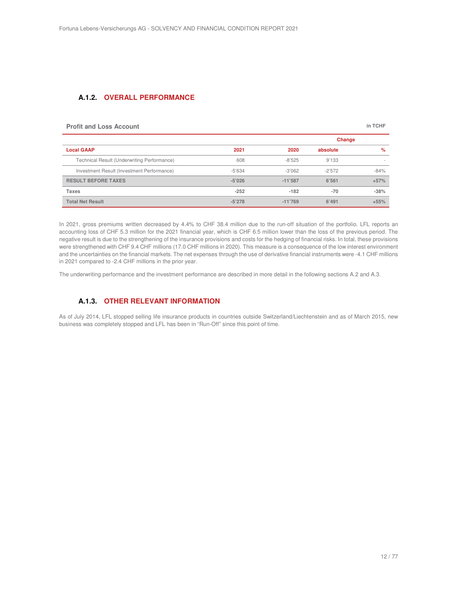#### **A.1.2. OVERALL PERFORMANCE**

| <b>Profit and Loss Account</b>              |          |           |          | in TCHF |
|---------------------------------------------|----------|-----------|----------|---------|
|                                             |          |           |          | Change  |
| <b>Local GAAP</b>                           | 2021     | 2020      | absolute | %       |
| Technical Result (Underwriting Performance) | 608      | $-8'525$  | 9'133    |         |
| Investment Result (Investment Performance)  | $-5'634$ | $-3'062$  | $-2'572$ | $-84%$  |
| <b>RESULT BEFORE TAXES</b>                  | $-5'026$ | $-11'587$ | 6'561    | $+57%$  |
| <b>Taxes</b>                                | $-252$   | $-182$    | $-70$    | $-38%$  |
| <b>Total Net Result</b>                     | $-5'278$ | $-11'769$ | 6'491    | $+55%$  |

In 2021, gross premiums written decreased by 4.4% to CHF 38.4 million due to the run-off situation of the portfolio. LFL reports an accounting loss of CHF 5.3 million for the 2021 financial year, which is CHF 6.5 million lower than the loss of the previous period. The negative result is due to the strengthening of the insurance provisions and costs for the hedging of financial risks. In total, these provisions were strengthened with CHF 9.4 CHF millions (17.0 CHF millions in 2020). This measure is a consequence of the low interest environment and the uncertainties on the financial markets. The net expenses through the use of derivative financial instruments were -4.1 CHF millions in 2021 compared to -2.4 CHF millions in the prior year.

The underwriting performance and the investment performance are described in more detail in the following sections A.2 and A.3.

## **A.1.3. OTHER RELEVANT INFORMATION**

As of July 2014, LFL stopped selling life insurance products in countries outside Switzerland/Liechtenstein and as of March 2015, new business was completely stopped and LFL has been in "Run-Off" since this point of time.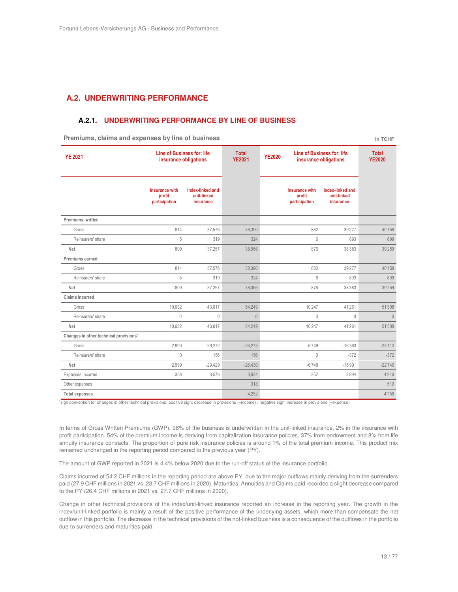## **A.2. UNDERWRITING PERFORMANCE**

#### **A.2.1. UNDERWRITING PERFORMANCE BY LINE OF BUSINESS**

**Premiums, claims and expenses by line of business <b>by a contract the experimental experimental expenses** in TCHF

| <b>YE 2021</b>                         | Line of Business for: life<br>insurance obligations |                                              | <b>Total</b><br><b>YE2021</b> | <b>YE2020</b> |                                                  | Line of Business for: life<br>insurance obligations |           |
|----------------------------------------|-----------------------------------------------------|----------------------------------------------|-------------------------------|---------------|--------------------------------------------------|-----------------------------------------------------|-----------|
|                                        | Insurance with<br>profit<br>participation           | Index-linked and<br>unit-linked<br>insurance |                               |               | <b>Insurance with</b><br>profit<br>participation | Index-linked and<br>unit-linked<br>insurance        |           |
| Premiums written                       |                                                     |                                              |                               |               |                                                  |                                                     |           |
| Gross                                  | 814                                                 | 37,576                                       | 38,390                        |               | 882                                              | 39'277                                              | 40'158    |
| Reinsurers' share                      | 5                                                   | 319                                          | 324                           |               | 6                                                | 893                                                 | 899       |
| Net                                    | 809                                                 | 37,257                                       | 38.066                        |               | 876                                              | 38'383                                              | 39'259    |
| Premiums earned                        |                                                     |                                              |                               |               |                                                  |                                                     |           |
| Gross                                  | 814                                                 | 37.576                                       | 38.390                        |               | 882                                              | 39'277                                              | 40'158    |
| Reinsurers' share                      | 5                                                   | 319                                          | 324                           |               | 6                                                | 893                                                 | 899       |
| Net                                    | 809                                                 | 37,257                                       | 38,066                        |               | 876                                              | 38'383                                              | 39'259    |
| Claims incurred                        |                                                     |                                              |                               |               |                                                  |                                                     |           |
| Gross                                  | 10.632                                              | 43,617                                       | 54,249                        |               | 10'247                                           | 41'261                                              | 51'508    |
| Reinsurers' share                      | $\mathbf{0}$                                        | $\mathbf 0$                                  | $\theta$                      |               | $\mathbf 0$                                      | $\theta$                                            | $\theta$  |
| Net                                    | 10.632                                              | 43.617                                       | 54.249                        |               | 10'247                                           | 41'261                                              | 51'508    |
| Changes in other technical provisions' |                                                     |                                              |                               |               |                                                  |                                                     |           |
| Gross                                  | 2.999                                               | $-29,272$                                    | $-26,273$                     |               | $-6'749$                                         | $-16'363$                                           | $-23'112$ |
| Reinsurers' share                      | $\theta$                                            | 156                                          | 156                           |               | $\mathbf{0}$                                     | $-372$                                              | $-372$    |
| Net                                    | 2.999                                               | $-29.429$                                    | $-26.430$                     |               | $-6'749$                                         | $-15'991$                                           | $-22'740$ |
| Expenses Incurred                      | 358                                                 | 3,576                                        | 3,934                         |               | 352                                              | 3'894                                               | 4'246     |
| Other expenses                         |                                                     |                                              | 318                           |               |                                                  |                                                     | 510       |
| <b>Total expenses</b>                  |                                                     |                                              | 4,252                         |               |                                                  |                                                     | 4'756     |

**\***sign convention for changes in other technical provisions: positive sign: decrease in provisions (=income) / negative sign: increase in provisions (=expense)

In terms of Gross Written Premiums (GWP), 98% of the business is underwritten in the unit-linked insurance, 2% in the insurance with profit participation. 54% of the premium income is deriving from capitalization insurance policies, 37% from endowment and 8% from life annuity insurance contracts. The proportion of pure risk insurance policies is around 1% of the total premium income. This product mix remained unchanged in the reporting period compared to the previous year (PY).

The amount of GWP reported in 2021 is 4.4% below 2020 due to the run-off status of the insurance portfolio.

Claims incurred of 54.2 CHF millions in the reporting period are above PY, due to the major outflows mainly deriving from the surrenders paid (27.9 CHF millions in 2021 vs. 23.7 CHF millions in 2020). Maturities, Annuities and Claims paid recorded a slight decrease compared to the PY (26.4 CHF millions in 2021 vs. 27.7 CHF millions in 2020).

Change in other technical provisions of the index/unit-linked insurance reported an increase in the reporting year. The growth in the index/unit-linked portfolio is mainly a result of the positive performance of the underlying assets, which more than compensate the net outflow in this portfolio. The decrease in the technical provisions of the not-linked business is a consequence of the outflows in the portfolio due to surrenders and maturities paid.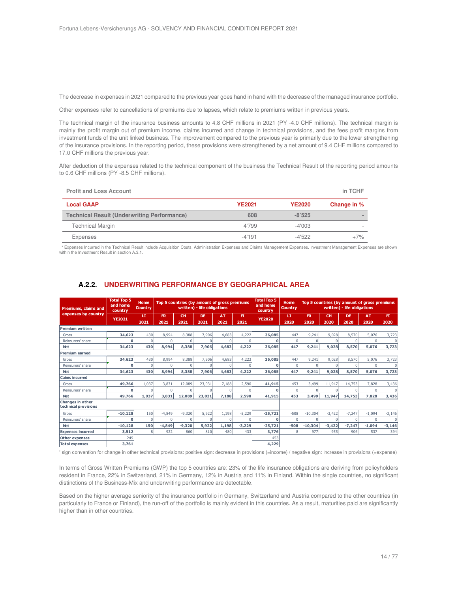The decrease in expenses in 2021 compared to the previous year goes hand in hand with the decrease of the managed insurance portfolio.

Other expenses refer to cancellations of premiums due to lapses, which relate to premiums written in previous years.

The technical margin of the insurance business amounts to 4.8 CHF millions in 2021 (PY -4.0 CHF millions). The technical margin is mainly the profit margin out of premium income, claims incurred and change in technical provisions, and the fees profit margins from investment funds of the unit linked business. The improvement compared to the previous year is primarily due to the lower strengthening of the insurance provisions. In the reporting period, these provisions were strengthened by a net amount of 9.4 CHF millions compared to 17.0 CHF millions the previous year.

After deduction of the expenses related to the technical component of the business the Technical Result of the reporting period amounts to 0.6 CHF millions (PY -8.5 CHF millions).

| <b>Profit and Loss Account</b>                     |               |               | in TCHF     |
|----------------------------------------------------|---------------|---------------|-------------|
| <b>Local GAAP</b>                                  | <b>YE2021</b> | <b>YE2020</b> | Change in % |
| <b>Technical Result (Underwriting Performance)</b> | 608           | $-8'525$      |             |
| Technical Margin                                   | 4'799         | $-4'003$      |             |
| Expenses                                           | $-4'191$      | $-4'522$      | $+7\%$      |

 \* Expenses Incurred in the Technical Result include Acquisition Costs, Administration Expenses and Claims Management Expenses. Investment Management Expenses are shown within the Investment Result in section A.3.1.

| Premiums, claims and                     | <b>Total Top 5</b><br>and home<br>country | Home<br><b>Country</b> |          |             | written) - life obligations | Top 5 countries (by amount of gross premiums |             | <b>Total Top 5</b><br>and home<br>country | Home<br><b>Country</b> |           |              | Top 5 countries (by amount of gross premiums<br>written) - life obligations |           |            |
|------------------------------------------|-------------------------------------------|------------------------|----------|-------------|-----------------------------|----------------------------------------------|-------------|-------------------------------------------|------------------------|-----------|--------------|-----------------------------------------------------------------------------|-----------|------------|
| expenses by country                      |                                           | п                      | R        | <b>CH</b>   | <b>DE</b>                   | <b>AT</b>                                    | F1          |                                           | п                      | R         | <b>CH</b>    | <b>DE</b>                                                                   | <b>AT</b> | F1         |
|                                          | <b>YE2021</b>                             | 2021                   | 2021     | 2021        | 2021                        | 2021                                         | 2021        | <b>YE2020</b>                             | 2020                   | 2020      | 2020         | 2020                                                                        | 2020      | 2020       |
| <b>Premium written</b>                   |                                           |                        |          |             |                             |                                              |             |                                           |                        |           |              |                                                                             |           |            |
| Gross                                    | 34,623                                    | 430                    | 8.994    | 8,388       | 7,906                       | 4,683                                        | 4,222       | 36,085                                    | 447                    | 9,241     | 9,028        | 8.570                                                                       | 5,076     | 3,723      |
| Reinsurers' share                        | O                                         | 0                      |          | $\Omega$    | $\mathbf 0$                 | 0                                            | $\Omega$    | 0                                         | $\mathbf{0}$           |           | $\mathbf{0}$ | $\mathbf{0}$                                                                |           | $^{\circ}$ |
| <b>Net</b>                               | 34,623                                    | 430                    | 8,994    | 8,388       | 7,906                       | 4,683                                        | 4,222       | 36,085                                    | 447                    | 9,241     | 9,028        | 8,570                                                                       | 5,076     | 3,723      |
| <b>Premium earned</b>                    |                                           |                        |          |             |                             |                                              |             |                                           |                        |           |              |                                                                             |           |            |
| Gross                                    | 34,623                                    | 430                    | 8.994    | 8.388       | 7,906                       | 4,683                                        | 4,222       | 36,085                                    | 447                    | 9.241     | 9.028        | 8.570                                                                       | 5.076     | 3,723      |
| Reinsurers' share                        | O                                         | $\overline{0}$         | $\Omega$ | $\mathbf 0$ | $\mathbf 0$                 | $\Omega$                                     | $\mathbf 0$ | O                                         | $\mathbf{0}$           |           | $\mathbf{0}$ | $\Omega$                                                                    | $\Omega$  | $^{\circ}$ |
| <b>Net</b>                               | 34,623                                    | 430                    | 8,994    | 8,388       | 7,906                       | 4,683                                        | 4,222       | 36,085                                    | 447                    | 9,241     | 9,028        | 8,570                                                                       | 5,076     | 3,723      |
| <b>Caims incurred</b>                    |                                           |                        |          |             |                             |                                              |             |                                           |                        |           |              |                                                                             |           |            |
| Gross                                    | 49,766                                    | 1,037                  | 3,831    | 12,089      | 23,031                      | 7,188                                        | 2,590       | 41,915                                    | 453                    | 3,499     | 11,947       | 14,753                                                                      | 7.828     | 3,436      |
| Reinsurers' share                        | o                                         | $\Omega$               | $\Omega$ | $\Omega$    | $\Omega$                    | $\Omega$                                     | $\Omega$    | O                                         | $\mathbf{0}$           |           | $\Omega$     | 0                                                                           |           | $\Omega$   |
| <b>Net</b>                               | 49.766                                    | 1,037                  | 3,831    | 12,089      | 23,031                      | 7,188                                        | 2,590       | 41,915                                    | 453                    | 3,499     | 11,947       | 14,753                                                                      | 7,828     | 3,436      |
| Changes in other<br>technical provisions |                                           |                        |          |             |                             |                                              |             |                                           |                        |           |              |                                                                             |           |            |
| Gross                                    | $-10,128$                                 | 150                    | $-4.849$ | $-9,320$    | 5,922                       | 1,198                                        | $-3,229$    | $-25,721$                                 | $-508$                 | $-10,304$ | $-3,422$     | $-7,247$                                                                    | $-1,094$  | $-3,146$   |
| Reinsurers' share                        | n                                         | 0                      |          | $\Omega$    | 0                           |                                              | n           | O                                         | $\mathbf{0}$           |           | $\Omega$     | U                                                                           |           | $\Omega$   |
| <b>Net</b>                               | $-10,128$                                 | 150                    | $-4.849$ | $-9,320$    | 5,922                       | 1,198                                        | $-3,229$    | $-25,721$                                 | $-508$                 | $-10,304$ | $-3,422$     | $-7.247$                                                                    | $-1.094$  | $-3,146$   |
| <b>Expenses incurred</b>                 | 3,512                                     | 8 <sup>1</sup>         | 922      | 860         | 810                         | 480                                          | 433         | 3,776                                     | 8                      | 977       | 955          | 906                                                                         | 537       | 394        |
| Other expenses                           | 249                                       |                        |          |             |                             |                                              |             | 453                                       |                        |           |              |                                                                             |           |            |
| <b>Total expenses</b>                    | 3,761                                     |                        |          |             |                             |                                              |             | 4,229                                     |                        |           |              |                                                                             |           |            |

## **A.2.2. UNDERWRITING PERFORMANCE BY GEOGRAPHICAL AREA**

**\*** sign convention for change in other technical provisions: positive sign: decrease in provisions (=income) / negative sign: increase in provisions (=expense)

In terms of Gross Written Premiums (GWP) the top 5 countries are: 23% of the life insurance obligations are deriving from policyholders resident in France, 22% in Switzerland, 21% in Germany, 12% in Austria and 11% in Finland. Within the single countries, no significant distinctions of the Business-Mix and underwriting performance are detectable.

Based on the higher average seniority of the insurance portfolio in Germany, Switzerland and Austria compared to the other countries (in particularly to France or Finland), the run-off of the portfolio is mainly evident in this countries. As a result, maturities paid are significantly higher than in other countries.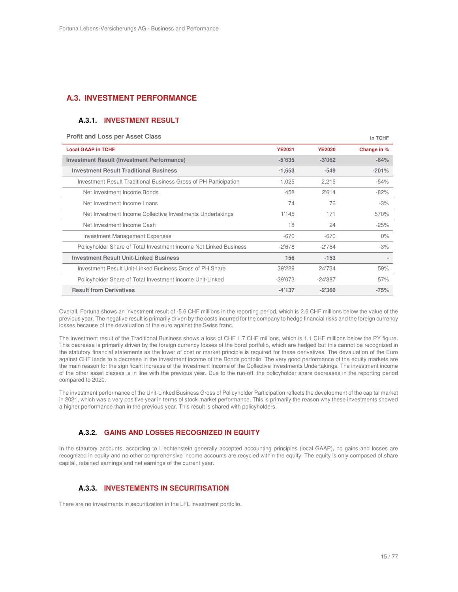## **A.3. INVESTMENT PERFORMANCE**

### **A.3.1. INVESTMENT RESULT**

#### **Profit and Loss per Asset Class <b>***in TCHF in TCHF*

| <b>Local GAAP in TCHF</b>                                         | <b>YE2021</b> | <b>YE2020</b> | Change in % |
|-------------------------------------------------------------------|---------------|---------------|-------------|
| <b>Investment Result (Investment Performance)</b>                 | $-5'635$      | $-3'062$      | $-84%$      |
| <b>Investment Result Traditional Business</b>                     | $-1,653$      | $-549$        | $-201%$     |
| Investment Result Traditional Business Gross of PH Participation  | 1,025         | 2,215         | $-54%$      |
| Net Investment Income Bonds                                       | 458           | 2'614         | $-82%$      |
| Net Investment Income Loans                                       | 74            | 76            | $-3%$       |
| Net Investment Income Collective Investments Undertakings         | 1'145         | 171           | 570%        |
| Net Investment Income Cash                                        | 18            | 24            | $-25%$      |
| Investment Management Expenses                                    | $-670$        | $-670$        | $0\%$       |
| Policyholder Share of Total Investment income Not Linked Business | $-2'678$      | $-2'764$      | $-3%$       |
| <b>Investment Result Unit-Linked Business</b>                     | 156           | $-153$        |             |
| Investment Result Unit-Linked Business Gross of PH Share          | 39'229        | 24'734        | 59%         |
| Policyholder Share of Total Investment income Unit-Linked         | $-39'073$     | $-24'887$     | 57%         |
| <b>Result from Derivatives</b>                                    | $-4'137$      | $-2'360$      | $-75%$      |

Overall, Fortuna shows an investment result of -5.6 CHF millions in the reporting period, which is 2.6 CHF millions below the value of the previous year. The negative result is primarily driven by the costs incurred for the company to hedge financial risks and the foreign currency losses because of the devaluation of the euro against the Swiss franc.

The investment result of the Traditional Business shows a loss of CHF 1.7 CHF millions, which is 1.1 CHF millions below the PY figure. This decrease is primarily driven by the foreign currency losses of the bond portfolio, which are hedged but this cannot be recognized in the statutory financial statements as the lower of cost or market principle is required for these derivatives. The devaluation of the Euro against CHF leads to a decrease in the investment income of the Bonds portfolio. The very good performance of the equity markets are the main reason for the significant increase of the Investment Income of the Collective Investments Undertakings. The investment income of the other asset classes is in line with the previous year. Due to the run-off, the policyholder share decreases in the reporting period compared to 2020.

The investment performance of the Unit-Linked Business Gross of Policyholder Participation reflects the development of the capital market in 2021, which was a very positive year in terms of stock market performance. This is primarily the reason why these investments showed a higher performance than in the previous year. This result is shared with policyholders.

#### **A.3.2. GAINS AND LOSSES RECOGNIZED IN EQUITY**

In the statutory accounts, according to Liechtenstein generally accepted accounting principles (local GAAP), no gains and losses are recognized in equity and no other comprehensive income accounts are recycled within the equity. The equity is only composed of share capital, retained earnings and net earnings of the current year.

#### **A.3.3. INVESTEMENTS IN SECURITISATION**

There are no investments in securitization in the LFL investment portfolio.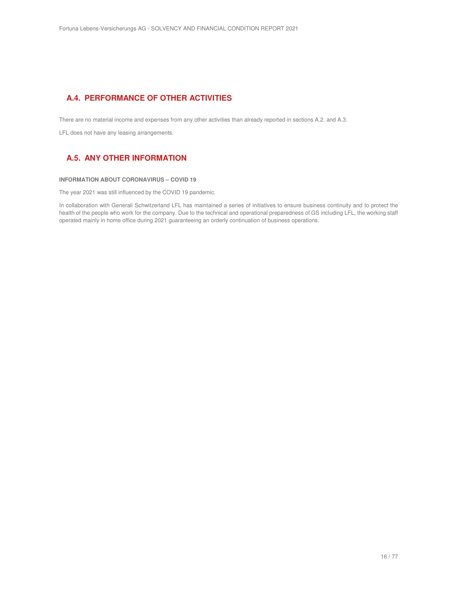## **A.4. PERFORMANCE OF OTHER ACTIVITIES**

There are no material income and expenses from any other activities than already reported in sections A.2. and A.3.

LFL does not have any leasing arrangements.

## **A.5. ANY OTHER INFORMATION**

#### **INFORMATION ABOUT CORONAVIRUS – COVID 19**

The year 2021 was still influenced by the COVID 19 pandemic.

In collaboration with Generali Schwitzerland LFL has maintained a series of initiatives to ensure business continuity and to protect the health of the people who work for the company. Due to the technical and operational preparedness of GS including LFL, the working staff operated mainly in home office during 2021 guaranteeing an orderly continuation of business operations.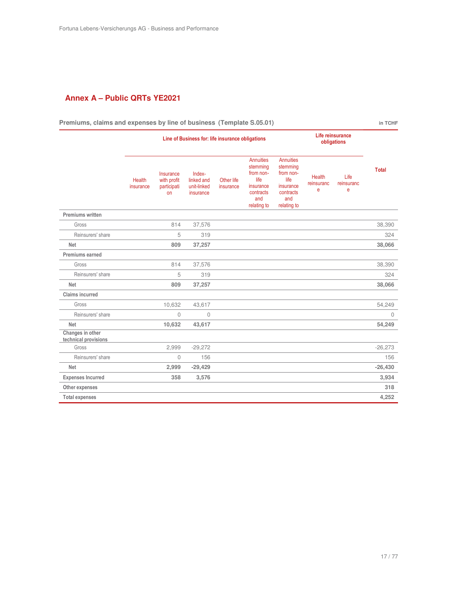## **Annex A – Public QRTs YE2021**

| Premiums, claims and expenses by line of business (Template S.05.01) |                                                                                     |                                               |                                                  |                         |                                                                                                   |                                                                                                   |                                  |                         | in TCHF      |
|----------------------------------------------------------------------|-------------------------------------------------------------------------------------|-----------------------------------------------|--------------------------------------------------|-------------------------|---------------------------------------------------------------------------------------------------|---------------------------------------------------------------------------------------------------|----------------------------------|-------------------------|--------------|
|                                                                      | Life reinsurance<br>Line of Business for: life insurance obligations<br>obligations |                                               |                                                  |                         |                                                                                                   |                                                                                                   |                                  |                         |              |
|                                                                      | <b>Health</b><br>insurance                                                          | Insurance<br>with profit<br>participati<br>on | Index-<br>linked and<br>unit-linked<br>insurance | Other life<br>insurance | <b>Annuities</b><br>stemming<br>from non-<br>life<br>insurance<br>contracts<br>and<br>relating to | <b>Annuities</b><br>stemming<br>from non-<br>life<br>insurance<br>contracts<br>and<br>relating to | <b>Health</b><br>reinsuranc<br>e | Life<br>reinsuranc<br>e | <b>Total</b> |
| Premiums written                                                     |                                                                                     |                                               |                                                  |                         |                                                                                                   |                                                                                                   |                                  |                         |              |
| Gross                                                                |                                                                                     | 814                                           | 37,576                                           |                         |                                                                                                   |                                                                                                   |                                  |                         | 38,390       |
| Reinsurers' share                                                    |                                                                                     | 5                                             | 319                                              |                         |                                                                                                   |                                                                                                   |                                  |                         | 324          |
| <b>Net</b>                                                           |                                                                                     | 809                                           | 37,257                                           |                         |                                                                                                   |                                                                                                   |                                  |                         | 38,066       |
| Premiums earned                                                      |                                                                                     |                                               |                                                  |                         |                                                                                                   |                                                                                                   |                                  |                         |              |
| Gross                                                                |                                                                                     | 814                                           | 37,576                                           |                         |                                                                                                   |                                                                                                   |                                  |                         | 38,390       |
| Reinsurers' share                                                    |                                                                                     | 5                                             | 319                                              |                         |                                                                                                   |                                                                                                   |                                  |                         | 324          |
| <b>Net</b>                                                           |                                                                                     | 809                                           | 37,257                                           |                         |                                                                                                   |                                                                                                   |                                  |                         | 38,066       |
| <b>Claims incurred</b>                                               |                                                                                     |                                               |                                                  |                         |                                                                                                   |                                                                                                   |                                  |                         |              |
| Gross                                                                |                                                                                     | 10,632                                        | 43,617                                           |                         |                                                                                                   |                                                                                                   |                                  |                         | 54,249       |
| Reinsurers' share                                                    |                                                                                     | $\mathbf{0}$                                  | $\Omega$                                         |                         |                                                                                                   |                                                                                                   |                                  |                         | $\Omega$     |
| <b>Net</b>                                                           |                                                                                     | 10,632                                        | 43,617                                           |                         |                                                                                                   |                                                                                                   |                                  |                         | 54,249       |
| Changes in other<br>technical provisions                             |                                                                                     |                                               |                                                  |                         |                                                                                                   |                                                                                                   |                                  |                         |              |
| Gross                                                                |                                                                                     | 2,999                                         | $-29,272$                                        |                         |                                                                                                   |                                                                                                   |                                  |                         | $-26,273$    |
| Reinsurers' share                                                    |                                                                                     | $\mathbf{0}$                                  | 156                                              |                         |                                                                                                   |                                                                                                   |                                  |                         | 156          |
| <b>Net</b>                                                           |                                                                                     | 2,999                                         | $-29,429$                                        |                         |                                                                                                   |                                                                                                   |                                  |                         | $-26,430$    |
| <b>Expenses Incurred</b>                                             |                                                                                     | 358                                           | 3,576                                            |                         |                                                                                                   |                                                                                                   |                                  |                         | 3,934        |
| Other expenses                                                       |                                                                                     |                                               |                                                  |                         |                                                                                                   |                                                                                                   |                                  |                         | 318          |
| <b>Total expenses</b>                                                |                                                                                     |                                               |                                                  |                         |                                                                                                   |                                                                                                   |                                  |                         | 4,252        |

**Premiums, claims and expenses by line of business (Template S.05.01) in TCHF**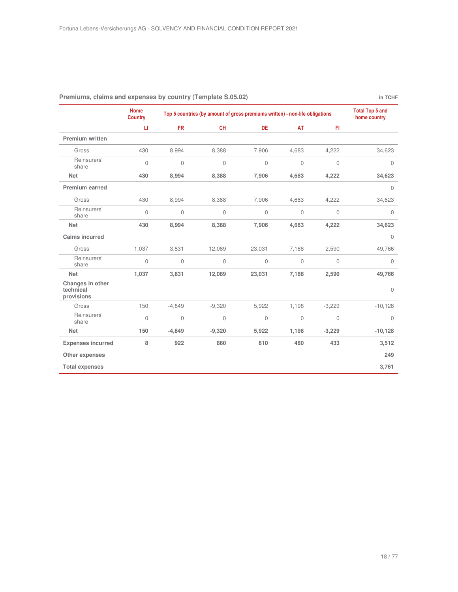|                                             | Home<br><b>Country</b> |           | Top 5 countries (by amount of gross premiums written) - non-life obligations |             |              |              |              |  |  |
|---------------------------------------------|------------------------|-----------|------------------------------------------------------------------------------|-------------|--------------|--------------|--------------|--|--|
|                                             | П                      | <b>FR</b> | <b>CH</b>                                                                    | DE          | AT           | FI.          |              |  |  |
| <b>Premium written</b>                      |                        |           |                                                                              |             |              |              |              |  |  |
| Gross                                       | 430                    | 8,994     | 8,388                                                                        | 7,906       | 4,683        | 4,222        | 34,623       |  |  |
| Reinsurers'<br>share                        | $\mathbf{0}$           | 0         | $\mathbf{0}$                                                                 | $\mathbf 0$ | $\mathbf{0}$ | $\mathbf{0}$ | $\mathbf{0}$ |  |  |
| <b>Net</b>                                  | 430                    | 8,994     | 8,388                                                                        | 7,906       | 4,683        | 4,222        | 34,623       |  |  |
| Premium earned                              |                        |           |                                                                              |             |              |              | $\mathbf 0$  |  |  |
| Gross                                       | 430                    | 8,994     | 8,388                                                                        | 7,906       | 4,683        | 4,222        | 34,623       |  |  |
| Reinsurers'<br>share                        | $\mathbf{0}$           | 0         | $\mathbf 0$                                                                  | 0           | $\mathbb O$  | $\mathbf 0$  | $\mathbf 0$  |  |  |
| <b>Net</b>                                  | 430                    | 8,994     | 8,388                                                                        | 7,906       | 4,683        | 4,222        | 34,623       |  |  |
| <b>Caims incurred</b>                       |                        |           |                                                                              |             |              |              | $\mathbf 0$  |  |  |
| Gross                                       | 1,037                  | 3,831     | 12,089                                                                       | 23,031      | 7,188        | 2,590        | 49,766       |  |  |
| Reinsurers'<br>share                        | $\mathbf{0}$           | 0         | $\mathbf 0$                                                                  | $\mathbf 0$ | $\mathbb O$  | $\mathbf{0}$ | $\mathbf{0}$ |  |  |
| <b>Net</b>                                  | 1,037                  | 3,831     | 12,089                                                                       | 23,031      | 7,188        | 2,590        | 49,766       |  |  |
| Changes in other<br>technical<br>provisions |                        |           |                                                                              |             |              |              | $\Omega$     |  |  |
| Gross                                       | 150                    | $-4,849$  | $-9,320$                                                                     | 5,922       | 1,198        | $-3,229$     | $-10,128$    |  |  |
| Reinsurers'<br>share                        | $\mathbf 0$            | 0         | $\mathbf 0$                                                                  | 0           | $\mathbf 0$  | $\mathbf 0$  | $\mathbf{0}$ |  |  |
| <b>Net</b>                                  | 150                    | $-4,849$  | $-9,320$                                                                     | 5,922       | 1,198        | $-3,229$     | $-10,128$    |  |  |
| <b>Expenses incurred</b>                    | 8                      | 922       | 860                                                                          | 810         | 480          | 433          | 3,512        |  |  |
| Other expenses                              |                        |           |                                                                              |             |              |              | 249          |  |  |
| <b>Total expenses</b>                       |                        |           |                                                                              |             |              |              | 3,761        |  |  |

#### **Premiums, claims and expenses by country (Template S.05.02)** *in TCHF*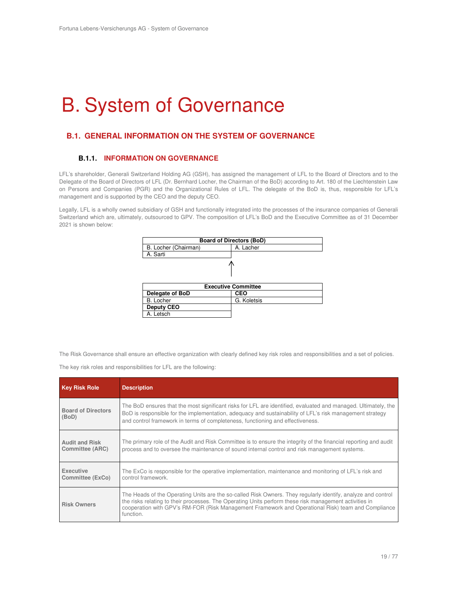## B. System of Governance

## **B.1. GENERAL INFORMATION ON THE SYSTEM OF GOVERNANCE**

### **B.1.1. INFORMATION ON GOVERNANCE**

LFL's shareholder, Generali Switzerland Holding AG (GSH), has assigned the management of LFL to the Board of Directors and to the Delegate of the Board of Directors of LFL (Dr. Bernhard Locher, the Chairman of the BoD) according to Art. 180 of the Liechtenstein Law on Persons and Companies (PGR) and the Organizational Rules of LFL. The delegate of the BoD is, thus, responsible for LFL's management and is supported by the CEO and the deputy CEO.

Legally, LFL is a wholly owned subsidiary of GSH and functionally integrated into the processes of the insurance companies of Generali Switzerland which are, ultimately, outsourced to GPV. The composition of LFL's BoD and the Executive Committee as of 31 December 2021 is shown below:

| <b>Board of Directors (BoD)</b>   |                            |  |  |  |  |  |
|-----------------------------------|----------------------------|--|--|--|--|--|
| B. Locher (Chairman)<br>A. Lacher |                            |  |  |  |  |  |
| A. Sarti                          |                            |  |  |  |  |  |
|                                   |                            |  |  |  |  |  |
|                                   | <b>Executive Committee</b> |  |  |  |  |  |
| Delegate of BoD                   | <b>CEO</b>                 |  |  |  |  |  |
| <b>B.</b> Locher                  | G. Koletsis                |  |  |  |  |  |
| <b>Deputy CEO</b>                 |                            |  |  |  |  |  |
| Letsch                            |                            |  |  |  |  |  |

The Risk Governance shall ensure an effective organization with clearly defined key risk roles and responsibilities and a set of policies.

The key risk roles and responsibilities for LFL are the following:

| <b>Key Risk Role</b>                            | <b>Description</b>                                                                                                                                                                                                                                                                                                                        |
|-------------------------------------------------|-------------------------------------------------------------------------------------------------------------------------------------------------------------------------------------------------------------------------------------------------------------------------------------------------------------------------------------------|
| <b>Board of Directors</b><br>(BoD)              | The BoD ensures that the most significant risks for LFL are identified, evaluated and managed. Ultimately, the<br>BoD is responsible for the implementation, adequacy and sustainability of LFL's risk management strategy<br>and control framework in terms of completeness, functioning and effectiveness.                              |
| <b>Audit and Risk</b><br><b>Committee (ARC)</b> | The primary role of the Audit and Risk Committee is to ensure the integrity of the financial reporting and audit<br>process and to oversee the maintenance of sound internal control and risk management systems.                                                                                                                         |
| Executive<br>Committee (ExCo)                   | The ExCo is responsible for the operative implementation, maintenance and monitoring of LFL's risk and<br>control framework.                                                                                                                                                                                                              |
| <b>Risk Owners</b>                              | The Heads of the Operating Units are the so-called Risk Owners. They regularly identify, analyze and control<br>the risks relating to their processes. The Operating Units perform these risk management activities in<br>cooperation with GPV's RM-FOR (Risk Management Framework and Operational Risk) team and Compliance<br>function. |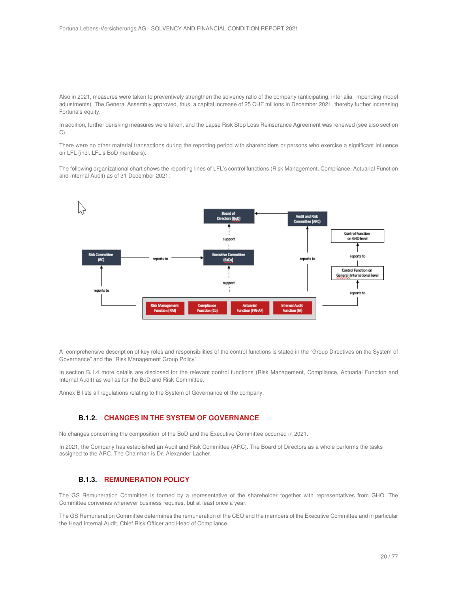Also in 2021, measures were taken to preventively strengthen the solvency ratio of the company (anticipating, inter alia, impending model adjustments). The General Assembly approved, thus, a capital increase of 25 CHF millions in December 2021, thereby further increasing Fortuna's equity.

In addition, further derisking measures were taken, and the Lapse Risk Stop Loss Reinsurance Agreement was renewed (see also section C).

There were no other material transactions during the reporting period with shareholders or persons who exercise a significant influence on LFL (incl. LFL's BoD members).

The following organizational chart shows the reporting lines of LFL's control functions (Risk Management, Compliance, Actuarial Function and Internal Audit) as of 31 December 2021:



A comprehensive description of key roles and responsibilities of the control functions is stated in the "Group Directives on the System of Governance" and the "Risk Management Group Policy".

In section B.1.4 more details are disclosed for the relevant control functions (Risk Management, Compliance, Actuarial Function and Internal Audit) as well as for the BoD and Risk Committee.

Annex B lists all regulations relating to the System of Governance of the company.

#### **B.1.2. CHANGES IN THE SYSTEM OF GOVERNANCE**

No changes concerning the composition of the BoD and the Executive Committee occurred in 2021.

In 2021, the Company has established an Audit and Risk Committee (ARC). The Board of Directors as a whole performs the tasks assigned to the ARC. The Chairman is Dr. Alexander Lacher.

#### **B.1.3. REMUNERATION POLICY**

The GS Remuneration Committee is formed by a representative of the shareholder together with representatives from GHO. The Committee convenes whenever business requires, but at least once a year.

The GS Remuneration Committee determines the remuneration of the CEO and the members of the Executive Committee and in particular the Head Internal Audit, Chief Risk Officer and Head of Compliance.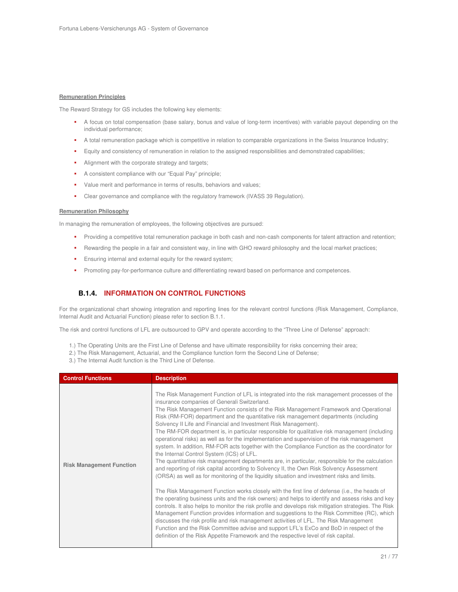#### **Remuneration Principles**

The Reward Strategy for GS includes the following key elements:

- A focus on total compensation (base salary, bonus and value of long-term incentives) with variable payout depending on the individual performance;
- A total remuneration package which is competitive in relation to comparable organizations in the Swiss Insurance Industry;
- Equity and consistency of remuneration in relation to the assigned responsibilities and demonstrated capabilities;
- Alignment with the corporate strategy and targets;
- A consistent compliance with our "Equal Pay" principle;
- Value merit and performance in terms of results, behaviors and values;
- Clear governance and compliance with the regulatory framework (IVASS 39 Regulation).

#### **Remuneration Philosophy**

In managing the remuneration of employees, the following objectives are pursued:

- **Providing a competitive total remuneration package in both cash and non-cash components for talent attraction and retention;**
- Rewarding the people in a fair and consistent way, in line with GHO reward philosophy and the local market practices;
- **Ensuring internal and external equity for the reward system;**
- **Promoting pay-for-performance culture and differentiating reward based on performance and competences.**

## **B.1.4. INFORMATION ON CONTROL FUNCTIONS**

For the organizational chart showing integration and reporting lines for the relevant control functions (Risk Management, Compliance, Internal Audit and Actuarial Function) please refer to section B.1.1.

The risk and control functions of LFL are outsourced to GPV and operate according to the "Three Line of Defense" approach:

- 1.) The Operating Units are the First Line of Defense and have ultimate responsibility for risks concerning their area;
- 2.) The Risk Management, Actuarial, and the Compliance function form the Second Line of Defense;
- 3.) The Internal Audit function is the Third Line of Defense.

| <b>Control Functions</b>        | <b>Description</b>                                                                                                                                                                                                                                                                                                                                                                                                                                                                                                                                                                                                                                                                                                                                                                                                                                                                                                                                                                                                                                                                                                                                                                                                                                                                                                                                                                                                                                                                                                                                                                                                                                                                                                                     |  |  |  |
|---------------------------------|----------------------------------------------------------------------------------------------------------------------------------------------------------------------------------------------------------------------------------------------------------------------------------------------------------------------------------------------------------------------------------------------------------------------------------------------------------------------------------------------------------------------------------------------------------------------------------------------------------------------------------------------------------------------------------------------------------------------------------------------------------------------------------------------------------------------------------------------------------------------------------------------------------------------------------------------------------------------------------------------------------------------------------------------------------------------------------------------------------------------------------------------------------------------------------------------------------------------------------------------------------------------------------------------------------------------------------------------------------------------------------------------------------------------------------------------------------------------------------------------------------------------------------------------------------------------------------------------------------------------------------------------------------------------------------------------------------------------------------------|--|--|--|
| <b>Risk Management Function</b> | The Risk Management Function of LFL is integrated into the risk management processes of the<br>insurance companies of Generali Switzerland.<br>The Risk Management Function consists of the Risk Management Framework and Operational<br>Risk (RM-FOR) department and the quantitative risk management departments (including<br>Solvency II Life and Financial and Investment Risk Management).<br>The RM-FOR department is, in particular responsible for qualitative risk management (including<br>operational risks) as well as for the implementation and supervision of the risk management<br>system. In addition, RM-FOR acts together with the Compliance Function as the coordinator for<br>the Internal Control System (ICS) of LFL.<br>The quantitative risk management departments are, in particular, responsible for the calculation<br>and reporting of risk capital according to Solvency II, the Own Risk Solvency Assessment<br>(ORSA) as well as for monitoring of the liquidity situation and investment risks and limits.<br>The Risk Management Function works closely with the first line of defense (i.e., the heads of<br>the operating business units and the risk owners) and helps to identify and assess risks and key<br>controls. It also helps to monitor the risk profile and develops risk mitigation strategies. The Risk<br>Management Function provides information and suggestions to the Risk Committee (RC), which<br>discusses the risk profile and risk management activities of LFL. The Risk Management<br>Function and the Risk Committee advise and support LFL's ExCo and BoD in respect of the<br>definition of the Risk Appetite Framework and the respective level of risk capital. |  |  |  |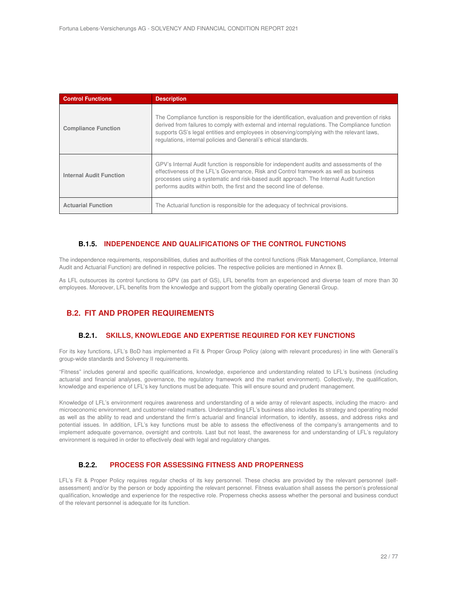| <b>Control Functions</b>       | <b>Description</b>                                                                                                                                                                                                                                                                                                                                                    |  |  |
|--------------------------------|-----------------------------------------------------------------------------------------------------------------------------------------------------------------------------------------------------------------------------------------------------------------------------------------------------------------------------------------------------------------------|--|--|
| <b>Compliance Function</b>     | The Compliance function is responsible for the identification, evaluation and prevention of risks<br>derived from failures to comply with external and internal regulations. The Compliance function<br>supports GS's legal entities and employees in observing/complying with the relevant laws,<br>regulations, internal policies and Generali's ethical standards. |  |  |
| <b>Internal Audit Function</b> | GPV's Internal Audit function is responsible for independent audits and assessments of the<br>effectiveness of the LFL's Governance, Risk and Control framework as well as business<br>processes using a systematic and risk-based audit approach. The Internal Audit function<br>performs audits within both, the first and the second line of defense.              |  |  |
| <b>Actuarial Function</b>      | The Actuarial function is responsible for the adequacy of technical provisions.                                                                                                                                                                                                                                                                                       |  |  |

### **B.1.5. INDEPENDENCE AND QUALIFICATIONS OF THE CONTROL FUNCTIONS**

The independence requirements, responsibilities, duties and authorities of the control functions (Risk Management, Compliance, Internal Audit and Actuarial Function) are defined in respective policies. The respective policies are mentioned in Annex B.

As LFL outsources its control functions to GPV (as part of GS), LFL benefits from an experienced and diverse team of more than 30 employees. Moreover, LFL benefits from the knowledge and support from the globally operating Generali Group.

## **B.2. FIT AND PROPER REQUIREMENTS**

#### **B.2.1. SKILLS, KNOWLEDGE AND EXPERTISE REQUIRED FOR KEY FUNCTIONS**

For its key functions, LFL's BoD has implemented a Fit & Proper Group Policy (along with relevant procedures) in line with Generali's group-wide standards and Solvency II requirements.

"Fitness" includes general and specific qualifications, knowledge, experience and understanding related to LFL's business (including actuarial and financial analyses, governance, the regulatory framework and the market environment). Collectively, the qualification, knowledge and experience of LFL's key functions must be adequate. This will ensure sound and prudent management.

Knowledge of LFL's environment requires awareness and understanding of a wide array of relevant aspects, including the macro- and microeconomic environment, and customer-related matters. Understanding LFL's business also includes its strategy and operating model as well as the ability to read and understand the firm's actuarial and financial information, to identify, assess, and address risks and potential issues. In addition, LFL's key functions must be able to assess the effectiveness of the company's arrangements and to implement adequate governance, oversight and controls. Last but not least, the awareness for and understanding of LFL's regulatory environment is required in order to effectively deal with legal and regulatory changes.

### **B.2.2. PROCESS FOR ASSESSING FITNESS AND PROPERNESS**

LFL's Fit & Proper Policy requires regular checks of its key personnel. These checks are provided by the relevant personnel (selfassessment) and/or by the person or body appointing the relevant personnel. Fitness evaluation shall assess the person's professional qualification, knowledge and experience for the respective role. Properness checks assess whether the personal and business conduct of the relevant personnel is adequate for its function.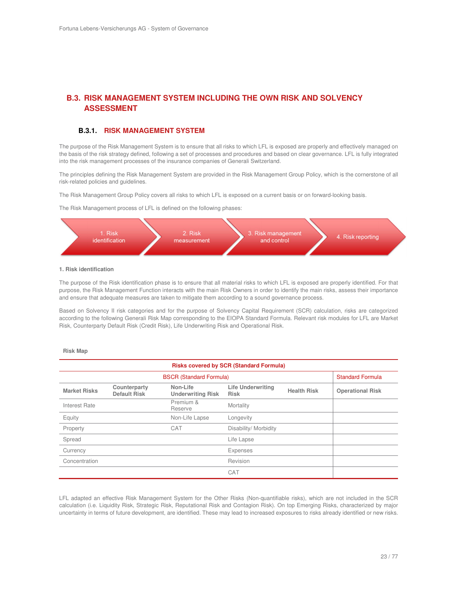## **B.3. RISK MANAGEMENT SYSTEM INCLUDING THE OWN RISK AND SOLVENCY ASSESSMENT**

#### **B.3.1. RISK MANAGEMENT SYSTEM**

The purpose of the Risk Management System is to ensure that all risks to which LFL is exposed are properly and effectively managed on the basis of the risk strategy defined, following a set of processes and procedures and based on clear governance. LFL is fully integrated into the risk management processes of the insurance companies of Generali Switzerland.

The principles defining the Risk Management System are provided in the Risk Management Group Policy, which is the cornerstone of all risk-related policies and guidelines.

The Risk Management Group Policy covers all risks to which LFL is exposed on a current basis or on forward-looking basis.

The Risk Management process of LFL is defined on the following phases:



#### **1. Risk identification**

The purpose of the Risk identification phase is to ensure that all material risks to which LFL is exposed are properly identified. For that purpose, the Risk Management Function interacts with the main Risk Owners in order to identify the main risks, assess their importance and ensure that adequate measures are taken to mitigate them according to a sound governance process.

Based on Solvency II risk categories and for the purpose of Solvency Capital Requirement (SCR) calculation, risks are categorized according to the following Generali Risk Map corresponding to the EIOPA Standard Formula. Relevant risk modules for LFL are Market Risk, Counterparty Default Risk (Credit Risk), Life Underwriting Risk and Operational Risk.

#### **Risk Map**

| <b>Risks covered by SCR (Standard Formula)</b> |                                     |                                      |                                         |                         |                         |
|------------------------------------------------|-------------------------------------|--------------------------------------|-----------------------------------------|-------------------------|-------------------------|
| <b>BSCR (Standard Formula)</b>                 |                                     |                                      |                                         | <b>Standard Formula</b> |                         |
| <b>Market Risks</b>                            | Counterparty<br><b>Default Risk</b> | Non-Life<br><b>Underwriting Risk</b> | <b>Life Underwriting</b><br><b>Risk</b> | <b>Health Risk</b>      | <b>Operational Risk</b> |
| Interest Rate                                  |                                     | Premium &<br>Reserve                 | Mortality                               |                         |                         |
| Equity                                         |                                     | Non-Life Lapse                       | Longevity                               |                         |                         |
| Property                                       |                                     | CAT                                  | Disability/ Morbidity                   |                         |                         |
| Spread                                         |                                     |                                      | Life Lapse                              |                         |                         |
| Currency                                       |                                     |                                      | Expenses                                |                         |                         |
| Concentration                                  |                                     |                                      | Revision                                |                         |                         |
|                                                |                                     |                                      | CAT                                     |                         |                         |

LFL adapted an effective Risk Management System for the Other Risks (Non-quantifiable risks), which are not included in the SCR calculation (i.e. Liquidity Risk, Strategic Risk, Reputational Risk and Contagion Risk). On top Emerging Risks, characterized by major uncertainty in terms of future development, are identified. These may lead to increased exposures to risks already identified or new risks.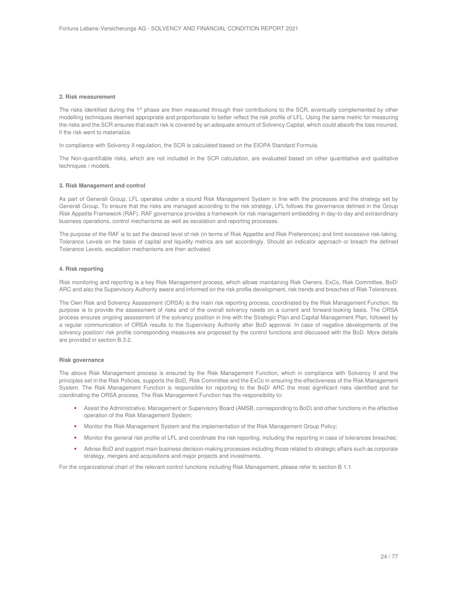#### **2. Risk measurement**

The risks identified during the 1<sup>st</sup> phase are then measured through their contributions to the SCR, eventually complemented by other modelling techniques deemed appropriate and proportionate to better reflect the risk profile of LFL. Using the same metric for measuring the risks and the SCR ensures that each risk is covered by an adequate amount of Solvency Capital, which could absorb the loss incurred, if the risk went to materialize.

In compliance with Solvency II regulation, the SCR is calculated based on the EIOPA Standard Formula.

The Non-quantifiable risks, which are not included in the SCR calculation, are evaluated based on other quantitative and qualitative techniques / models.

#### **3. Risk Management and control**

As part of Generali Group, LFL operates under a sound Risk Management System in line with the processes and the strategy set by Generali Group. To ensure that the risks are managed according to the risk strategy, LFL follows the governance defined in the Group Risk Appetite Framework (RAF). RAF governance provides a framework for risk management embedding in day-to-day and extraordinary business operations, control mechanisms as well as escalation and reporting processes.

The purpose of the RAF is to set the desired level of risk (in terms of Risk Appetite and Risk Preferences) and limit excessive risk-taking. Tolerance Levels on the basis of capital and liquidity metrics are set accordingly. Should an indicator approach or breach the defined Tolerance Levels, escalation mechanisms are then activated.

#### **4. Risk reporting**

Risk monitoring and reporting is a key Risk Management process, which allows maintaining Risk Owners, ExCo, Risk Committee, BoD/ ARC and also the Supervisory Authority aware and informed on the risk profile development, risk trends and breaches of Risk Tolerances.

The Own Risk and Solvency Assessment (ORSA) is the main risk reporting process, coordinated by the Risk Management Function. Its purpose is to provide the assessment of risks and of the overall solvency needs on a current and forward-looking basis. The ORSA process ensures ongoing assessment of the solvency position in line with the Strategic Plan and Capital Management Plan, followed by a regular communication of ORSA results to the Supervisory Authority after BoD approval. In case of negative developments of the solvency position/ risk profile corresponding measures are proposed by the control functions and discussed with the BoD. More details are provided in section B.3.2.

#### **Risk governance**

The above Risk Management process is ensured by the Risk Management Function, which in compliance with Solvency II and the principles set in the Risk Policies, supports the BoD, Risk Committee and the ExCo in ensuring the effectiveness of the Risk Management System. The Risk Management Function is responsible for reporting to the BoD/ ARC the most significant risks identified and for coordinating the ORSA process. The Risk Management Function has the responsibility to:

- Assist the Administrative, Management or Supervisory Board (AMSB, corresponding to BoD) and other functions in the effective operation of the Risk Management System;
- Monitor the Risk Management System and the implementation of the Risk Management Group Policy;
- Monitor the general risk profile of LFL and coordinate the risk reporting, including the reporting in case of tolerances breaches;
- Advise BoD and support main business decision-making processes including those related to strategic affairs such as corporate strategy, mergers and acquisitions and major projects and investments.

For the organizational chart of the relevant control functions including Risk Management, please refer to section B 1.1.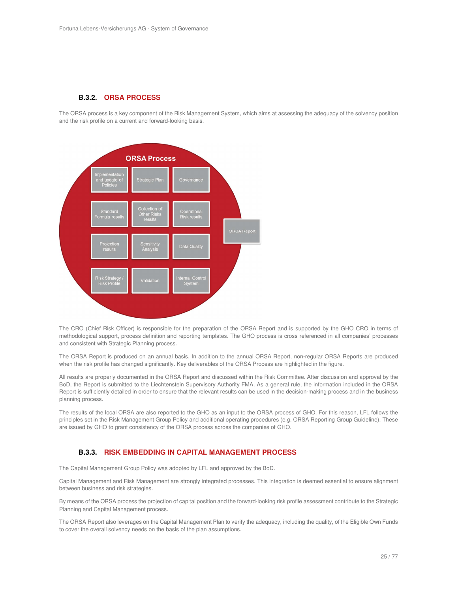#### **B.3.2. ORSA PROCESS**

The ORSA process is a key component of the Risk Management System, which aims at assessing the adequacy of the solvency position and the risk profile on a current and forward-looking basis.



The CRO (Chief Risk Officer) is responsible for the preparation of the ORSA Report and is supported by the GHO CRO in terms of methodological support, process definition and reporting templates. The GHO process is cross referenced in all companies' processes and consistent with Strategic Planning process.

The ORSA Report is produced on an annual basis. In addition to the annual ORSA Report, non-regular ORSA Reports are produced when the risk profile has changed significantly. Key deliverables of the ORSA Process are highlighted in the figure.

All results are properly documented in the ORSA Report and discussed within the Risk Committee. After discussion and approval by the BoD, the Report is submitted to the Liechtenstein Supervisory Authority FMA. As a general rule, the information included in the ORSA Report is sufficiently detailed in order to ensure that the relevant results can be used in the decision-making process and in the business planning process.

The results of the local ORSA are also reported to the GHO as an input to the ORSA process of GHO. For this reason, LFL follows the principles set in the Risk Management Group Policy and additional operating procedures (e.g. ORSA Reporting Group Guideline). These are issued by GHO to grant consistency of the ORSA process across the companies of GHO.

#### **B.3.3. RISK EMBEDDING IN CAPITAL MANAGEMENT PROCESS**

The Capital Management Group Policy was adopted by LFL and approved by the BoD.

Capital Management and Risk Management are strongly integrated processes. This integration is deemed essential to ensure alignment between business and risk strategies.

By means of the ORSA process the projection of capital position and the forward-looking risk profile assessment contribute to the Strategic Planning and Capital Management process.

The ORSA Report also leverages on the Capital Management Plan to verify the adequacy, including the quality, of the Eligible Own Funds to cover the overall solvency needs on the basis of the plan assumptions.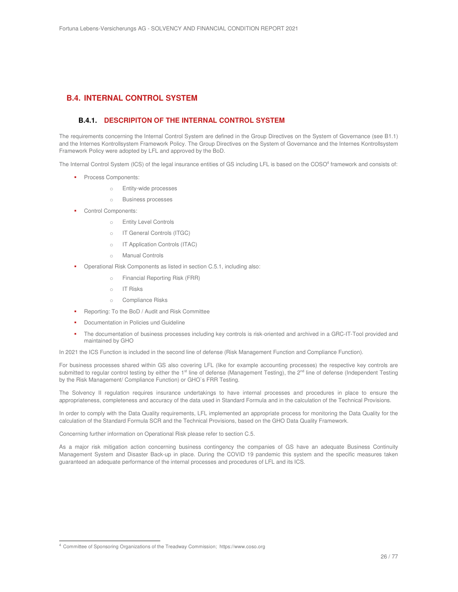## **B.4. INTERNAL CONTROL SYSTEM**

#### **B.4.1. DESCRIPITON OF THE INTERNAL CONTROL SYSTEM**

The requirements concerning the Internal Control System are defined in the Group Directives on the System of Governance (see B1.1) and the Internes Kontrollsystem Framework Policy. The Group Directives on the System of Governance and the Internes Kontrollsystem Framework Policy were adopted by LFL and approved by the BoD.

The Internal Control System (ICS) of the legal insurance entities of GS including LFL is based on the COSO<sup>4</sup> framework and consists of:

- **Process Components:** 
	- o Entity-wide processes
	- o Business processes
- **•** Control Components:
	- o Entity Level Controls
	- o IT General Controls (ITGC)
	- o IT Application Controls (ITAC)
	- o Manual Controls
- Operational Risk Components as listed in section C.5.1, including also:
	- o Financial Reporting Risk (FRR)
	- o IT Risks
	- o Compliance Risks
- Reporting: To the BoD / Audit and Risk Committee
- Documentation in Policies und Guideline
- The documentation of business processes including key controls is risk-oriented and archived in a GRC-IT-Tool provided and maintained by GHO

In 2021 the ICS Function is included in the second line of defense (Risk Management Function and Compliance Function).

For business processes shared within GS also covering LFL (like for example accounting processes) the respective key controls are submitted to regular control testing by either the 1<sup>st</sup> line of defense (Management Testing), the 2<sup>nd</sup> line of defense (Independent Testing by the Risk Management/ Compliance Function) or GHO`s FRR Testing.

The Solvency II regulation requires insurance undertakings to have internal processes and procedures in place to ensure the appropriateness, completeness and accuracy of the data used in Standard Formula and in the calculation of the Technical Provisions.

In order to comply with the Data Quality requirements, LFL implemented an appropriate process for monitoring the Data Quality for the calculation of the Standard Formula SCR and the Technical Provisions, based on the GHO Data Quality Framework.

Concerning further information on Operational Risk please refer to section C.5.

As a major risk mitigation action concerning business contingency the companies of GS have an adequate Business Continuity Management System and Disaster Back-up in place. During the COVID 19 pandemic this system and the specific measures taken guaranteed an adequate performance of the internal processes and procedures of LFL and its ICS.

 $\overline{a}$ 

<sup>&</sup>lt;sup>4</sup> Committee of Sponsoring Organizations of the Treadway Commission; https://www.coso.org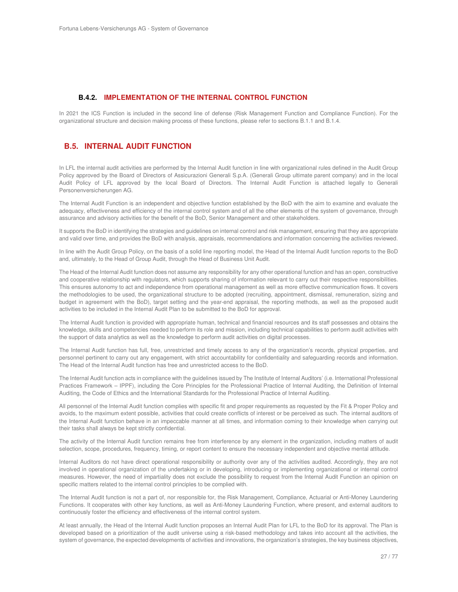#### **B.4.2. IMPLEMENTATION OF THE INTERNAL CONTROL FUNCTION**

In 2021 the ICS Function is included in the second line of defense (Risk Management Function and Compliance Function). For the organizational structure and decision making process of these functions, please refer to sections B.1.1 and B.1.4.

#### **B.5. INTERNAL AUDIT FUNCTION**

In LFL the internal audit activities are performed by the Internal Audit function in line with organizational rules defined in the Audit Group Policy approved by the Board of Directors of Assicurazioni Generali S.p.A. (Generali Group ultimate parent company) and in the local Audit Policy of LFL approved by the local Board of Directors. The Internal Audit Function is attached legally to Generali Personenversicherungen AG.

The Internal Audit Function is an independent and objective function established by the BoD with the aim to examine and evaluate the adequacy, effectiveness and efficiency of the internal control system and of all the other elements of the system of governance, through assurance and advisory activities for the benefit of the BoD, Senior Management and other stakeholders.

It supports the BoD in identifying the strategies and guidelines on internal control and risk management, ensuring that they are appropriate and valid over time, and provides the BoD with analysis, appraisals, recommendations and information concerning the activities reviewed.

In line with the Audit Group Policy, on the basis of a solid line reporting model, the Head of the Internal Audit function reports to the BoD and, ultimately, to the Head of Group Audit, through the Head of Business Unit Audit.

The Head of the Internal Audit function does not assume any responsibility for any other operational function and has an open, constructive and cooperative relationship with regulators, which supports sharing of information relevant to carry out their respective responsibilities. This ensures autonomy to act and independence from operational management as well as more effective communication flows. It covers the methodologies to be used, the organizational structure to be adopted (recruiting, appointment, dismissal, remuneration, sizing and budget in agreement with the BoD), target setting and the year-end appraisal, the reporting methods, as well as the proposed audit activities to be included in the Internal Audit Plan to be submitted to the BoD for approval.

The Internal Audit function is provided with appropriate human, technical and financial resources and its staff possesses and obtains the knowledge, skills and competencies needed to perform its role and mission, including technical capabilities to perform audit activities with the support of data analytics as well as the knowledge to perform audit activities on digital processes.

The Internal Audit function has full, free, unrestricted and timely access to any of the organization's records, physical properties, and personnel pertinent to carry out any engagement, with strict accountability for confidentiality and safeguarding records and information. The Head of the Internal Audit function has free and unrestricted access to the BoD.

The Internal Audit function acts in compliance with the guidelines issued by The Institute of Internal Auditors' (i.e. International Professional Practices Framework – IPPF), including the Core Principles for the Professional Practice of Internal Auditing, the Definition of Internal Auditing, the Code of Ethics and the International Standards for the Professional Practice of Internal Auditing.

All personnel of the Internal Audit function complies with specific fit and proper requirements as requested by the Fit & Proper Policy and avoids, to the maximum extent possible, activities that could create conflicts of interest or be perceived as such. The internal auditors of the Internal Audit function behave in an impeccable manner at all times, and information coming to their knowledge when carrying out their tasks shall always be kept strictly confidential.

The activity of the Internal Audit function remains free from interference by any element in the organization, including matters of audit selection, scope, procedures, frequency, timing, or report content to ensure the necessary independent and objective mental attitude.

Internal Auditors do not have direct operational responsibility or authority over any of the activities audited. Accordingly, they are not involved in operational organization of the undertaking or in developing, introducing or implementing organizational or internal control measures. However, the need of impartiality does not exclude the possibility to request from the Internal Audit Function an opinion on specific matters related to the internal control principles to be complied with.

The Internal Audit function is not a part of, nor responsible for, the Risk Management, Compliance, Actuarial or Anti-Money Laundering Functions. It cooperates with other key functions, as well as Anti-Money Laundering Function, where present, and external auditors to continuously foster the efficiency and effectiveness of the internal control system.

At least annually, the Head of the Internal Audit function proposes an Internal Audit Plan for LFL to the BoD for its approval. The Plan is developed based on a prioritization of the audit universe using a risk-based methodology and takes into account all the activities, the system of governance, the expected developments of activities and innovations, the organization's strategies, the key business objectives,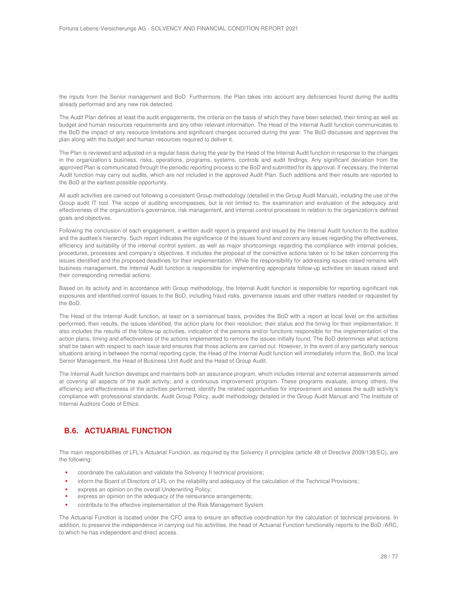the inputs from the Senior management and BoD. Furthermore, the Plan takes into account any deficiencies found during the audits already performed and any new risk detected.

The Audit Plan defines at least the audit engagements, the criteria on the basis of which they have been selected, their timing as well as budget and human resources requirements and any other relevant information. The Head of the Internal Audit function communicates to the BoD the impact of any resource limitations and significant changes occurred during the year. The BoD discusses and approves the plan along with the budget and human resources required to deliver it.

The Plan is reviewed and adjusted on a regular basis during the year by the Head of the Internal Audit function in response to the changes in the organization's business, risks, operations, programs, systems, controls and audit findings. Any significant deviation from the approved Plan is communicated through the periodic reporting process to the BoD and submitted for its approval. If necessary, the Internal Audit function may carry out audits, which are not included in the approved Audit Plan. Such additions and their results are reported to the BoD at the earliest possible opportunity.

All audit activities are carried out following a consistent Group methodology (detailed in the Group Audit Manual), including the use of the Group audit IT tool. The scope of auditing encompasses, but is not limited to, the examination and evaluation of the adequacy and effectiveness of the organization's governance, risk management, and internal control processes in relation to the organization's defined goals and objectives.

Following the conclusion of each engagement, a written audit report is prepared and issued by the Internal Audit function to the auditee and the auditee's hierarchy. Such report indicates the significance of the issues found and covers any issues regarding the effectiveness, efficiency and suitability of the internal control system, as well as major shortcomings regarding the compliance with internal policies, procedures, processes and company's objectives. It includes the proposal of the corrective actions taken or to be taken concerning the issues identified and the proposed deadlines for their implementation. While the responsibility for addressing issues raised remains with business management, the Internal Audit function is responsible for implementing appropriate follow-up activities on issues raised and their corresponding remedial actions.

Based on its activity and in accordance with Group methodology, the Internal Audit function is responsible for reporting significant risk exposures and identified control issues to the BoD, including fraud risks, governance issues and other matters needed or requested by the BoD.

The Head of the Internal Audit function, at least on a semiannual basis, provides the BoD with a report at local level on the activities performed, their results, the issues identified, the action plans for their resolution, their status and the timing for their implementation. It also includes the results of the follow-up activities, indication of the persons and/or functions responsible for the implementation of the action plans, timing and effectiveness of the actions implemented to remove the issues initially found. The BoD determines what actions shall be taken with respect to each issue and ensures that those actions are carried out. However, in the event of any particularly serious situations arising in between the normal reporting cycle, the Head of the Internal Audit function will immediately inform the, BoD, the local Senior Management, the Head of Business Unit Audit and the Head of Group Audit.

The Internal Audit function develops and maintains both an assurance program, which includes internal and external assessments aimed at covering all aspects of the audit activity, and a continuous improvement program. These programs evaluate, among others, the efficiency and effectiveness of the activities performed, identify the related opportunities for improvement and assess the audit activity's compliance with professional standards, Audit Group Policy, audit methodology detailed in the Group Audit Manual and The Institute of Internal Auditors Code of Ethics.

## **B.6. ACTUARIAL FUNCTION**

The main responsibilities of LFL's Actuarial Function, as required by the Solvency II principles (article 48 of Directive 2009/138/EC), are the following:

- coordinate the calculation and validate the Solvency II technical provisions;
- inform the Board of Directors of LFL on the reliability and adequacy of the calculation of the Technical Provisions;
- express an opinion on the overall Underwriting Policy;
- express an opinion on the adequacy of the reinsurance arrangements;
- contribute to the effective implementation of the Risk Management System.

The Actuarial Function is located under the CFO area to ensure an effective coordination for the calculation of technical provisions. In addition, to preserve the independence in carrying out his activities, the head of Actuarial Function functionally reports to the BoD /ARC, to which he has independent and direct access.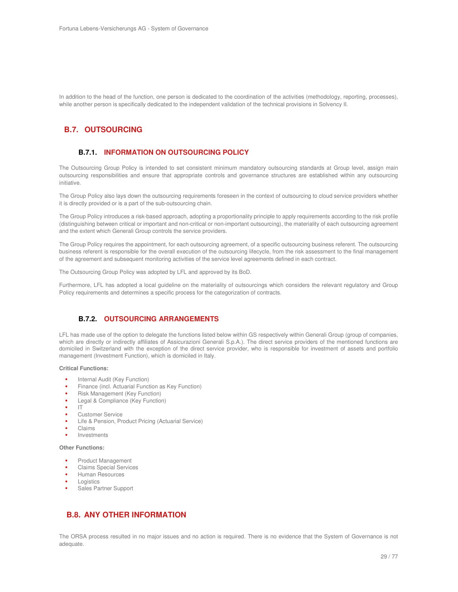In addition to the head of the function, one person is dedicated to the coordination of the activities (methodology, reporting, processes), while another person is specifically dedicated to the independent validation of the technical provisions in Solvency II.

## **B.7. OUTSOURCING**

#### **B.7.1. INFORMATION ON OUTSOURCING POLICY**

The Outsourcing Group Policy is intended to set consistent minimum mandatory outsourcing standards at Group level, assign main outsourcing responsibilities and ensure that appropriate controls and governance structures are established within any outsourcing initiative.

The Group Policy also lays down the outsourcing requirements foreseen in the context of outsourcing to cloud service providers whether it is directly provided or is a part of the sub-outsourcing chain.

The Group Policy introduces a risk-based approach, adopting a proportionality principle to apply requirements according to the risk profile (distinguishing between critical or important and non-critical or non-important outsourcing), the materiality of each outsourcing agreement and the extent which Generali Group controls the service providers.

The Group Policy requires the appointment, for each outsourcing agreement, of a specific outsourcing business referent. The outsourcing business referent is responsible for the overall execution of the outsourcing lifecycle, from the risk assessment to the final management of the agreement and subsequent monitoring activities of the service level agreements defined in each contract.

The Outsourcing Group Policy was adopted by LFL and approved by its BoD.

Furthermore, LFL has adopted a local guideline on the materiality of outsourcings which considers the relevant regulatory and Group Policy requirements and determines a specific process for the categorization of contracts.

#### **B.7.2. OUTSOURCING ARRANGEMENTS**

LFL has made use of the option to delegate the functions listed below within GS respectively within Generali Group (group of companies, which are directly or indirectly affiliates of Assicurazioni Generali S.p.A.). The direct service providers of the mentioned functions are domiciled in Switzerland with the exception of the direct service provider, who is responsible for investment of assets and portfolio management (Investment Function), which is domiciled in Italy.

#### **Critical Functions:**

- Internal Audit (Key Function)
- Finance (incl. Actuarial Function as Key Function)
- Risk Management (Key Function)
- Legal & Compliance (Key Function)
- IT
- Customer Service
- Life & Pension, Product Pricing (Actuarial Service)
- Claims
- Investments

#### **Other Functions:**

- Product Management
- Claims Special Services
- Human Resources
- Logistics
- Sales Partner Support

## **B.8. ANY OTHER INFORMATION**

The ORSA process resulted in no major issues and no action is required. There is no evidence that the System of Governance is not adequate.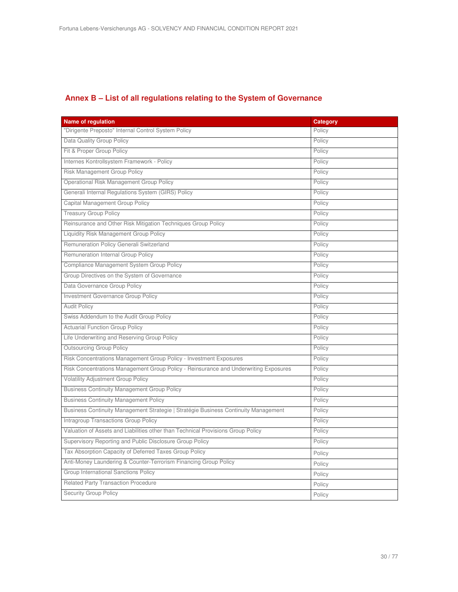## **Annex B – List of all regulations relating to the System of Governance**

| <b>Name of regulation</b>                                                            | <b>Category</b> |
|--------------------------------------------------------------------------------------|-----------------|
| "Dirigente Preposto" Internal Control System Policy                                  | Policy          |
| Data Quality Group Policy                                                            | Policy          |
| Fit & Proper Group Policy                                                            | Policy          |
| Internes Kontrollsystem Framework - Policy                                           | Policy          |
| Risk Management Group Policy                                                         | Policy          |
| Operational Risk Management Group Policy                                             | Policy          |
| Generali Internal Regulations System (GIRS) Policy                                   | Policy          |
| Capital Management Group Policy                                                      | Policy          |
| <b>Treasury Group Policy</b>                                                         | Policy          |
| Reinsurance and Other Risk Mitigation Techniques Group Policy                        | Policy          |
| Liquidity Risk Management Group Policy                                               | Policy          |
| Remuneration Policy Generali Switzerland                                             | Policy          |
| Remuneration Internal Group Policy                                                   | Policy          |
| Compliance Management System Group Policy                                            | Policy          |
| Group Directives on the System of Governance                                         | Policy          |
| Data Governance Group Policy                                                         | Policy          |
| Investment Governance Group Policy                                                   | Policy          |
| <b>Audit Policy</b>                                                                  | Policy          |
| Swiss Addendum to the Audit Group Policy                                             | Policy          |
| <b>Actuarial Function Group Policy</b>                                               | Policy          |
| Life Underwriting and Reserving Group Policy                                         | Policy          |
| <b>Outsourcing Group Policy</b>                                                      | Policy          |
| Risk Concentrations Management Group Policy - Investment Exposures                   | Policy          |
| Risk Concentrations Management Group Policy - Reinsurance and Underwriting Exposures | Policy          |
| <b>Volatility Adjustment Group Policy</b>                                            | Policy          |
| <b>Business Continuity Management Group Policy</b>                                   | Policy          |
| <b>Business Continuity Management Policy</b>                                         | Policy          |
| Business Continuity Management Strategie   Stratégie Business Continuity Management  | Policy          |
| Intragroup Transactions Group Policy                                                 | Policy          |
| Valuation of Assets and Liabilities other than Technical Provisions Group Policy     | Policy          |
| Supervisory Reporting and Public Disclosure Group Policy                             | Policy          |
| Tax Absorption Capacity of Deferred Taxes Group Policy                               | Policy          |
| Anti-Money Laundering & Counter-Terrorism Financing Group Policy                     | Policy          |
| Group International Sanctions Policy                                                 | Policy          |
| <b>Related Party Transaction Procedure</b>                                           | Policy          |
| <b>Security Group Policy</b>                                                         | Policy          |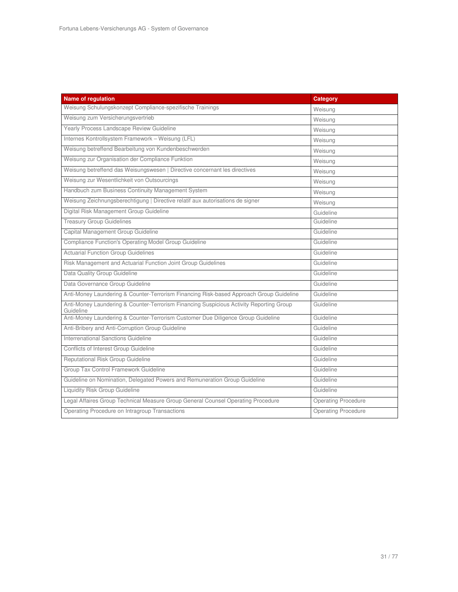| <b>Name of regulation</b>                                                                            | <b>Category</b>            |
|------------------------------------------------------------------------------------------------------|----------------------------|
| Weisung Schulungskonzept Compliance-spezifische Trainings                                            | Weisung                    |
| Weisung zum Versicherungsvertrieb                                                                    | Weisung                    |
| Yearly Process Landscape Review Guideline                                                            | Weisung                    |
| Internes Kontrollsystem Framework - Weisung (LFL)                                                    | Weisung                    |
| Weisung betreffend Bearbeitung von Kundenbeschwerden                                                 | Weisung                    |
| Weisung zur Organisation der Compliance Funktion                                                     | Weisung                    |
| Weisung betreffend das Weisungswesen   Directive concernant les directives                           | Weisung                    |
| Weisung zur Wesentlichkeit von Outsourcings                                                          | Weisung                    |
| Handbuch zum Business Continuity Management System                                                   | Weisung                    |
| Weisung Zeichnungsberechtigung   Directive relatif aux autorisations de signer                       | Weisung                    |
| Digital Risk Management Group Guideline                                                              | Guideline                  |
| <b>Treasury Group Guidelines</b>                                                                     | Guideline                  |
| Capital Management Group Guideline                                                                   | Guideline                  |
| Compliance Function's Operating Model Group Guideline                                                | Guideline                  |
| <b>Actuarial Function Group Guidelines</b>                                                           | Guideline                  |
| Risk Management and Actuarial Function Joint Group Guidelines                                        | Guideline                  |
| Data Quality Group Guideline                                                                         | Guideline                  |
| Data Governance Group Guideline                                                                      | Guideline                  |
| Anti-Money Laundering & Counter-Terrorism Financing Risk-based Approach Group Guideline              | Guideline                  |
| Anti-Money Laundering & Counter-Terrorism Financing Suspicious Activity Reporting Group<br>Guideline | Guideline                  |
| Anti-Money Laundering & Counter-Terrorism Customer Due Diligence Group Guideline                     | Guideline                  |
| Anti-Bribery and Anti-Corruption Group Guideline                                                     | Guideline                  |
| Interrenational Sanctions Guideline                                                                  | Guideline                  |
| Conflicts of Interest Group Guideline                                                                | Guideline                  |
| Reputational Risk Group Guideline                                                                    | Guideline                  |
| Group Tax Control Framework Guideline                                                                | Guideline                  |
| Guideline on Nomination, Delegated Powers and Remuneration Group Guideline                           | Guideline                  |
| <b>Liquidity Risk Group Guideline</b>                                                                | Guideline                  |
| Legal Affaires Group Technical Measure Group General Counsel Operating Procedure                     | <b>Operating Procedure</b> |
| Operating Procedure on Intragroup Transactions                                                       | <b>Operating Procedure</b> |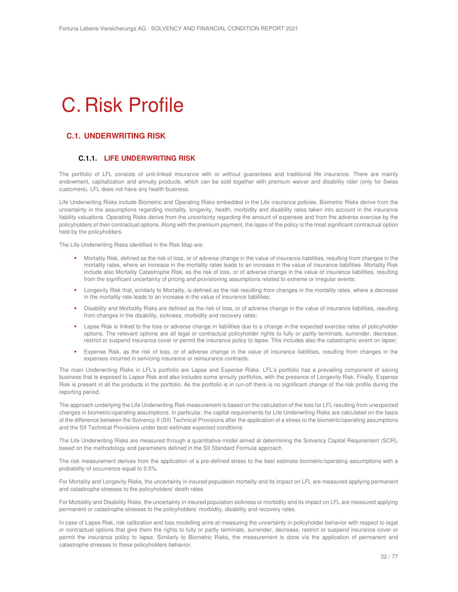## C. Risk Profile

## **C.1. UNDERWRITING RISK**

#### **C.1.1. LIFE UNDERWRITING RISK**

The portfolio of LFL consists of unit-linked insurance with or without guarantees and traditional life insurance. There are mainly endowment, capitalization and annuity products, which can be sold together with premium waiver and disability rider (only for Swiss customers). LFL does not have any health business.

Life Underwriting Risks include Biometric and Operating Risks embedded in the Life insurance policies. Biometric Risks derive from the uncertainty in the assumptions regarding mortality, longevity, health, morbidity and disability rates taken into account in the insurance liability valuations. Operating Risks derive from the uncertainty regarding the amount of expenses and from the adverse exercise by the policyholders of their contractual options. Along with the premium payment, the lapse of the policy is the most significant contractual option held by the policyholders.

The Life Underwriting Risks identified in the Risk Map are:

- Mortality Risk, defined as the risk of loss, or of adverse change in the value of insurance liabilities, resulting from changes in the mortality rates, where an increase in the mortality rates leads to an increase in the value of insurance liabilities. Mortality Risk include also Mortality Catastrophe Risk, as the risk of loss, or of adverse change in the value of insurance liabilities, resulting from the significant uncertainty of pricing and provisioning assumptions related to extreme or irregular events;
- Longevity Risk that, similarly to Mortality, is defined as the risk resulting from changes in the mortality rates, where a decrease in the mortality rate leads to an increase in the value of insurance liabilities;
- Disability and Morbidity Risks are defined as the risk of loss, or of adverse change in the value of insurance liabilities, resulting from changes in the disability, sickness, morbidity and recovery rates;
- Lapse Risk is linked to the loss or adverse change in liabilities due to a change in the expected exercise rates of policyholder options. The relevant options are all legal or contractual policyholder rights to fully or partly terminate, surrender, decrease, restrict or suspend insurance cover or permit the insurance policy to lapse. This includes also the catastrophic event on lapse;
- Expense Risk, as the risk of loss, or of adverse change in the value of insurance liabilities, resulting from changes in the expenses incurred in servicing insurance or reinsurance contracts.

The main Underwriting Risks in LFL's portfolio are Lapse and Expense Risks. LFL's portfolio has a prevailing component of saving business that is exposed to Lapse Risk and also includes some annuity portfolios, with the presence of Longevity Risk. Finally, Expense Risk is present in all the products in the portfolio. As the portfolio is in run-off there is no significant change of the risk profile during the reporting period.

The approach underlying the Life Underwriting Risk measurement is based on the calculation of the loss for LFL resulting from unexpected changes in biometric/operating assumptions. In particular, the capital requirements for Life Underwriting Risks are calculated on the basis of the difference between the Solvency II (SII) Technical Provisions after the application of a stress to the biometric/operating assumptions and the SII Technical Provisions under best-estimate expected conditions.

The Life Underwriting Risks are measured through a quantitative model aimed at determining the Solvency Capital Requirement (SCR), based on the methodology and parameters defined in the SII Standard Formula approach.

The risk measurement derives from the application of a pre-defined stress to the best estimate biometric/operating assumptions with a probability of occurrence equal to 0.5%.

For Mortality and Longevity Risks, the uncertainty in insured population mortality and its impact on LFL are measured applying permanent and catastrophe stresses to the policyholders' death rates.

For Morbidity and Disability Risks, the uncertainty in insured population sickness or morbidity and its impact on LFL are measured applying permanent or catastrophe stresses to the policyholders' morbidity, disability and recovery rates.

In case of Lapse Risk, risk calibration and loss modelling aims at measuring the uncertainty in policyholder behavior with respect to legal or contractual options that give them the rights to fully or partly terminate, surrender, decrease, restrict or suspend insurance cover or permit the insurance policy to lapse. Similarly to Biometric Risks, the measurement is done via the application of permanent and catastrophe stresses to these policyholders behavior.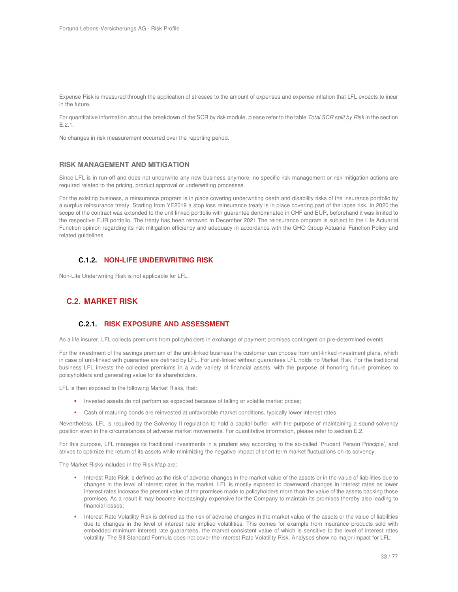Expense Risk is measured through the application of stresses to the amount of expenses and expense inflation that LFL expects to incur in the future.

For quantitative information about the breakdown of the SCR by risk module, please refer to the table Total SCR split by Risk in the section E.2.1.

No changes in risk measurement occurred over the reporting period.

#### **RISK MANAGEMENT AND MITIGATION**

Since LFL is in run-off and does not underwrite any new business anymore, no specific risk management or risk mitigation actions are required related to the pricing, product approval or underwriting processes.

For the existing business, a reinsurance program is in place covering underwriting death and disability risks of the insurance portfolio by a surplus reinsurance treaty. Starting from YE2019 a stop loss reinsurance treaty is in place covering part of the lapse risk. In 2020 the scope of the contract was extended to the unit linked portfolio with guarantee denominated in CHF and EUR, beforehand it was limited to the respective EUR portfolio. The treaty has been renewed in December 2021.The reinsurance program is subject to the Life Actuarial Function opinion regarding its risk mitigation efficiency and adequacy in accordance with the GHO Group Actuarial Function Policy and related guidelines.

#### **C.1.2. NON-LIFE UNDERWRITING RISK**

Non-Life Underwriting Risk is not applicable for LFL.

## **C.2. MARKET RISK**

## **C.2.1. RISK EXPOSURE AND ASSESSMENT**

As a life insurer, LFL collects premiums from policyholders in exchange of payment promises contingent on pre-determined events.

For the investment of the savings premium of the unit-linked business the customer can choose from unit-linked investment plans, which in case of unit-linked with guarantee are defined by LFL. For unit-linked without guarantees LFL holds no Market Risk. For the traditional business LFL invests the collected premiums in a wide variety of financial assets, with the purpose of honoring future promises to policyholders and generating value for its shareholders.

LFL is then exposed to the following Market Risks, that:

- Invested assets do not perform as expected because of falling or volatile market prices;
- Cash of maturing bonds are reinvested at unfavorable market conditions, typically lower interest rates.

Nevertheless, LFL is required by the Solvency II regulation to hold a capital buffer, with the purpose of maintaining a sound solvency position even in the circumstances of adverse market movements. For quantitative information, please refer to section E.2.

For this purpose, LFL manages its traditional investments in a prudent way according to the so-called 'Prudent Person Principle', and strives to optimize the return of its assets while minimizing the negative impact of short term market fluctuations on its solvency.

The Market Risks included in the Risk Map are:

- Interest Rate Risk is defined as the risk of adverse changes in the market value of the assets or in the value of liabilities due to changes in the level of interest rates in the market. LFL is mostly exposed to downward changes in interest rates as lower interest rates increase the present value of the promises made to policyholders more than the value of the assets backing those promises. As a result it may become increasingly expensive for the Company to maintain its promises thereby also leading to financial losses;
- Interest Rate Volatility Risk is defined as the risk of adverse changes in the market value of the assets or the value of liabilities due to changes in the level of interest rate implied volatilities. This comes for example from insurance products sold with embedded minimum interest rate guarantees, the market consistent value of which is sensitive to the level of interest rates volatility. The SII Standard Formula does not cover the Interest Rate Volatility Risk. Analyses show no major impact for LFL;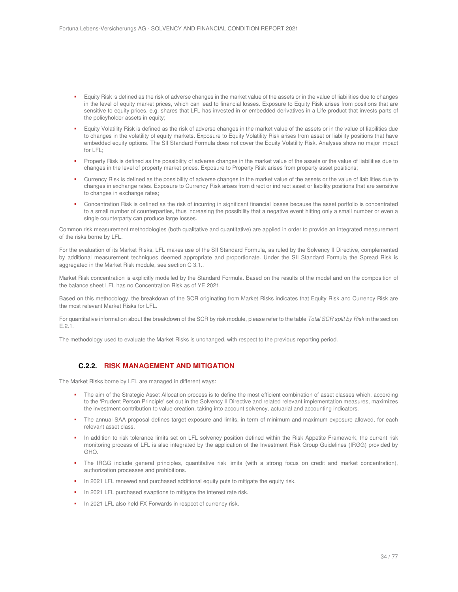- Equity Risk is defined as the risk of adverse changes in the market value of the assets or in the value of liabilities due to changes in the level of equity market prices, which can lead to financial losses. Exposure to Equity Risk arises from positions that are sensitive to equity prices, e.g. shares that LFL has invested in or embedded derivatives in a Life product that invests parts of the policyholder assets in equity;
- Equity Volatility Risk is defined as the risk of adverse changes in the market value of the assets or in the value of liabilities due to changes in the volatility of equity markets. Exposure to Equity Volatility Risk arises from asset or liability positions that have embedded equity options. The SII Standard Formula does not cover the Equity Volatility Risk. Analyses show no major impact for LFL;
- Property Risk is defined as the possibility of adverse changes in the market value of the assets or the value of liabilities due to changes in the level of property market prices. Exposure to Property Risk arises from property asset positions;
- Currency Risk is defined as the possibility of adverse changes in the market value of the assets or the value of liabilities due to changes in exchange rates. Exposure to Currency Risk arises from direct or indirect asset or liability positions that are sensitive to changes in exchange rates;
- Concentration Risk is defined as the risk of incurring in significant financial losses because the asset portfolio is concentrated to a small number of counterparties, thus increasing the possibility that a negative event hitting only a small number or even a single counterparty can produce large losses.

Common risk measurement methodologies (both qualitative and quantitative) are applied in order to provide an integrated measurement of the risks borne by LFL.

For the evaluation of its Market Risks, LFL makes use of the SII Standard Formula, as ruled by the Solvency II Directive, complemented by additional measurement techniques deemed appropriate and proportionate. Under the SII Standard Formula the Spread Risk is aggregated in the Market Risk module, see section C 3.1..

Market Risk concentration is explicitly modelled by the Standard Formula. Based on the results of the model and on the composition of the balance sheet LFL has no Concentration Risk as of YE 2021.

Based on this methodology, the breakdown of the SCR originating from Market Risks indicates that Equity Risk and Currency Risk are the most relevant Market Risks for LFL.

For quantitative information about the breakdown of the SCR by risk module, please refer to the table Total SCR split by Risk in the section E.2.1.

The methodology used to evaluate the Market Risks is unchanged, with respect to the previous reporting period.

## **C.2.2. RISK MANAGEMENT AND MITIGATION**

The Market Risks borne by LFL are managed in different ways:

- The aim of the Strategic Asset Allocation process is to define the most efficient combination of asset classes which, according to the 'Prudent Person Principle' set out in the Solvency II Directive and related relevant implementation measures, maximizes the investment contribution to value creation, taking into account solvency, actuarial and accounting indicators.
- The annual SAA proposal defines target exposure and limits, in term of minimum and maximum exposure allowed, for each relevant asset class.
- In addition to risk tolerance limits set on LFL solvency position defined within the Risk Appetite Framework, the current risk monitoring process of LFL is also integrated by the application of the Investment Risk Group Guidelines (IRGG) provided by GHO.
- The IRGG include general principles, quantitative risk limits (with a strong focus on credit and market concentration), authorization processes and prohibitions.
- In 2021 LFL renewed and purchased additional equity puts to mitigate the equity risk.
- In 2021 LFL purchased swaptions to mitigate the interest rate risk.
- In 2021 LFL also held FX Forwards in respect of currency risk.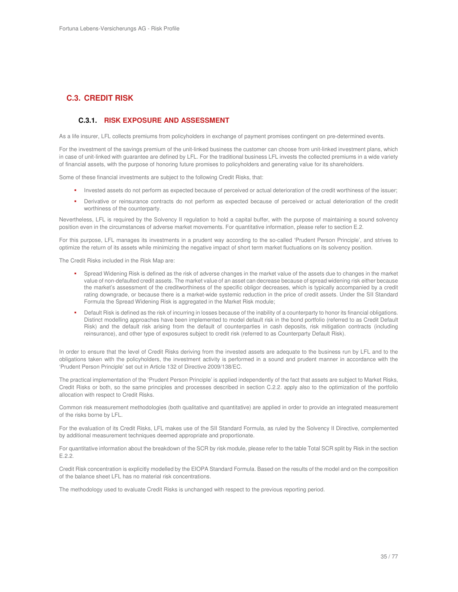## **C.3. CREDIT RISK**

#### **C.3.1. RISK EXPOSURE AND ASSESSMENT**

As a life insurer, LFL collects premiums from policyholders in exchange of payment promises contingent on pre-determined events.

For the investment of the savings premium of the unit-linked business the customer can choose from unit-linked investment plans, which in case of unit-linked with guarantee are defined by LFL. For the traditional business LFL invests the collected premiums in a wide variety of financial assets, with the purpose of honoring future promises to policyholders and generating value for its shareholders.

Some of these financial investments are subject to the following Credit Risks, that:

- Invested assets do not perform as expected because of perceived or actual deterioration of the credit worthiness of the issuer;
- Derivative or reinsurance contracts do not perform as expected because of perceived or actual deterioration of the credit worthiness of the counterparty.

Nevertheless, LFL is required by the Solvency II regulation to hold a capital buffer, with the purpose of maintaining a sound solvency position even in the circumstances of adverse market movements. For quantitative information, please refer to section E.2.

For this purpose, LFL manages its investments in a prudent way according to the so-called 'Prudent Person Principle', and strives to optimize the return of its assets while minimizing the negative impact of short term market fluctuations on its solvency position.

The Credit Risks included in the Risk Map are:

- Spread Widening Risk is defined as the risk of adverse changes in the market value of the assets due to changes in the market value of non-defaulted credit assets. The market value of an asset can decrease because of spread widening risk either because the market's assessment of the creditworthiness of the specific obligor decreases, which is typically accompanied by a credit rating downgrade, or because there is a market-wide systemic reduction in the price of credit assets. Under the SII Standard Formula the Spread Widening Risk is aggregated in the Market Risk module;
- Default Risk is defined as the risk of incurring in losses because of the inability of a counterparty to honor its financial obligations. Distinct modelling approaches have been implemented to model default risk in the bond portfolio (referred to as Credit Default Risk) and the default risk arising from the default of counterparties in cash deposits, risk mitigation contracts (including reinsurance), and other type of exposures subject to credit risk (referred to as Counterparty Default Risk).

In order to ensure that the level of Credit Risks deriving from the invested assets are adequate to the business run by LFL and to the obligations taken with the policyholders, the investment activity is performed in a sound and prudent manner in accordance with the 'Prudent Person Principle' set out in Article 132 of Directive 2009/138/EC.

The practical implementation of the 'Prudent Person Principle' is applied independently of the fact that assets are subject to Market Risks, Credit Risks or both, so the same principles and processes described in section C.2.2. apply also to the optimization of the portfolio allocation with respect to Credit Risks.

Common risk measurement methodologies (both qualitative and quantitative) are applied in order to provide an integrated measurement of the risks borne by LFL.

For the evaluation of its Credit Risks, LFL makes use of the SII Standard Formula, as ruled by the Solvency II Directive, complemented by additional measurement techniques deemed appropriate and proportionate.

For quantitative information about the breakdown of the SCR by risk module, please refer to the table Total SCR split by Risk in the section E.2.2.

Credit Risk concentration is explicitly modelled by the EIOPA Standard Formula. Based on the results of the model and on the composition of the balance sheet LFL has no material risk concentrations.

The methodology used to evaluate Credit Risks is unchanged with respect to the previous reporting period.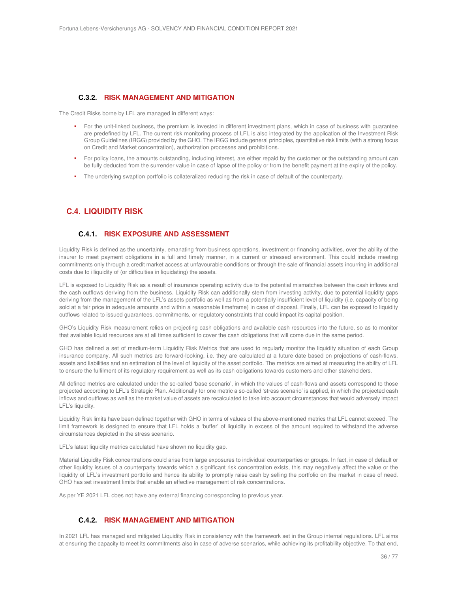#### **C.3.2. RISK MANAGEMENT AND MITIGATION**

The Credit Risks borne by LFL are managed in different ways:

- For the unit-linked business, the premium is invested in different investment plans, which in case of business with guarantee are predefined by LFL. The current risk monitoring process of LFL is also integrated by the application of the Investment Risk Group Guidelines (IRGG) provided by the GHO. The IRGG include general principles, quantitative risk limits (with a strong focus on Credit and Market concentration), authorization processes and prohibitions.
- For policy loans, the amounts outstanding, including interest, are either repaid by the customer or the outstanding amount can be fully deducted from the surrender value in case of lapse of the policy or from the benefit payment at the expiry of the policy.
- The underlying swaption portfolio is collateralized reducing the risk in case of default of the counterparty.

## **C.4. LIQUIDITY RISK**

#### **C.4.1. RISK EXPOSURE AND ASSESSMENT**

Liquidity Risk is defined as the uncertainty, emanating from business operations, investment or financing activities, over the ability of the insurer to meet payment obligations in a full and timely manner, in a current or stressed environment. This could include meeting commitments only through a credit market access at unfavourable conditions or through the sale of financial assets incurring in additional costs due to illiquidity of (or difficulties in liquidating) the assets.

LFL is exposed to Liquidity Risk as a result of insurance operating activity due to the potential mismatches between the cash inflows and the cash outflows deriving from the business. Liquidity Risk can additionally stem from investing activity, due to potential liquidity gaps deriving from the management of the LFL's assets portfolio as well as from a potentially insufficient level of liquidity (i.e. capacity of being sold at a fair price in adequate amounts and within a reasonable timeframe) in case of disposal. Finally, LFL can be exposed to liquidity outflows related to issued guarantees, commitments, or regulatory constraints that could impact its capital position.

GHO's Liquidity Risk measurement relies on projecting cash obligations and available cash resources into the future, so as to monitor that available liquid resources are at all times sufficient to cover the cash obligations that will come due in the same period.

GHO has defined a set of medium-term Liquidity Risk Metrics that are used to regularly monitor the liquidity situation of each Group insurance company. All such metrics are forward-looking, i.e. they are calculated at a future date based on projections of cash-flows, assets and liabilities and an estimation of the level of liquidity of the asset portfolio. The metrics are aimed at measuring the ability of LFL to ensure the fulfilment of its regulatory requirement as well as its cash obligations towards customers and other stakeholders.

All defined metrics are calculated under the so-called 'base scenario', in which the values of cash-flows and assets correspond to those projected according to LFL's Strategic Plan. Additionally for one metric a so-called 'stress scenario' is applied, in which the projected cash inflows and outflows as well as the market value of assets are recalculated to take into account circumstances that would adversely impact LFL's liquidity.

Liquidity Risk limits have been defined together with GHO in terms of values of the above-mentioned metrics that LFL cannot exceed. The limit framework is designed to ensure that LFL holds a 'buffer' of liquidity in excess of the amount required to withstand the adverse circumstances depicted in the stress scenario.

LFL's latest liquidity metrics calculated have shown no liquidity gap.

Material Liquidity Risk concentrations could arise from large exposures to individual counterparties or groups. In fact, in case of default or other liquidity issues of a counterparty towards which a significant risk concentration exists, this may negatively affect the value or the liquidity of LFL's investment portfolio and hence its ability to promptly raise cash by selling the portfolio on the market in case of need. GHO has set investment limits that enable an effective management of risk concentrations.

As per YE 2021 LFL does not have any external financing corresponding to previous year.

### **C.4.2. RISK MANAGEMENT AND MITIGATION**

In 2021 LFL has managed and mitigated Liquidity Risk in consistency with the framework set in the Group internal regulations. LFL aims at ensuring the capacity to meet its commitments also in case of adverse scenarios, while achieving its profitability objective. To that end,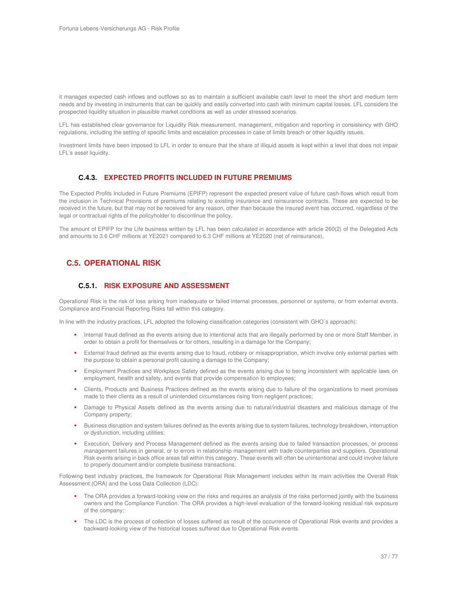it manages expected cash inflows and outflows so as to maintain a sufficient available cash level to meet the short and medium term needs and by investing in instruments that can be quickly and easily converted into cash with minimum capital losses. LFL considers the prospected liquidity situation in plausible market conditions as well as under stressed scenarios.

LFL has established clear governance for Liquidity Risk measurement, management, mitigation and reporting in consistency with GHO regulations, including the setting of specific limits and escalation processes in case of limits breach or other liquidity issues.

Investment limits have been imposed to LFL in order to ensure that the share of illiquid assets is kept within a level that does not impair LFL's asset liquidity.

## **C.4.3. EXPECTED PROFITS INCLUDED IN FUTURE PREMIUMS**

The Expected Profits Included in Future Premiums (EPIFP) represent the expected present value of future cash-flows which result from the inclusion in Technical Provisions of premiums relating to existing insurance and reinsurance contracts. These are expected to be received in the future, but that may not be received for any reason, other than because the insured event has occurred, regardless of the legal or contractual rights of the policyholder to discontinue the policy.

The amount of EPIFP for the Life business written by LFL has been calculated in accordance with article 260(2) of the Delegated Acts and amounts to 3.6 CHF millions at YE2021 compared to 6.3 CHF millions at YE2020 (net of reinsurance).

# **C.5. OPERATIONAL RISK**

## **C.5.1. RISK EXPOSURE AND ASSESSMENT**

Operational Risk is the risk of loss arising from inadequate or failed internal processes, personnel or systems, or from external events. Compliance and Financial Reporting Risks fall within this category.

In line with the industry practices, LFL adopted the following classification categories (consistent with GHO`s approach):

- Internal fraud defined as the events arising due to intentional acts that are illegally performed by one or more Staff Member, in order to obtain a profit for themselves or for others, resulting in a damage for the Company;
- External fraud defined as the events arising due to fraud, robbery or misappropriation, which involve only external parties with the purpose to obtain a personal profit causing a damage to the Company;
- Employment Practices and Workplace Safety defined as the events arising due to being inconsistent with applicable laws on employment, health and safety, and events that provide compensation to employees;
- Clients, Products and Business Practices defined as the events arising due to failure of the organizations to meet promises made to their clients as a result of unintended circumstances rising from negligent practices;
- Damage to Physical Assets defined as the events arising due to natural/industrial disasters and malicious damage of the Company property;
- Business disruption and system failures defined as the events arising due to system failures, technology breakdown, interruption or dysfunction, including utilities;
- Execution, Delivery and Process Management defined as the events arising due to failed transaction processes, or process management failures in general, or to errors in relationship management with trade counterparties and suppliers. Operational Risk events arising in back office areas fall within this category. These events will often be unintentional and could involve failure to properly document and/or complete business transactions.

Following best industry practices, the framework for Operational Risk Management includes within its main activities the Overall Risk Assessment (ORA) and the Loss Data Collection (LDC):

- The ORA provides a forward-looking view on the risks and requires an analysis of the risks performed jointly with the business owners and the Compliance Function. The ORA provides a high-level evaluation of the forward-looking residual risk exposure of the company;
- The LDC is the process of collection of losses suffered as result of the occurrence of Operational Risk events and provides a backward-looking view of the historical losses suffered due to Operational Risk events.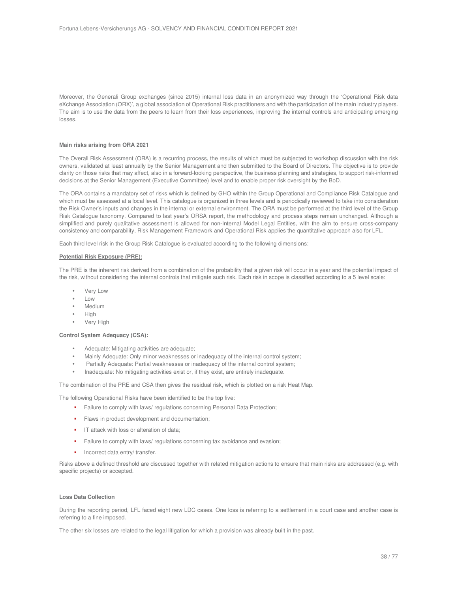Moreover, the Generali Group exchanges (since 2015) internal loss data in an anonymized way through the 'Operational Risk data eXchange Association (ORX)', a global association of Operational Risk practitioners and with the participation of the main industry players. The aim is to use the data from the peers to learn from their loss experiences, improving the internal controls and anticipating emerging losses.

#### **Main risks arising from ORA 2021**

The Overall Risk Assessment (ORA) is a recurring process, the results of which must be subjected to workshop discussion with the risk owners, validated at least annually by the Senior Management and then submitted to the Board of Directors. The objective is to provide clarity on those risks that may affect, also in a forward-looking perspective, the business planning and strategies, to support risk-informed decisions at the Senior Management (Executive Committee) level and to enable proper risk oversight by the BoD.

The ORA contains a mandatory set of risks which is defined by GHO within the Group Operational and Compliance Risk Catalogue and which must be assessed at a local level. This catalogue is organized in three levels and is periodically reviewed to take into consideration the Risk Owner's inputs and changes in the internal or external environment. The ORA must be performed at the third level of the Group Risk Catalogue taxonomy. Compared to last year's ORSA report, the methodology and process steps remain unchanged. Although a simplified and purely qualitative assessment is allowed for non-Internal Model Legal Entities, with the aim to ensure cross-company consistency and comparability, Risk Management Framework and Operational Risk applies the quantitative approach also for LFL.

Each third level risk in the Group Risk Catalogue is evaluated according to the following dimensions:

#### **Potential Risk Exposure (PRE):**

The PRE is the inherent risk derived from a combination of the probability that a given risk will occur in a year and the potential impact of the risk, without considering the internal controls that mitigate such risk. Each risk in scope is classified according to a 5 level scale:

- Very Low
- Low
- **Medium**
- High
- Very High

#### **Control System Adequacy (CSA):**

- Adequate: Mitigating activities are adequate;
- Mainly Adequate: Only minor weaknesses or inadequacy of the internal control system;
- Partially Adequate: Partial weaknesses or inadequacy of the internal control system;
- Inadequate: No mitigating activities exist or, if they exist, are entirely inadequate.

The combination of the PRE and CSA then gives the residual risk, which is plotted on a risk Heat Map.

The following Operational Risks have been identified to be the top five:

- Failure to comply with laws/ regulations concerning Personal Data Protection;
- **Flaws in product development and documentation;**
- **IF attack with loss or alteration of data;**
- Failure to comply with laws/ regulations concerning tax avoidance and evasion;
- **Incorrect data entry/ transfer.**

Risks above a defined threshold are discussed together with related mitigation actions to ensure that main risks are addressed (e.g. with specific projects) or accepted.

#### **Loss Data Collection**

During the reporting period, LFL faced eight new LDC cases. One loss is referring to a settlement in a court case and another case is referring to a fine imposed.

The other six losses are related to the legal litigation for which a provision was already built in the past.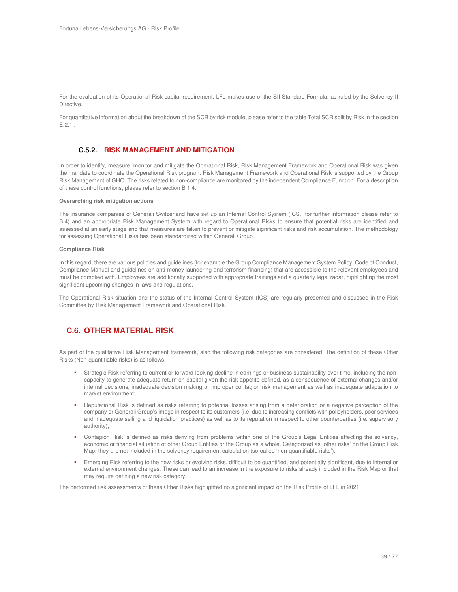For the evaluation of its Operational Risk capital requirement, LFL makes use of the SII Standard Formula, as ruled by the Solvency II Directive.

For quantitative information about the breakdown of the SCR by risk module, please refer to the table Total SCR split by Risk in the section E.2.1..

## **C.5.2. RISK MANAGEMENT AND MITIGATION**

In order to identify, measure, monitor and mitigate the Operational Risk, Risk Management Framework and Operational Risk was given the mandate to coordinate the Operational Risk program. Risk Management Framework and Operational Risk is supported by the Group Risk Management of GHO. The risks related to non-compliance are monitored by the independent Compliance Function. For a description of these control functions, please refer to section B 1.4.

#### **Overarching risk mitigation actions**

The insurance companies of Generali Switzerland have set up an Internal Control System (ICS, for further information please refer to B.4) and an appropriate Risk Management System with regard to Operational Risks to ensure that potential risks are identified and assessed at an early stage and that measures are taken to prevent or mitigate significant risks and risk accumulation. The methodology for assessing Operational Risks has been standardized within Generali Group.

#### **Compliance Risk**

In this regard, there are various policies and guidelines (for example the Group Compliance Management System Policy, Code of Conduct, Compliance Manual and guidelines on anti-money laundering and terrorism financing) that are accessible to the relevant employees and must be complied with. Employees are additionally supported with appropriate trainings and a quarterly legal radar, highlighting the most significant upcoming changes in laws and regulations.

The Operational Risk situation and the status of the Internal Control System (ICS) are regularly presented and discussed in the Risk Committee by Risk Management Framework and Operational Risk.

# **C.6. OTHER MATERIAL RISK**

As part of the qualitative Risk Management framework, also the following risk categories are considered. The definition of these Other Risks (Non-quantifiable risks) is as follows:

- Strategic Risk referring to current or forward-looking decline in earnings or business sustainability over time, including the noncapacity to generate adequate return on capital given the risk appetite defined, as a consequence of external changes and/or internal decisions, inadequate decision making or improper contagion risk management as well as inadequate adaptation to market environment;
- Reputational Risk is defined as risks referring to potential losses arising from a deterioration or a negative perception of the company or Generali Group's image in respect to its customers (i.e. due to increasing conflicts with policyholders, poor services and inadequate selling and liquidation practices) as well as to its reputation in respect to other counterparties (i.e. supervisory authority);
- Contagion Risk is defined as risks deriving from problems within one of the Group's Legal Entities affecting the solvency, economic or financial situation of other Group Entities or the Group as a whole. Categorized as 'other risks' on the Group Risk Map, they are not included in the solvency requirement calculation (so-called 'non-quantifiable risks');
- Emerging Risk referring to the new risks or evolving risks, difficult to be quantified, and potentially significant, due to internal or external environment changes. These can lead to an increase in the exposure to risks already included in the Risk Map or that may require defining a new risk category.

The performed risk assessments of these Other Risks highlighted no significant impact on the Risk Profile of LFL in 2021.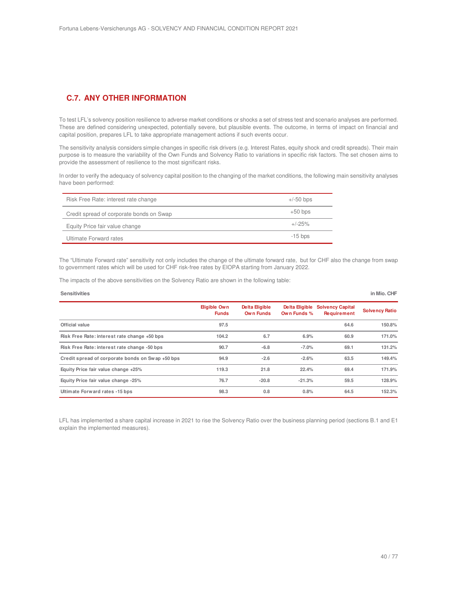# **C.7. ANY OTHER INFORMATION**

To test LFL's solvency position resilience to adverse market conditions or shocks a set of stress test and scenario analyses are performed. These are defined considering unexpected, potentially severe, but plausible events. The outcome, in terms of impact on financial and capital position, prepares LFL to take appropriate management actions if such events occur.

The sensitivity analysis considers simple changes in specific risk drivers (e.g. Interest Rates, equity shock and credit spreads). Their main purpose is to measure the variability of the Own Funds and Solvency Ratio to variations in specific risk factors. The set chosen aims to provide the assessment of resilience to the most significant risks.

In order to verify the adequacy of solvency capital position to the changing of the market conditions, the following main sensitivity analyses have been performed:

| Risk Free Rate: interest rate change     | $+/-50$ bps |
|------------------------------------------|-------------|
| Credit spread of corporate bonds on Swap | $+50$ bps   |
| Equity Price fair value change           | $+/-25\%$   |
| Ultimate Forward rates                   | $-15$ bps   |

The "Ultimate Forward rate" sensitivity not only includes the change of the ultimate forward rate, but for CHF also the change from swap to government rates which will be used for CHF risk-free rates by EIOPA starting from January 2022.

The impacts of the above sensitivities on the Solvency Ratio are shown in the following table:

| <b>Sensitivities</b>                             |                                     |                             |                               |                                               | in Mio. CHF           |
|--------------------------------------------------|-------------------------------------|-----------------------------|-------------------------------|-----------------------------------------------|-----------------------|
|                                                  | <b>Eligible Own</b><br><b>Funds</b> | Delta Eligible<br>Own Funds | Delta Eligible<br>Own Funds % | <b>Solvency Capital</b><br><b>Requirement</b> | <b>Solvency Ratio</b> |
| Official value                                   | 97.5                                |                             |                               | 64.6                                          | 150.8%                |
| Risk Free Rate: interest rate change +50 bps     | 104.2                               | 6.7                         | 6.9%                          | 60.9                                          | 171.0%                |
| Risk Free Rate: interest rate change -50 bps     | 90.7                                | $-6.8$                      | $-7.0%$                       | 69.1                                          | 131.2%                |
| Credit spread of corporate bonds on Swap +50 bps | 94.9                                | $-2.6$                      | $-2.6%$                       | 63.5                                          | 149.4%                |
| Equity Price fair value change +25%              | 119.3                               | 21.8                        | 22.4%                         | 69.4                                          | 171.9%                |
| Equity Price fair value change -25%              | 76.7                                | $-20.8$                     | $-21.3%$                      | 59.5                                          | 128.9%                |
| Ultimate Forward rates -15 bps                   | 98.3                                | 0.8                         | 0.8%                          | 64.5                                          | 152.3%                |

LFL has implemented a share capital increase in 2021 to rise the Solvency Ratio over the business planning period (sections B.1 and E1 explain the implemented measures).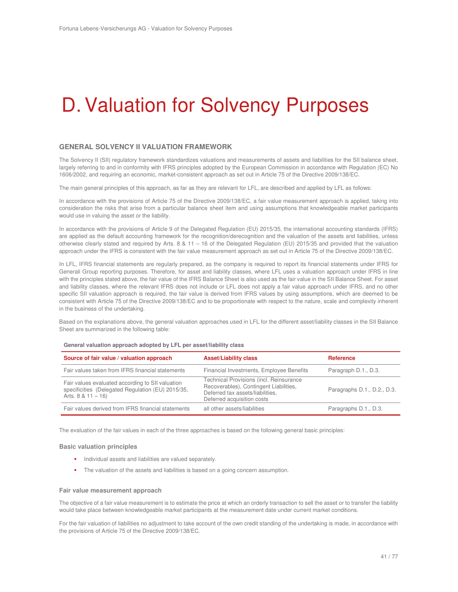# D. Valuation for Solvency Purposes

## **GENERAL SOLVENCY II VALUATION FRAMEWORK**

The Solvency II (SII) regulatory framework standardizes valuations and measurements of assets and liabilities for the SII balance sheet, largely referring to and in conformity with IFRS principles adopted by the European Commission in accordance with Regulation (EC) No 1606/2002, and requiring an economic, market-consistent approach as set out in Article 75 of the Directive 2009/138/EC.

The main general principles of this approach, as far as they are relevant for LFL, are described and applied by LFL as follows:

In accordance with the provisions of Article 75 of the Directive 2009/138/EC, a fair value measurement approach is applied, taking into consideration the risks that arise from a particular balance sheet item and using assumptions that knowledgeable market participants would use in valuing the asset or the liability.

In accordance with the provisions of Article 9 of the Delegated Regulation (EU) 2015/35, the international accounting standards (IFRS) are applied as the default accounting framework for the recognition/derecognition and the valuation of the assets and liabilities, unless otherwise clearly stated and required by Arts. 8 & 11 – 16 of the Delegated Regulation (EU) 2015/35 and provided that the valuation approach under the IFRS is consistent with the fair value measurement approach as set out in Article 75 of the Directive 2009/138/EC.

In LFL, IFRS financial statements are regularly prepared, as the company is required to report its financial statements under IFRS for Generali Group reporting purposes. Therefore, for asset and liability classes, where LFL uses a valuation approach under IFRS in line with the principles stated above, the fair value of the IFRS Balance Sheet is also used as the fair value in the SII Balance Sheet. For asset and liability classes, where the relevant IFRS does not include or LFL does not apply a fair value approach under IFRS, and no other specific SII valuation approach is required, the fair value is derived from IFRS values by using assumptions, which are deemed to be consistent with Article 75 of the Directive 2009/138/EC and to be proportionate with respect to the nature, scale and complexity inherent in the business of the undertaking.

Based on the explanations above, the general valuation approaches used in LFL for the different asset/liability classes in the SII Balance Sheet are summarized in the following table:

| Source of fair value / valuation approach                                                                                    | <b>Asset/Liability class</b>                                                                                                                        | <b>Reference</b>            |
|------------------------------------------------------------------------------------------------------------------------------|-----------------------------------------------------------------------------------------------------------------------------------------------------|-----------------------------|
| Fair values taken from IFRS financial statements                                                                             | Financial Investments, Employee Benefits                                                                                                            | Paragraph D.1., D.3.        |
| Fair values evaluated according to SII valuation<br>specificities (Delegated Regulation (EU) 2015/35,<br>Arts. $8 & 11 - 16$ | Technical Provisions (incl. Reinsurance<br>Recoverables), Contingent Liabilities,<br>Deferred tax assets/liabilities.<br>Deferred acquisition costs | Paragraphs D.1., D.2., D.3. |
| Fair values derived from IFRS financial statements                                                                           | all other assets/liabilities                                                                                                                        | Paragraphs D.1., D.3.       |

#### **General valuation approach adopted by LFL per asset/liability class**

The evaluation of the fair values in each of the three approaches is based on the following general basic principles:

#### **Basic valuation principles**

- **Individual assets and liabilities are valued separately.**
- The valuation of the assets and liabilities is based on a going concern assumption.

#### **Fair value measurement approach**

The objective of a fair value measurement is to estimate the price at which an orderly transaction to sell the asset or to transfer the liability would take place between knowledgeable market participants at the measurement date under current market conditions.

For the fair valuation of liabilities no adjustment to take account of the own credit standing of the undertaking is made, in accordance with the provisions of Article 75 of the Directive 2009/138/EC.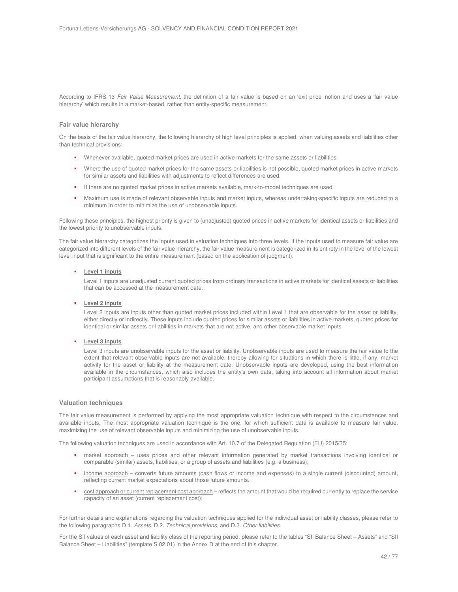According to IFRS 13 Fair Value Measurement, the definition of a fair value is based on an 'exit price' notion and uses a 'fair value hierarchy' which results in a market-based, rather than entity-specific measurement.

#### **Fair value hierarchy**

On the basis of the fair value hierarchy, the following hierarchy of high level principles is applied, when valuing assets and liabilities other than technical provisions:

- Whenever available, quoted market prices are used in active markets for the same assets or liabilities.
- Where the use of quoted market prices for the same assets or liabilities is not possible, quoted market prices in active markets for similar assets and liabilities with adjustments to reflect differences are used.
- If there are no quoted market prices in active markets available, mark-to-model techniques are used.
- Maximum use is made of relevant observable inputs and market inputs, whereas undertaking-specific inputs are reduced to a minimum in order to minimize the use of unobservable inputs.

Following these principles, the highest priority is given to (unadjusted) quoted prices in active markets for identical assets or liabilities and the lowest priority to unobservable inputs.

The fair value hierarchy categorizes the inputs used in valuation techniques into three levels. If the inputs used to measure fair value are categorized into different levels of the fair value hierarchy, the fair value measurement is categorized in its entirety in the level of the lowest level input that is significant to the entire measurement (based on the application of judgment).

#### **Level 1 inputs**

Level 1 inputs are unadjusted current quoted prices from ordinary transactions in active markets for identical assets or liabilities that can be accessed at the measurement date.

#### **Level 2 inputs**

Level 2 inputs are inputs other than quoted market prices included within Level 1 that are observable for the asset or liability, either directly or indirectly. These inputs include quoted prices for similar assets or liabilities in active markets, quoted prices for identical or similar assets or liabilities in markets that are not active, and other observable market inputs.

#### **Level 3 inputs**

Level 3 inputs are unobservable inputs for the asset or liability. Unobservable inputs are used to measure the fair value to the extent that relevant observable inputs are not available, thereby allowing for situations in which there is little, if any, market activity for the asset or liability at the measurement date. Unobservable inputs are developed, using the best information available in the circumstances, which also includes the entity's own data, taking into account all information about market participant assumptions that is reasonably available.

#### **Valuation techniques**

The fair value measurement is performed by applying the most appropriate valuation technique with respect to the circumstances and available inputs. The most appropriate valuation technique is the one, for which sufficient data is available to measure fair value, maximizing the use of relevant observable inputs and minimizing the use of unobservable inputs.

The following valuation techniques are used in accordance with Art. 10.7 of the Delegated Regulation (EU) 2015/35:

- market approach uses prices and other relevant information generated by market transactions involving identical or comparable (similar) assets, liabilities, or a group of assets and liabilities (e.g. a business);
- income approach converts future amounts (cash flows or income and expenses) to a single current (discounted) amount, reflecting current market expectations about those future amounts.
- cost approach or current replacement cost approach reflects the amount that would be required currently to replace the service capacity of an asset (current replacement cost);

For further details and explanations regarding the valuation techniques applied for the individual asset or liability classes, please refer to the following paragraphs D.1. Assets, D.2. Technical provisions, and D.3. Other liabilities.

For the SII values of each asset and liability class of the reporting period, please refer to the tables "SII Balance Sheet – Assets" and "SII Balance Sheet – Liabilities" (template S.02.01) in the Annex D at the end of this chapter.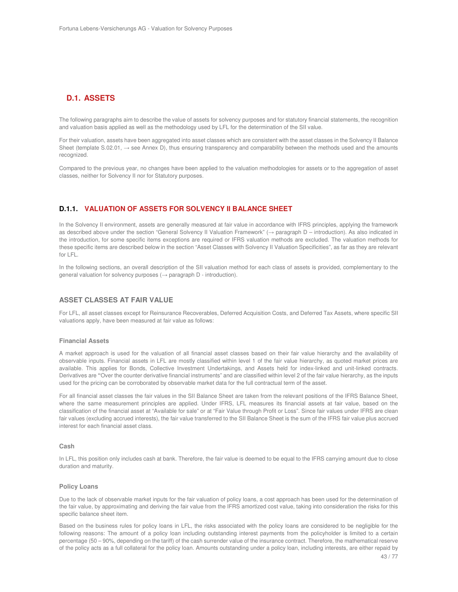# **D.1. ASSETS**

The following paragraphs aim to describe the value of assets for solvency purposes and for statutory financial statements, the recognition and valuation basis applied as well as the methodology used by LFL for the determination of the SII value.

For their valuation, assets have been aggregated into asset classes which are consistent with the asset classes in the Solvency II Balance Sheet (template S.02.01, → see Annex D), thus ensuring transparency and comparability between the methods used and the amounts recognized.

Compared to the previous year, no changes have been applied to the valuation methodologies for assets or to the aggregation of asset classes, neither for Solvency II nor for Statutory purposes.

## **D.1.1. VALUATION OF ASSETS FOR SOLVENCY II BALANCE SHEET**

In the Solvency II environment, assets are generally measured at fair value in accordance with IFRS principles, applying the framework as described above under the section "General Solvency II Valuation Framework" (→ paragraph D – introduction). As also indicated in the introduction, for some specific items exceptions are required or IFRS valuation methods are excluded. The valuation methods for these specific items are described below in the section "Asset Classes with Solvency II Valuation Specificities", as far as they are relevant for LFL.

In the following sections, an overall description of the SII valuation method for each class of assets is provided, complementary to the general valuation for solvency purposes ( $\rightarrow$  paragraph D - introduction).

## **ASSET CLASSES AT FAIR VALUE**

For LFL, all asset classes except for Reinsurance Recoverables, Deferred Acquisition Costs, and Deferred Tax Assets, where specific SII valuations apply, have been measured at fair value as follows:

#### **Financial Assets**

A market approach is used for the valuation of all financial asset classes based on their fair value hierarchy and the availability of observable inputs. Financial assets in LFL are mostly classified within level 1 of the fair value hierarchy, as quoted market prices are available. This applies for Bonds, Collective Investment Undertakings, and Assets held for index-linked and unit-linked contracts. Derivatives are **"**Over the counter derivative financial instruments" and are classified within level 2 of the fair value hierarchy, as the inputs used for the pricing can be corroborated by observable market data for the full contractual term of the asset.

For all financial asset classes the fair values in the SII Balance Sheet are taken from the relevant positions of the IFRS Balance Sheet, where the same measurement principles are applied. Under IFRS, LFL measures its financial assets at fair value, based on the classification of the financial asset at "Available for sale" or at "Fair Value through Profit or Loss". Since fair values under IFRS are clean fair values (excluding accrued interests), the fair value transferred to the SII Balance Sheet is the sum of the IFRS fair value plus accrued interest for each financial asset class.

#### **Cash**

In LFL, this position only includes cash at bank. Therefore, the fair value is deemed to be equal to the IFRS carrying amount due to close duration and maturity.

#### **Policy Loans**

Due to the lack of observable market inputs for the fair valuation of policy loans, a cost approach has been used for the determination of the fair value, by approximating and deriving the fair value from the IFRS amortized cost value, taking into consideration the risks for this specific balance sheet item.

Based on the business rules for policy loans in LFL, the risks associated with the policy loans are considered to be negligible for the following reasons: The amount of a policy loan including outstanding interest payments from the policyholder is limited to a certain percentage (50 – 90%, depending on the tariff) of the cash surrender value of the insurance contract. Therefore, the mathematical reserve of the policy acts as a full collateral for the policy loan. Amounts outstanding under a policy loan, including interests, are either repaid by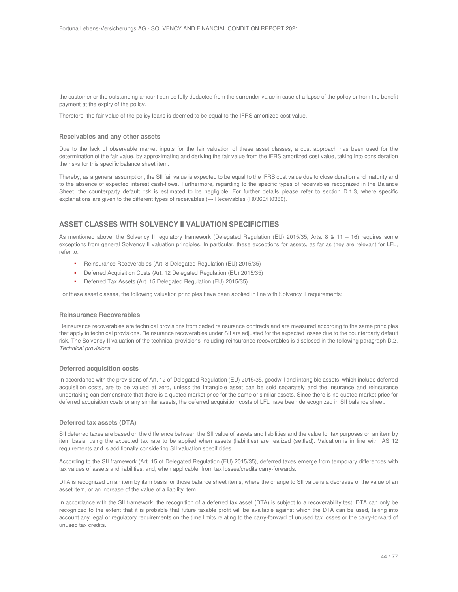the customer or the outstanding amount can be fully deducted from the surrender value in case of a lapse of the policy or from the benefit payment at the expiry of the policy.

Therefore, the fair value of the policy loans is deemed to be equal to the IFRS amortized cost value.

#### **Receivables and any other assets**

Due to the lack of observable market inputs for the fair valuation of these asset classes, a cost approach has been used for the determination of the fair value, by approximating and deriving the fair value from the IFRS amortized cost value, taking into consideration the risks for this specific balance sheet item.

Thereby, as a general assumption, the SII fair value is expected to be equal to the IFRS cost value due to close duration and maturity and to the absence of expected interest cash-flows. Furthermore, regarding to the specific types of receivables recognized in the Balance Sheet, the counterparty default risk is estimated to be negligible. For further details please refer to section D.1.3, where specific explanations are given to the different types of receivables  $(\rightarrow$  Receivables (R0360/R0380).

## **ASSET CLASSES WITH SOLVENCY II VALUATION SPECIFICITIES**

As mentioned above, the Solvency II regulatory framework (Delegated Regulation (EU) 2015/35, Arts. 8 & 11 – 16) requires some exceptions from general Solvency II valuation principles. In particular, these exceptions for assets, as far as they are relevant for LFL, refer to:

- Reinsurance Recoverables (Art. 8 Delegated Regulation (EU) 2015/35)
- Deferred Acquisition Costs (Art. 12 Delegated Regulation (EU) 2015/35)
- Deferred Tax Assets (Art. 15 Delegated Regulation (EU) 2015/35)

For these asset classes, the following valuation principles have been applied in line with Solvency II requirements:

#### **Reinsurance Recoverables**

Reinsurance recoverables are technical provisions from ceded reinsurance contracts and are measured according to the same principles that apply to technical provisions. Reinsurance recoverables under SII are adjusted for the expected losses due to the counterparty default risk. The Solvency II valuation of the technical provisions including reinsurance recoverables is disclosed in the following paragraph D.2. Technical provisions.

#### **Deferred acquisition costs**

In accordance with the provisions of Art. 12 of Delegated Regulation (EU) 2015/35, goodwill and intangible assets, which include deferred acquisition costs, are to be valued at zero, unless the intangible asset can be sold separately and the insurance and reinsurance undertaking can demonstrate that there is a quoted market price for the same or similar assets. Since there is no quoted market price for deferred acquisition costs or any similar assets, the deferred acquisition costs of LFL have been derecognized in SII balance sheet.

#### **Deferred tax assets (DTA)**

SII deferred taxes are based on the difference between the SII value of assets and liabilities and the value for tax purposes on an item by item basis, using the expected tax rate to be applied when assets (liabilities) are realized (settled). Valuation is in line with IAS 12 requirements and is additionally considering SII valuation specificities.

According to the SII framework (Art. 15 of Delegated Regulation (EU) 2015/35), deferred taxes emerge from temporary differences with tax values of assets and liabilities, and, when applicable, from tax losses/credits carry-forwards.

DTA is recognized on an item by item basis for those balance sheet items, where the change to SII value is a decrease of the value of an asset item, or an increase of the value of a liability item.

In accordance with the SII framework, the recognition of a deferred tax asset (DTA) is subject to a recoverability test: DTA can only be recognized to the extent that it is probable that future taxable profit will be available against which the DTA can be used, taking into account any legal or regulatory requirements on the time limits relating to the carry-forward of unused tax losses or the carry-forward of unused tax credits.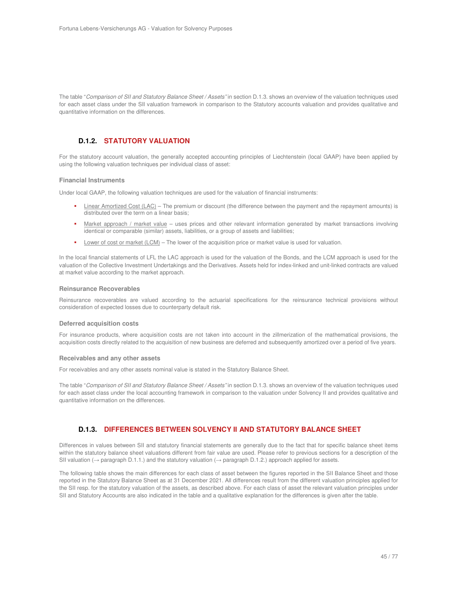The table "Comparison of SII and Statutory Balance Sheet / Assets" in section D.1.3. shows an overview of the valuation techniques used for each asset class under the SII valuation framework in comparison to the Statutory accounts valuation and provides qualitative and quantitative information on the differences.

## **D.1.2. STATUTORY VALUATION**

For the statutory account valuation, the generally accepted accounting principles of Liechtenstein (local GAAP) have been applied by using the following valuation techniques per individual class of asset:

## **Financial Instruments**

Under local GAAP, the following valuation techniques are used for the valuation of financial instruments:

- Linear Amortized Cost (LAC) The premium or discount (the difference between the payment and the repayment amounts) is distributed over the term on a linear basis;
- Market approach / market value uses prices and other relevant information generated by market transactions involving identical or comparable (similar) assets, liabilities, or a group of assets and liabilities;
- Lower of cost or market (LCM) The lower of the acquisition price or market value is used for valuation.

In the local financial statements of LFL the LAC approach is used for the valuation of the Bonds, and the LCM approach is used for the valuation of the Collective Investment Undertakings and the Derivatives. Assets held for index-linked and unit-linked contracts are valued at market value according to the market approach.

#### **Reinsurance Recoverables**

Reinsurance recoverables are valued according to the actuarial specifications for the reinsurance technical provisions without consideration of expected losses due to counterparty default risk.

#### **Deferred acquisition costs**

For insurance products, where acquisition costs are not taken into account in the zillmerization of the mathematical provisions, the acquisition costs directly related to the acquisition of new business are deferred and subsequently amortized over a period of five years.

#### **Receivables and any other assets**

For receivables and any other assets nominal value is stated in the Statutory Balance Sheet.

The table "Comparison of SII and Statutory Balance Sheet / Assets" in section D.1.3. shows an overview of the valuation techniques used for each asset class under the local accounting framework in comparison to the valuation under Solvency II and provides qualitative and quantitative information on the differences.

# **D.1.3. DIFFERENCES BETWEEN SOLVENCY II AND STATUTORY BALANCE SHEET**

Differences in values between SII and statutory financial statements are generally due to the fact that for specific balance sheet items within the statutory balance sheet valuations different from fair value are used. Please refer to previous sections for a description of the SII valuation (→ paragraph D.1.1.) and the statutory valuation (→ paragraph D.1.2.) approach applied for assets.

The following table shows the main differences for each class of asset between the figures reported in the SII Balance Sheet and those reported in the Statutory Balance Sheet as at 31 December 2021. All differences result from the different valuation principles applied for the SII resp. for the statutory valuation of the assets, as described above. For each class of asset the relevant valuation principles under SII and Statutory Accounts are also indicated in the table and a qualitative explanation for the differences is given after the table.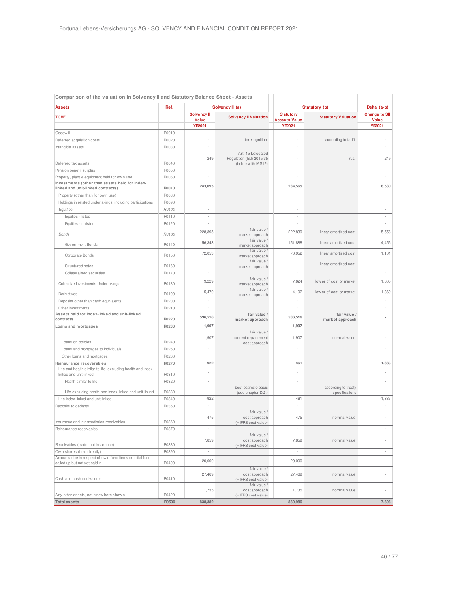|                                                                                           | Comparison of the valuation in Solvency II and Statutory Balance Sheet - Assets |                             |                                                                      |                                          |                                       |                               |
|-------------------------------------------------------------------------------------------|---------------------------------------------------------------------------------|-----------------------------|----------------------------------------------------------------------|------------------------------------------|---------------------------------------|-------------------------------|
| <b>Assets</b>                                                                             | Ref.                                                                            |                             | Solvency II (a)                                                      | Statutory (b)                            |                                       | Delta (a-b)                   |
| <b>TCHF</b>                                                                               |                                                                                 | Solvency II<br><b>Value</b> | <b>Solvency II Valuation</b>                                         | <b>Statutory</b><br><b>Accouts Value</b> | <b>Statutory Valuation</b>            | <b>Change to SII</b><br>Value |
|                                                                                           |                                                                                 | YE2021                      |                                                                      | <b>YE2021</b>                            |                                       | YE2021                        |
| Goodw ill                                                                                 | R0010                                                                           | ×,                          |                                                                      | $\overline{\phantom{a}}$                 |                                       | ٠                             |
| Deferred acquisition costs                                                                | R0020                                                                           |                             | derecognition                                                        |                                          | according to tariff                   |                               |
| Intangible assets                                                                         | R0030                                                                           | $\overline{\phantom{a}}$    |                                                                      | ÷                                        |                                       | $\overline{\phantom{a}}$      |
| Deferred tax assets                                                                       | R0040                                                                           | 249                         | Art. 15 Delegated<br>Regulation (EU) 2015/35<br>(in line with IAS12) |                                          | n.a.                                  | 249                           |
| Pension benefit surplus                                                                   | R0050                                                                           |                             |                                                                      |                                          |                                       | ×,                            |
| Property, plant & equipment held for own use                                              | R0060                                                                           |                             |                                                                      |                                          |                                       | $\overline{\phantom{a}}$      |
| Investments (other than assets held for index-<br>linked and unit-linked contracts)       | R0070                                                                           | 243,095                     |                                                                      | 234,565                                  |                                       | 8,530                         |
| Property (other than for own use)                                                         | R0080                                                                           | $\overline{\phantom{a}}$    |                                                                      |                                          |                                       | $\overline{\phantom{a}}$      |
| Holdings in related undertakings, including participations                                | R0090                                                                           | $\sim$                      |                                                                      | $\blacksquare$                           |                                       | $\sim$                        |
| Equities                                                                                  | R0100                                                                           | ٠                           |                                                                      | $\overline{\phantom{a}}$                 |                                       | $\overline{\phantom{a}}$      |
| Equities - listed                                                                         | R0110                                                                           |                             |                                                                      |                                          |                                       | $\overline{\phantom{a}}$      |
| Equities - unlisted                                                                       | R0120                                                                           |                             |                                                                      |                                          |                                       | $\overline{\phantom{a}}$      |
|                                                                                           |                                                                                 |                             | fair value /                                                         |                                          |                                       |                               |
| <b>Bonds</b>                                                                              | R0130                                                                           | 228,395                     | market approach<br>fair value /                                      | 222,839                                  | linear amortized cost                 | 5,556                         |
| Government Bonds                                                                          | R0140                                                                           | 156,343                     | market approach                                                      | 151,888                                  | linear amortized cost                 | 4,455                         |
| Corporate Bonds                                                                           | R0150                                                                           | 72,053                      | fair value /<br>market approach                                      | 70,952                                   | linear amortized cost                 | 1,101                         |
| Structured notes                                                                          | R0160                                                                           |                             | fair value /<br>market approach                                      |                                          | linear amortized cost                 | $\overline{\phantom{a}}$      |
| Collateralised securities                                                                 | R0170                                                                           |                             |                                                                      |                                          |                                       | $\overline{\phantom{a}}$      |
| Collective Investments Undertakings                                                       | R0180                                                                           | 9,229                       | fair value /<br>market approach                                      | 7,624                                    | low er of cost or market              | 1,605                         |
| Derivatives                                                                               | R0190                                                                           | 5,470                       | fair value /<br>market approach                                      | 4,102                                    | low er of cost or market              | 1,369                         |
| Deposits other than cash equivalents                                                      | R0200                                                                           |                             |                                                                      |                                          |                                       | $\overline{\phantom{a}}$      |
| Other investments                                                                         | R0210                                                                           |                             |                                                                      |                                          |                                       | $\overline{\phantom{a}}$      |
| Assets held for index-linked and unit-linked                                              |                                                                                 | 536,516                     | fair value /                                                         | 536,516                                  | fair value /                          | ä,                            |
| contracts                                                                                 | R0220                                                                           |                             | market approach                                                      |                                          | market approach                       |                               |
| Loans and mortgages                                                                       | R0230                                                                           | 1,907                       |                                                                      | 1,907                                    |                                       | $\overline{\phantom{a}}$      |
| Loans on policies                                                                         | R0240                                                                           | 1,907                       | fair value /<br>current replacement<br>cost approach                 | 1,907                                    | nominal value                         |                               |
| Loans and mortgages to individuals                                                        | R0250                                                                           | ×,                          |                                                                      | ×,                                       |                                       | $\overline{\phantom{a}}$      |
| Other loans and mortgages                                                                 | R0260                                                                           | ٠                           |                                                                      |                                          |                                       | $\overline{\phantom{a}}$      |
| Reinsurance recoverables                                                                  | R0270                                                                           | $-922$                      |                                                                      | 461                                      |                                       | $-1,383$                      |
| Life and health similar to life, excluding health and index-<br>linked and unit-linked    | R0310                                                                           |                             |                                                                      |                                          |                                       |                               |
| Health similar to life                                                                    | R0320                                                                           |                             |                                                                      |                                          |                                       | $\overline{\phantom{a}}$      |
| Life excluding health and index-linked and unit-linked                                    | R0330                                                                           |                             | best estimate basis<br>(see chapter D.2.)                            |                                          | according to treaty<br>specifications | ÷.                            |
| Life index-linked and unit-linked                                                         | R0340                                                                           | $-922$                      |                                                                      | 461                                      |                                       | $-1,383$                      |
| Deposits to cedants                                                                       | R0350                                                                           | $\overline{\phantom{a}}$    |                                                                      | $\overline{\phantom{a}}$                 |                                       | $\overline{\phantom{a}}$      |
|                                                                                           | R0360                                                                           | 475                         | fair value /<br>cost approach                                        | 475                                      | nominal value                         |                               |
| Insurance and intermediaries receivables                                                  | R0370                                                                           |                             | (= IFRS cost value)                                                  |                                          |                                       |                               |
| Reinsurance receivables                                                                   |                                                                                 |                             | fair value /                                                         |                                          |                                       |                               |
| Receivables (trade, not insurance)                                                        | R0380                                                                           | 7,859                       | cost approach<br>(= IFRS cost value)                                 | 7,859                                    | nominal value                         |                               |
| Own shares (held directly)                                                                | R0390                                                                           | ×,                          |                                                                      | $\overline{\phantom{a}}$                 |                                       | $\overline{\phantom{a}}$      |
| Amounts due in respect of own fund items or initial fund<br>called up but not yet paid in | R0400                                                                           | 20,000                      |                                                                      | 20,000                                   |                                       |                               |
| Cash and cash equivalents                                                                 | R0410                                                                           | 27,469                      | fair value /<br>cost approach<br>(= IFRS cost value)                 | 27,469                                   | nominal value                         |                               |
| Any other assets, not elsew here show n                                                   | R0420                                                                           | 1,735                       | fair value /<br>cost approach<br>$(=$ IFRS cost value)               | 1,735                                    | nominal value                         |                               |
| <b>Total assets</b>                                                                       | R0500                                                                           | 838,382                     |                                                                      | 830,986                                  |                                       | 7,396                         |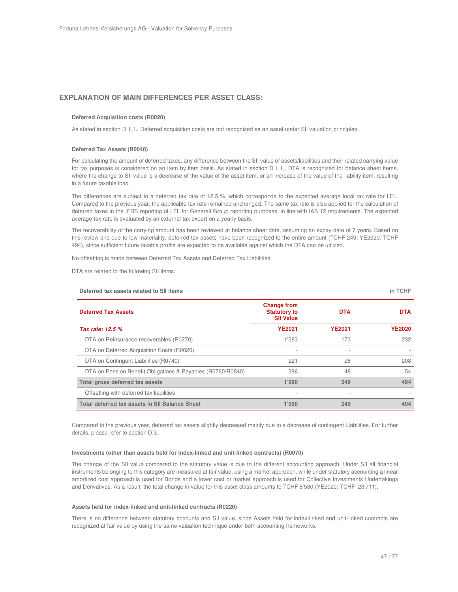## **EXPLANATION OF MAIN DIFFERENCES PER ASSET CLASS:**

#### **Deferred Acquisition costs (R0020)**

As stated in section D.1.1., Deferred acquisition costs are not recognized as an asset under SII valuation principles.

#### **Deferred Tax Assets (R0040)**

For calculating the amount of deferred taxes, any difference between the SII value of assets/liabilities and their related carrying value for tax purposes is considered on an item by item basis. As stated in section D.1.1., DTA is recognized for balance sheet items, where the change to SII value is a decrease of the value of the asset item, or an increase of the value of the liability item, resulting in a future taxable loss.

The differences are subject to a deferred tax rate of 12.5 %, which corresponds to the expected average local tax rate for LFL. Compared to the previous year, the applicable tax rate remained unchanged. The same tax rate is also applied for the calculation of deferred taxes in the IFRS reporting of LFL for Generali Group reporting purposes, in line with IAS 12 requirements. The expected average tax rate is evaluated by an external tax expert on a yearly basis.

The recoverability of the carrying amount has been reviewed at balance sheet date, assuming an expiry date of 7 years. Based on this review and due to low materiality, deferred tax assets have been recognized to the entire amount (TCHF 249; YE2020: TCHF 494), since sufficient future taxable profits are expected to be available against which the DTA can be utilized.

No offsetting is made between Deferred Tax Assets and Deferred Tax Liabilities.

DTA are related to the following SII items:

| Deferred tax assets related to SII items                    |                                                               |                          | in TCHF       |
|-------------------------------------------------------------|---------------------------------------------------------------|--------------------------|---------------|
| <b>Deferred Tax Assets</b>                                  | <b>Change from</b><br><b>Statutory to</b><br><b>SII Value</b> | <b>DTA</b>               | <b>DTA</b>    |
| Tax rate: 12.5 %                                            | <b>YE2021</b>                                                 | <b>YE2021</b>            | <b>YE2020</b> |
| DTA on Reinsurance recoverables (R0270)                     | 1'383                                                         | 173                      | 232           |
| DTA on Deferred Acquisition Costs (R0020)                   |                                                               | $\overline{\phantom{a}}$ |               |
| DTA on Contingent Liabilities (R0740)                       | 221                                                           | 28                       | 208           |
| DTA on Pension Benefit Obligations & Payables (R0760/R0840) | 386                                                           | 48                       | 54            |
| Total gross deferred tax assets                             | 1'990                                                         | 249                      | 494           |
| Offsetting with deferred tax liabilities                    |                                                               |                          |               |
| Total deferred tax assets in SII Balance Sheet              | 1'990                                                         | 249                      | 494           |

Compared to the previous year, deferred tax assets slightly decreased mainly due to a decrease of contingent Liabilities. For further details, please refer to section D.3.

## **Investments (other than assets held for index-linked and unit-linked contracts) (R0070)**

The change of the SII value compared to the statutory value is due to the different accounting approach. Under SII all financial instruments belonging to this category are measured at fair value, using a market approach, while under statutory accounting a linear amortized cost approach is used for Bonds and a lower cost or market approach is used for Collective Investments Undertakings and Derivatives. As a result, the total change in value for this asset class amounts to TCHF 8'530 (YE2020: TCHF 23'711).

#### **Assets held for index-linked and unit-linked contracts (R0220)**

There is no difference between statutory accounts and SII value, since Assets held for index-linked and unit-linked contracts are recognized at fair value by using the same valuation technique under both accounting frameworks.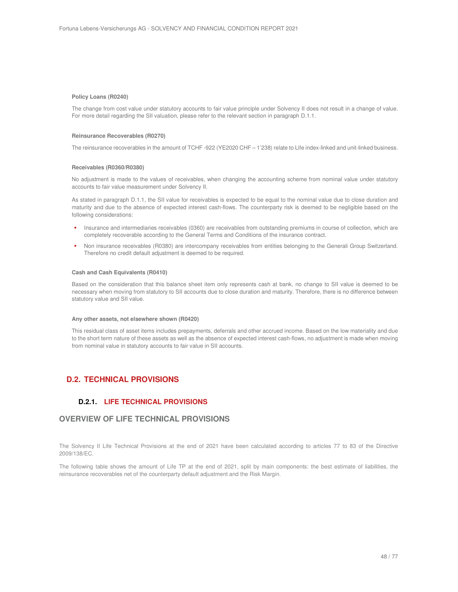#### **Policy Loans (R0240)**

The change from cost value under statutory accounts to fair value principle under Solvency II does not result in a change of value. For more detail regarding the SII valuation, please refer to the relevant section in paragraph D.1.1.

#### **Reinsurance Recoverables (R0270)**

The reinsurance recoverables in the amount of TCHF -922 (YE2020 CHF – 1'238) relate to Life index-linked and unit-linked business.

#### **Receivables (R0360/R0380)**

No adjustment is made to the values of receivables, when changing the accounting scheme from nominal value under statutory accounts to fair value measurement under Solvency II.

As stated in paragraph D.1.1, the SII value for receivables is expected to be equal to the nominal value due to close duration and maturity and due to the absence of expected interest cash-flows. The counterparty risk is deemed to be negligible based on the following considerations:

- Insurance and intermediaries receivables (0360) are receivables from outstanding premiums in course of collection, which are completely recoverable according to the General Terms and Conditions of the insurance contract.
- Non insurance receivables (R0380) are intercompany receivables from entities belonging to the Generali Group Switzerland. Therefore no credit default adjustment is deemed to be required.

#### **Cash and Cash Equivalents (R0410)**

Based on the consideration that this balance sheet item only represents cash at bank, no change to SII value is deemed to be necessary when moving from statutory to SII accounts due to close duration and maturity. Therefore, there is no difference between statutory value and SII value.

#### **Any other assets, not elsewhere shown (R0420)**

This residual class of asset items includes prepayments, deferrals and other accrued income. Based on the low materiality and due to the short term nature of these assets as well as the absence of expected interest cash-flows, no adjustment is made when moving from nominal value in statutory accounts to fair value in SII accounts.

# **D.2. TECHNICAL PROVISIONS**

## **D.2.1. LIFE TECHNICAL PROVISIONS**

# **OVERVIEW OF LIFE TECHNICAL PROVISIONS**

The Solvency II Life Technical Provisions at the end of 2021 have been calculated according to articles 77 to 83 of the Directive 2009/138/EC.

The following table shows the amount of Life TP at the end of 2021, split by main components: the best estimate of liabilities, the reinsurance recoverables net of the counterparty default adjustment and the Risk Margin.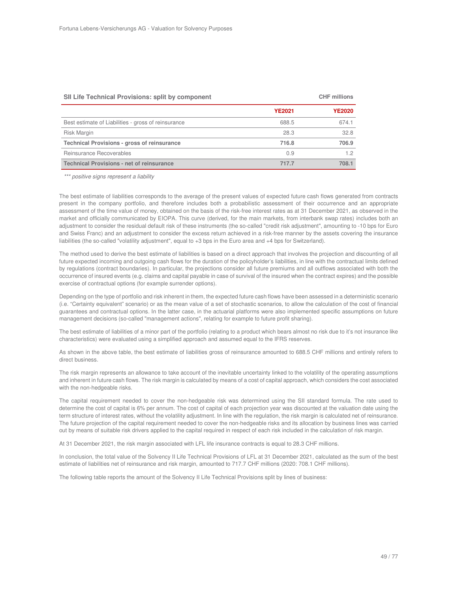#### **SII Life Technical Provisions: split by component CHF millions**

|                                                     | <b>YE2021</b> | <b>YE2020</b> |
|-----------------------------------------------------|---------------|---------------|
| Best estimate of Liabilities - gross of reinsurance | 688.5         | 674.1         |
| <b>Risk Margin</b>                                  | 28.3          | 32.8          |
| <b>Technical Provisions - gross of reinsurance</b>  | 716.8         | 706.9         |
| Reinsurance Recoverables                            | 0.9           | 1.2           |
| <b>Technical Provisions - net of reinsurance</b>    | 717.7         | 708.1         |

\*\*\* positive signs represent a liability

The best estimate of liabilities corresponds to the average of the present values of expected future cash flows generated from contracts present in the company portfolio, and therefore includes both a probabilistic assessment of their occurrence and an appropriate assessment of the time value of money, obtained on the basis of the risk-free interest rates as at 31 December 2021, as observed in the market and officially communicated by EIOPA. This curve (derived, for the main markets, from interbank swap rates) includes both an adjustment to consider the residual default risk of these instruments (the so-called "credit risk adjustment", amounting to -10 bps for Euro and Swiss Franc) and an adjustment to consider the excess return achieved in a risk-free manner by the assets covering the insurance liabilities (the so-called "volatility adjustment", equal to +3 bps in the Euro area and +4 bps for Switzerland).

The method used to derive the best estimate of liabilities is based on a direct approach that involves the projection and discounting of all future expected incoming and outgoing cash flows for the duration of the policyholder's liabilities, in line with the contractual limits defined by regulations (contract boundaries). In particular, the projections consider all future premiums and all outflows associated with both the occurrence of insured events (e.g. claims and capital payable in case of survival of the insured when the contract expires) and the possible exercise of contractual options (for example surrender options).

Depending on the type of portfolio and risk inherent in them, the expected future cash flows have been assessed in a deterministic scenario (i.e. "Certainty equivalent" scenario) or as the mean value of a set of stochastic scenarios, to allow the calculation of the cost of financial guarantees and contractual options. In the latter case, in the actuarial platforms were also implemented specific assumptions on future management decisions (so-called "management actions", relating for example to future profit sharing).

The best estimate of liabilities of a minor part of the portfolio (relating to a product which bears almost no risk due to it's not insurance like characteristics) were evaluated using a simplified approach and assumed equal to the IFRS reserves.

As shown in the above table, the best estimate of liabilities gross of reinsurance amounted to 688.5 CHF millions and entirely refers to direct business.

The risk margin represents an allowance to take account of the inevitable uncertainty linked to the volatility of the operating assumptions and inherent in future cash flows. The risk margin is calculated by means of a cost of capital approach, which considers the cost associated with the non-hedgeable risks.

The capital requirement needed to cover the non-hedgeable risk was determined using the SII standard formula. The rate used to determine the cost of capital is 6% per annum. The cost of capital of each projection year was discounted at the valuation date using the term structure of interest rates, without the volatility adjustment. In line with the regulation, the risk margin is calculated net of reinsurance. The future projection of the capital requirement needed to cover the non-hedgeable risks and its allocation by business lines was carried out by means of suitable risk drivers applied to the capital required in respect of each risk included in the calculation of risk margin.

At 31 December 2021, the risk margin associated with LFL life insurance contracts is equal to 28.3 CHF millions.

In conclusion, the total value of the Solvency II Life Technical Provisions of LFL at 31 December 2021, calculated as the sum of the best estimate of liabilities net of reinsurance and risk margin, amounted to 717.7 CHF millions (2020: 708.1 CHF millions).

The following table reports the amount of the Solvency II Life Technical Provisions split by lines of business: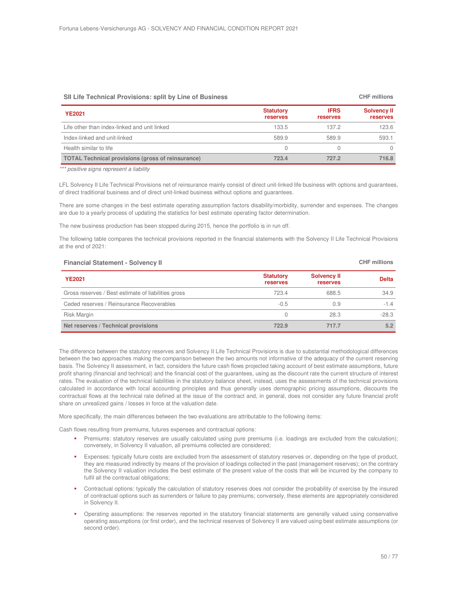| On End Technical Frovisions, spin by Enic of Dusiness    |                                     |                         |                                       |
|----------------------------------------------------------|-------------------------------------|-------------------------|---------------------------------------|
| <b>YE2021</b>                                            | <b>Statutory</b><br><b>reserves</b> | <b>IFRS</b><br>reserves | <b>Solvency II</b><br><b>reserves</b> |
| Life other than index-linked and unit linked             | 133.5                               | 137.2                   | 123.6                                 |
| Index-linked and unit-linked                             | 589.9                               | 589.9                   | 593.1                                 |
| Health similar to life                                   | 0                                   |                         |                                       |
| <b>TOTAL Technical provisions (gross of reinsurance)</b> | 723.4                               | 727.2                   | 716.8                                 |

**SII Life Technical Provisions: split by Line of Business CHF millions**

\*\*\* positive signs represent a liability

LFL Solvency II Life Technical Provisions net of reinsurance mainly consist of direct unit-linked life business with options and guarantees, of direct traditional business and of direct unit-linked business without options and guarantees.

There are some changes in the best estimate operating assumption factors disability/morbidity, surrender and expenses. The changes are due to a yearly process of updating the statistics for best estimate operating factor determination.

The new business production has been stopped during 2015, hence the portfolio is in run off.

The following table compares the technical provisions reported in the financial statements with the Solvency II Life Technical Provisions at the end of 2021:

| <b>Financial Statement - Solvency II</b>            |                                     |                                       | <b>CHF</b> millions |
|-----------------------------------------------------|-------------------------------------|---------------------------------------|---------------------|
| <b>YE2021</b>                                       | <b>Statutory</b><br><b>reserves</b> | <b>Solvency II</b><br><b>reserves</b> | <b>Delta</b>        |
| Gross reserves / Best estimate of liabilities gross | 723.4                               | 688.5                                 | 34.9                |
| Ceded reserves / Reinsurance Recoverables           | $-0.5$                              | 0.9                                   | $-1.4$              |
| <b>Risk Margin</b>                                  | 0                                   | 28.3                                  | $-28.3$             |
| Net reserves / Technical provisions                 | 722.9                               | 717.7                                 | 5.2                 |

The difference between the statutory reserves and Solvency II Life Technical Provisions is due to substantial methodological differences between the two approaches making the comparison between the two amounts not informative of the adequacy of the current reserving basis. The Solvency II assessment, in fact, considers the future cash flows projected taking account of best estimate assumptions, future profit sharing (financial and technical) and the financial cost of the guarantees, using as the discount rate the current structure of interest rates. The evaluation of the technical liabilities in the statutory balance sheet, instead, uses the assessments of the technical provisions calculated in accordance with local accounting principles and thus generally uses demographic pricing assumptions, discounts the contractual flows at the technical rate defined at the issue of the contract and, in general, does not consider any future financial profit share on unrealized gains / losses in force at the valuation date.

More specifically, the main differences between the two evaluations are attributable to the following items:

Cash flows resulting from premiums, futures expenses and contractual options:

- Premiums: statutory reserves are usually calculated using pure premiums (i.e. loadings are excluded from the calculation); conversely, in Solvency II valuation, all premiums collected are considered;
- Expenses: typically future costs are excluded from the assessment of statutory reserves or, depending on the type of product, they are measured indirectly by means of the provision of loadings collected in the past (management reserves); on the contrary the Solvency II valuation includes the best estimate of the present value of the costs that will be incurred by the company to fulfil all the contractual obligations;
- Contractual options: typically the calculation of statutory reserves does not consider the probability of exercise by the insured of contractual options such as surrenders or failure to pay premiums; conversely, these elements are appropriately considered in Solvency II.
- Operating assumptions: the reserves reported in the statutory financial statements are generally valued using conservative operating assumptions (or first order), and the technical reserves of Solvency II are valued using best estimate assumptions (or second order).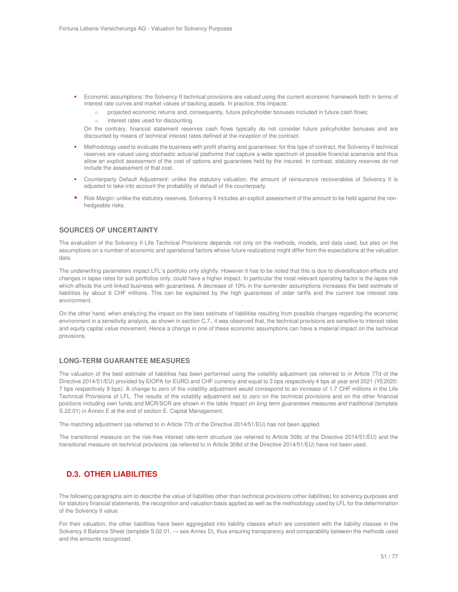- Economic assumptions: the Solvency II technical provisions are valued using the current economic framework both in terms of interest rate curves and market values of backing assets. In practice, this impacts:
	- o projected economic returns and, consequently, future policyholder bonuses included in future cash flows;
	- o interest rates used for discounting.

On the contrary, financial statement reserves cash flows typically do not consider future policyholder bonuses and are discounted by means of technical interest rates defined at the inception of the contract.

- Methodology used to evaluate the business with profit sharing and guarantees: for this type of contract, the Solvency II technical reserves are valued using stochastic actuarial platforms that capture a wide spectrum of possible financial scenarios and thus allow an explicit assessment of the cost of options and guarantees held by the insured. In contrast, statutory reserves do not include the assessment of that cost.
- Counterparty Default Adjustment: unlike the statutory valuation, the amount of reinsurance recoverables of Solvency II is adjusted to take into account the probability of default of the counterparty.
- Risk Margin: unlike the statutory reserves, Solvency II includes an explicit assessment of the amount to be held against the nonhedgeable risks.

# **SOURCES OF UNCERTAINTY**

The evaluation of the Solvency II Life Technical Provisions depends not only on the methods, models, and data used, but also on the assumptions on a number of economic and operational factors whose future realizations might differ from the expectations at the valuation date.

The underwriting parameters impact LFL`s portfolio only slightly. However it has to be noted that this is due to diversification effects and changes in lapse rates for sub portfolios only, could have a higher impact. In particular the most relevant operating factor is the lapse risk which affects the unit-linked business with quarantees. A decrease of 10% in the surrender assumptions increases the best estimate of liabilities by about 6 CHF millions. This can be explained by the high guarantees of older tariffs and the current low interest rate environment.

On the other hand, when analyzing the impact on the best estimate of liabilities resulting from possible changes regarding the economic environment in a sensitivity analysis, as shown in section C.7., it was observed that, the technical provisions are sensitive to interest rates and equity capital value movement. Hence a change in one of these economic assumptions can have a material impact on the technical provisions.

#### **LONG-TERM GUARANTEE MEASURES**

The valuation of the best estimate of liabilities has been performed using the volatility adjustment (as referred to in Article 77d of the Directive 2014/51/EU) provided by EIOPA for EURO and CHF currency and equal to 3 bps respectively 4 bps at year end 2021 (YE2020: 7 bps respectively 9 bps). A change to zero of the volatility adjustment would correspond to an increase of 1.7 CHF millions in the Life Technical Provisions of LFL. The results of the volatility adjustment set to zero on the technical provisions and on the other financial positions including own funds and MCR/SCR are shown in the table Impact on long term guarantees measures and traditional (template S.22.01) in Annex E at the end of section E. Capital Management.

The matching adjustment (as referred to in Article 77b of the Directive 2014/51/EU) has not been applied.

The transitional measure on the risk-free interest rate-term structure (as referred to Article 308c of the Directive 2014/51/EU) and the transitional measure on technical provisions (as referred to in Article 308d of the Directive 2014/51/EU) have not been used.

# **D.3. OTHER LIABILITIES**

The following paragraphs aim to describe the value of liabilities other than technical provisions (other liabilities) for solvency purposes and for statutory financial statements, the recognition and valuation basis applied as well as the methodology used by LFL for the determination of the Solvency II value.

For their valuation, the other liabilities have been aggregated into liability classes which are consistent with the liability classes in the Solvency II Balance Sheet (template  $S.02.01$ ,  $\rightarrow$  see Annex D), thus ensuring transparency and comparability between the methods used and the amounts recognized.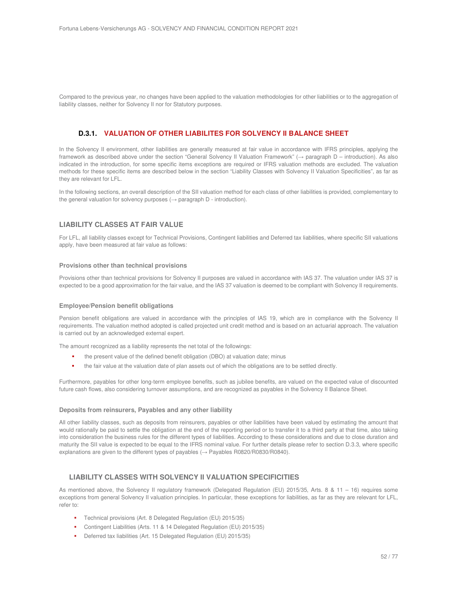Compared to the previous year, no changes have been applied to the valuation methodologies for other liabilities or to the aggregation of liability classes, neither for Solvency II nor for Statutory purposes.

# **D.3.1. VALUATION OF OTHER LIABILITES FOR SOLVENCY II BALANCE SHEET**

In the Solvency II environment, other liabilities are generally measured at fair value in accordance with IFRS principles, applying the framework as described above under the section "General Solvency II Valuation Framework" (→ paragraph D – introduction). As also indicated in the introduction, for some specific items exceptions are required or IFRS valuation methods are excluded. The valuation methods for these specific items are described below in the section "Liability Classes with Solvency II Valuation Specificities", as far as they are relevant for LFL.

In the following sections, an overall description of the SII valuation method for each class of other liabilities is provided, complementary to the general valuation for solvency purposes ( $\rightarrow$  paragraph D - introduction).

## **LIABILITY CLASSES AT FAIR VALUE**

For LFL, all liability classes except for Technical Provisions, Contingent liabilities and Deferred tax liabilities, where specific SII valuations apply, have been measured at fair value as follows:

#### **Provisions other than technical provisions**

Provisions other than technical provisions for Solvency II purposes are valued in accordance with IAS 37. The valuation under IAS 37 is expected to be a good approximation for the fair value, and the IAS 37 valuation is deemed to be compliant with Solvency II requirements.

#### **Employee/Pension benefit obligations**

Pension benefit obligations are valued in accordance with the principles of IAS 19, which are in compliance with the Solvency II requirements. The valuation method adopted is called projected unit credit method and is based on an actuarial approach. The valuation is carried out by an acknowledged external expert.

The amount recognized as a liability represents the net total of the followings:

- the present value of the defined benefit obligation (DBO) at valuation date; minus
- the fair value at the valuation date of plan assets out of which the obligations are to be settled directly.

Furthermore, payables for other long-term employee benefits, such as jubilee benefits, are valued on the expected value of discounted future cash flows, also considering turnover assumptions, and are recognized as payables in the Solvency II Balance Sheet.

#### **Deposits from reinsurers, Payables and any other liability**

All other liability classes, such as deposits from reinsurers, payables or other liabilities have been valued by estimating the amount that would rationally be paid to settle the obligation at the end of the reporting period or to transfer it to a third party at that time, also taking into consideration the business rules for the different types of liabilities. According to these considerations and due to close duration and maturity the SII value is expected to be equal to the IFRS nominal value. For further details please refer to section D.3.3, where specific explanations are given to the different types of payables (→ Payables R0820/R0830/R0840).

## **LIABILITY CLASSES WITH SOLVENCY II VALUATION SPECIFICITIES**

As mentioned above, the Solvency II regulatory framework (Delegated Regulation (EU) 2015/35, Arts. 8 & 11 – 16) requires some exceptions from general Solvency II valuation principles. In particular, these exceptions for liabilities, as far as they are relevant for LFL, refer to:

- Technical provisions (Art. 8 Delegated Regulation (EU) 2015/35)
- Contingent Liabilities (Arts. 11 & 14 Delegated Regulation (EU) 2015/35)
- Deferred tax liabilities (Art. 15 Delegated Regulation (EU) 2015/35)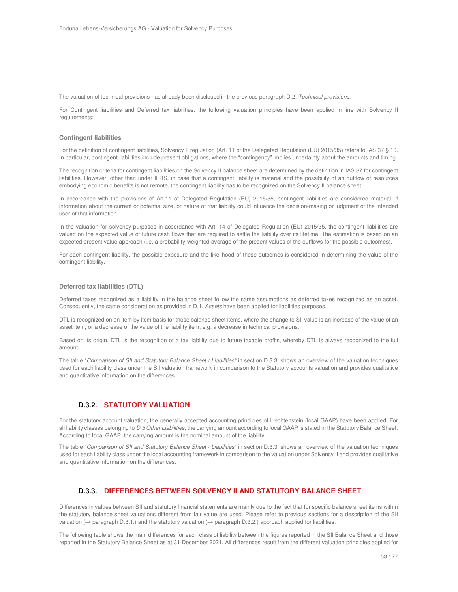The valuation of technical provisions has already been disclosed in the previous paragraph D.2. Technical provisions.

For Contingent liabilities and Deferred tax liabilities, the following valuation principles have been applied in line with Solvency II requirements:

#### **Contingent liabilities**

For the definition of contingent liabilities, Solvency II regulation (Art. 11 of the Delegated Regulation (EU) 2015/35) refers to IAS 37 § 10. In particular, contingent liabilities include present obligations, where the "contingency" implies uncertainty about the amounts and timing.

The recognition criteria for contingent liabilities on the Solvency II balance sheet are determined by the definition in IAS 37 for contingent liabilities. However, other than under IFRS, in case that a contingent liability is material and the possibility of an outflow of resources embodying economic benefits is not remote, the contingent liability has to be recognized on the Solvency II balance sheet.

In accordance with the provisions of Art.11 of Delegated Regulation (EU) 2015/35, contingent liabilities are considered material, if information about the current or potential size, or nature of that liability could influence the decision-making or judgment of the intended user of that information.

In the valuation for solvency purposes in accordance with Art. 14 of Delegated Regulation (EU) 2015/35, the contingent liabilities are valued on the expected value of future cash flows that are required to settle the liability over its lifetime. The estimation is based on an expected present value approach (i.e. a probability-weighted average of the present values of the outflows for the possible outcomes).

For each contingent liability, the possible exposure and the likelihood of these outcomes is considered in determining the value of the contingent liability.

#### **Deferred tax liabilities (DTL)**

Deferred taxes recognized as a liability in the balance sheet follow the same assumptions as deferred taxes recognized as an asset. Consequently, the same consideration as provided in D.1. Assets have been applied for liabilities purposes.

DTL is recognized on an item by item basis for those balance sheet items, where the change to SII value is an increase of the value of an asset item, or a decrease of the value of the liability item, e.g. a decrease in technical provisions.

Based on its origin, DTL is the recognition of a tax liability due to future taxable profits, whereby DTL is always recognized to the full amount.

The table "Comparison of SII and Statutory Balance Sheet / Liabilities" in section D.3.3. shows an overview of the valuation techniques used for each liability class under the SII valuation framework in comparison to the Statutory accounts valuation and provides qualitative and quantitative information on the differences.

## **D.3.2. STATUTORY VALUATION**

For the statutory account valuation, the generally accepted accounting principles of Liechtenstein (local GAAP) have been applied. For all liability classes belonging to D.3 Other Liabilities, the carrying amount according to local GAAP is stated in the Statutory Balance Sheet. According to local GAAP, the carrying amount is the nominal amount of the liability.

The table "Comparison of SII and Statutory Balance Sheet / Liabilities" in section D.3.3. shows an overview of the valuation techniques used for each liability class under the local accounting framework in comparison to the valuation under Solvency II and provides qualitative and quantitative information on the differences.

## **D.3.3. DIFFERENCES BETWEEN SOLVENCY II AND STATUTORY BALANCE SHEET**

Differences in values between SII and statutory financial statements are mainly due to the fact that for specific balance sheet items within the statutory balance sheet valuations different from fair value are used. Please refer to previous sections for a description of the SII valuation ( $\rightarrow$  paragraph D.3.1.) and the statutory valuation ( $\rightarrow$  paragraph D.3.2.) approach applied for liabilities.

The following table shows the main differences for each class of liability between the figures reported in the SII Balance Sheet and those reported in the Statutory Balance Sheet as at 31 December 2021. All differences result from the different valuation principles applied for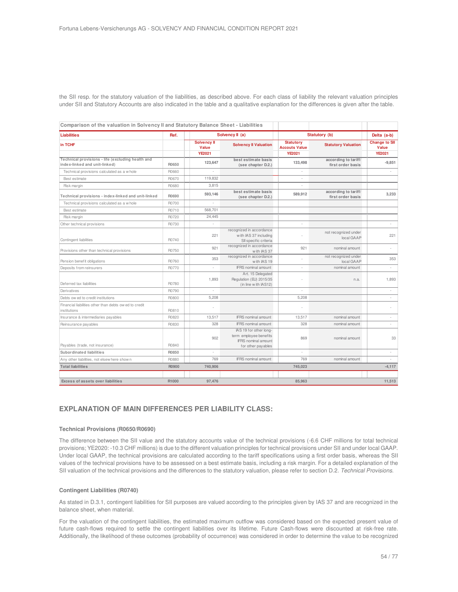the SII resp. for the statutory valuation of the liabilities, as described above. For each class of liability the relevant valuation principles under SII and Statutory Accounts are also indicated in the table and a qualitative explanation for the differences is given after the table.

| <b>Liabilities</b>                                                                 | Ref.  |                                | Solvency II (a)                                                                                      |                                                           | Statutory (b)                             | Delta (a-b)                                    |
|------------------------------------------------------------------------------------|-------|--------------------------------|------------------------------------------------------------------------------------------------------|-----------------------------------------------------------|-------------------------------------------|------------------------------------------------|
| in TCHF                                                                            |       | Solvency II<br>Value<br>YE2021 | <b>Solvency II Valuation</b>                                                                         | <b>Statutory</b><br><b>Accouts Value</b><br><b>YE2021</b> | <b>Statutory Valuation</b>                | <b>Change to SII</b><br>Value<br><b>YE2021</b> |
| Technical provisions - life (excluding health and<br>index-linked and unit-linked) | R0650 | 123,647                        | best estimate basis<br>(see chapter D.2.)                                                            | 133,498                                                   | according to tariff/<br>first order basis | $-9,851$                                       |
| Technical provisions calculated as a w hole                                        | R0660 |                                |                                                                                                      |                                                           |                                           |                                                |
| Best estimate                                                                      | R0670 | 119,832                        |                                                                                                      |                                                           |                                           |                                                |
| Risk margin                                                                        | R0680 | 3,815                          |                                                                                                      |                                                           |                                           |                                                |
| Technical provisions - index-linked and unit-linked                                | R0690 | 593,146                        | best estimate basis<br>(see chapter D.2.)                                                            | 589,912                                                   | according to tariff/<br>first order basis | 3,233                                          |
| Technical provisions calculated as a w hole                                        | R0700 |                                |                                                                                                      |                                                           |                                           |                                                |
| Best estimate                                                                      | R0710 | 568.701                        |                                                                                                      |                                                           |                                           |                                                |
| Risk margin                                                                        | R0720 | 24,445                         |                                                                                                      |                                                           |                                           |                                                |
| Other technical provisions                                                         | R0730 |                                |                                                                                                      |                                                           |                                           |                                                |
| Contingent liabilities                                                             | R0740 | 221                            | recognized in accordance<br>with IAS 37 including<br>SII specific criteria                           |                                                           | not recognized under<br>local GAAP        | 221                                            |
| Provisions other than technical provisions                                         | R0750 | 921                            | recognized in accordance<br>with IAS 37                                                              | 921                                                       | nominal amount                            |                                                |
| Pension benefit obligations                                                        | R0760 | 353                            | recognized in accordance<br>with IAS 19                                                              |                                                           | not recognized under<br>local GAAP        | 353                                            |
| Deposits from reinsurers                                                           | R0770 | $\overline{\phantom{a}}$       | <b>IFRS</b> nominal amount                                                                           | ×                                                         | nominal amount                            | $\overline{\phantom{a}}$                       |
| Deferred tax liabilities                                                           | R0780 | 1,893                          | Art. 15 Delegated<br>Regulation (EU) 2015/35<br>(in line with IAS12)                                 |                                                           | n.a.                                      | 1,893                                          |
| Derivatives                                                                        | R0790 |                                |                                                                                                      |                                                           |                                           |                                                |
| Debts ow ed to credit institutions                                                 | R0800 | 5.208                          |                                                                                                      | 5.208                                                     |                                           |                                                |
| Financial liabilities other than debts ow ed to credit<br>institutions             | R0810 |                                |                                                                                                      |                                                           |                                           |                                                |
| Insurance & intermediaries payables                                                | R0820 | 13,517                         | <b>IFRS</b> nominal amount                                                                           | 13,517                                                    | nominal amount                            | ÷.                                             |
| Reinsurance payables                                                               | R0830 | 328                            | <b>IFRS</b> nominal amount                                                                           | 328                                                       | nominal amount                            | ÷                                              |
| Payables (trade, not insurance)                                                    | R0840 | 902                            | IAS 19 for other long-<br>term employee benefits<br><b>IFRS</b> nominal amount<br>for other payables | 869                                                       | nominal amount                            | 33                                             |
| Subordinated liabilities                                                           | R0850 |                                |                                                                                                      |                                                           |                                           | ٠                                              |
| Any other liabilities, not elsew here show n                                       | R0880 | 769                            | <b>IFRS</b> nominal amount                                                                           | 769                                                       | nominal amount                            |                                                |
| <b>Total liabilities</b>                                                           | R0900 | 740,906                        |                                                                                                      | 745,023                                                   |                                           | $-4, 117$                                      |
|                                                                                    |       |                                |                                                                                                      |                                                           |                                           |                                                |
| <b>Excess of assets over liabilities</b>                                           | R1000 | 97,476                         |                                                                                                      | 85.963                                                    |                                           | 11,513                                         |

## **EXPLANATION OF MAIN DIFFERENCES PER LIABILITY CLASS:**

#### **Technical Provisions (R0650/R0690)**

The difference between the SII value and the statutory accounts value of the technical provisions (-6.6 CHF millions for total technical provisions; YE2020: -10.3 CHF millions) is due to the different valuation principles for technical provisions under SII and under local GAAP. Under local GAAP, the technical provisions are calculated according to the tariff specifications using a first order basis, whereas the SII values of the technical provisions have to be assessed on a best estimate basis, including a risk margin. For a detailed explanation of the SII valuation of the technical provisions and the differences to the statutory valuation, please refer to section D.2. Technical Provisions.

#### **Contingent Liabilities (R0740)**

As stated in D.3.1, contingent liabilities for SII purposes are valued according to the principles given by IAS 37 and are recognized in the balance sheet, when material.

For the valuation of the contingent liabilities, the estimated maximum outflow was considered based on the expected present value of future cash-flows required to settle the contingent liabilities over its lifetime. Future Cash-flows were discounted at risk-free rate. Additionally, the likelihood of these outcomes (probability of occurrence) was considered in order to determine the value to be recognized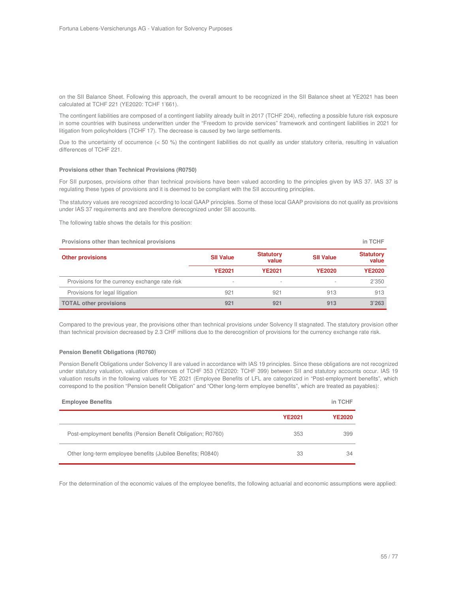on the SII Balance Sheet. Following this approach, the overall amount to be recognized in the SII Balance sheet at YE2021 has been calculated at TCHF 221 (YE2020: TCHF 1'661).

The contingent liabilities are composed of a contingent liability already built in 2017 (TCHF 204), reflecting a possible future risk exposure in some countries with business underwritten under the "Freedom to provide services" framework and contingent liabilities in 2021 for litigation from policyholders (TCHF 17). The decrease is caused by two large settlements.

Due to the uncertainty of occurrence (< 50 %) the contingent liabilities do not qualify as under statutory criteria, resulting in valuation differences of TCHF 221.

#### **Provisions other than Technical Provisions (R0750)**

For SII purposes, provisions other than technical provisions have been valued according to the principles given by IAS 37. IAS 37 is regulating these types of provisions and it is deemed to be compliant with the SII accounting principles.

The statutory values are recognized according to local GAAP principles. Some of these local GAAP provisions do not qualify as provisions under IAS 37 requirements and are therefore derecognized under SII accounts.

The following table shows the details for this position:

| in TCHF<br>Provisions other than technical provisions |                  |                           |                  |                           |
|-------------------------------------------------------|------------------|---------------------------|------------------|---------------------------|
| <b>Other provisions</b>                               | <b>SII Value</b> | <b>Statutory</b><br>value | <b>SII Value</b> | <b>Statutory</b><br>value |
|                                                       | <b>YE2021</b>    | <b>YE2021</b>             | <b>YE2020</b>    | <b>YE2020</b>             |
| Provisions for the currency exchange rate risk        |                  |                           |                  | 2'350                     |
| Provisions for legal litigation                       | 921              | 921                       | 913              | 913                       |
| <b>TOTAL other provisions</b>                         | 921              | 921                       | 913              | 3'263                     |

Compared to the previous year, the provisions other than technical provisions under Solvency II stagnated. The statutory provision other than technical provision decreased by 2.3 CHF millions due to the derecognition of provisions for the currency exchange rate risk.

#### **Pension Benefit Obligations (R0760)**

Pension Benefit Obligations under Solvency II are valued in accordance with IAS 19 principles. Since these obligations are not recognized under statutory valuation, valuation differences of TCHF 353 (YE2020: TCHF 399) between SII and statutory accounts occur. IAS 19 valuation results in the following values for YE 2021 (Employee Benefits of LFL are categorized in "Post-employment benefits", which correspond to the position "Pension benefit Obligation" and "Other long-term employee benefits", which are treated as payables):

| <b>Employee Benefits</b>                                     |               | in TCHF       |
|--------------------------------------------------------------|---------------|---------------|
|                                                              | <b>YE2021</b> | <b>YE2020</b> |
| Post-employment benefits (Pension Benefit Obligation; R0760) | 353           | 399           |
| Other long-term employee benefits (Jubilee Benefits; R0840)  | 33            | 34            |

For the determination of the economic values of the employee benefits, the following actuarial and economic assumptions were applied: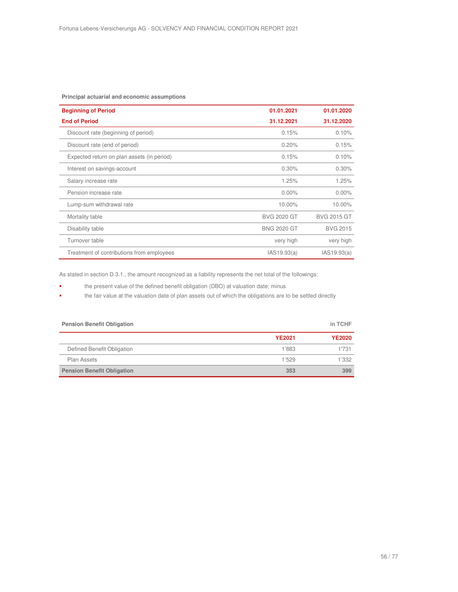### **Principal actuarial and economic assumptions**

| <b>Beginning of Period</b>                 | 01.01.2021         | 01.01.2020         |
|--------------------------------------------|--------------------|--------------------|
| <b>End of Period</b>                       | 31.12.2021         | 31.12.2020         |
| Discount rate (beginning of period)        | 0.15%              | 0.10%              |
| Discount rate (end of period)              | 0.20%              | 0.15%              |
| Expected return on plan assets (in period) | 0.15%              | 0.10%              |
| Interest on savings-account                | 0.30%              | 0.30%              |
| Salary increase rate                       | 1.25%              | 1.25%              |
| Pension increase rate                      | $0.00\%$           | $0.00\%$           |
| Lump-sum withdrawal rate                   | 10.00%             | 10.00%             |
| Mortality table                            | <b>BVG 2020 GT</b> | <b>BVG 2015 GT</b> |
| Disability table                           | <b>BNG 2020 GT</b> | <b>BVG 2015</b>    |
| Turnover table                             | very high          | very high          |
| Treatment of contributions from employees  | IAS19.93(a)        | IAS19.93(a)        |

As stated in section D.3.1., the amount recognized as a liability represents the net total of the followings:

- the present value of the defined benefit obligation (DBO) at valuation date; minus
- the fair value at the valuation date of plan assets out of which the obligations are to be settled directly

| <b>Pension Benefit Obligation</b> |               | in TCHF       |
|-----------------------------------|---------------|---------------|
|                                   | <b>YE2021</b> | <b>YE2020</b> |
| Defined Benefit Obligation        | 1'883         | 1'731         |
| Plan Assets                       | 1'529         | 1'332         |
| <b>Pension Benefit Obligation</b> | 353           | 399           |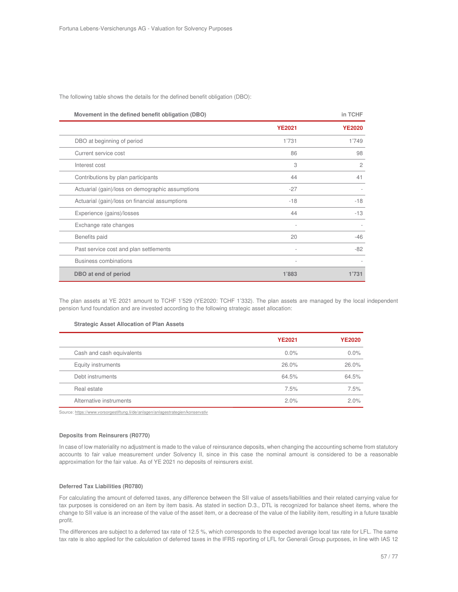The following table shows the details for the defined benefit obligation (DBO):

| Movement in the defined benefit obligation (DBO) |                          | in TCHF        |
|--------------------------------------------------|--------------------------|----------------|
|                                                  | <b>YE2021</b>            | <b>YE2020</b>  |
| DBO at beginning of period                       | 1'731                    | 1'749          |
| Current service cost                             | 86                       | 98             |
| Interest cost                                    | 3                        | $\overline{2}$ |
| Contributions by plan participants               | 44                       | 41             |
| Actuarial (gain)/loss on demographic assumptions | $-27$                    |                |
| Actuarial (gain)/loss on financial assumptions   | $-18$                    | $-18$          |
| Experience (gains)/losses                        | 44                       | $-13$          |
| Exchange rate changes                            |                          |                |
| Benefits paid                                    | 20                       | $-46$          |
| Past service cost and plan settlements           |                          | $-82$          |
| <b>Business combinations</b>                     | $\overline{\phantom{a}}$ |                |
| DBO at end of period                             | 1'883                    | 1'731          |

The plan assets at YE 2021 amount to TCHF 1'529 (YE2020: TCHF 1'332). The plan assets are managed by the local independent pension fund foundation and are invested according to the following strategic asset allocation:

#### **Strategic Asset Allocation of Plan Assets**

|                           | <b>YE2021</b> | <b>YE2020</b> |
|---------------------------|---------------|---------------|
| Cash and cash equivalents | $0.0\%$       | $0.0\%$       |
| Equity instruments        | 26.0%         | 26.0%         |
| Debt instruments          | 64.5%         | 64.5%         |
| Real estate               | 7.5%          | 7.5%          |
| Alternative instruments   | 2.0%          | 2.0%          |

Source: https://www.vorsorgestiftung.li/de/anlagen/anlagestrategien/konservativ

#### **Deposits from Reinsurers (R0770)**

In case of low materiality no adjustment is made to the value of reinsurance deposits, when changing the accounting scheme from statutory accounts to fair value measurement under Solvency II, since in this case the nominal amount is considered to be a reasonable approximation for the fair value. As of YE 2021 no deposits of reinsurers exist.

#### **Deferred Tax Liabilities (R0780)**

For calculating the amount of deferred taxes, any difference between the SII value of assets/liabilities and their related carrying value for tax purposes is considered on an item by item basis. As stated in section D.3., DTL is recognized for balance sheet items, where the change to SII value is an increase of the value of the asset item, or a decrease of the value of the liability item, resulting in a future taxable profit.

The differences are subject to a deferred tax rate of 12.5 %, which corresponds to the expected average local tax rate for LFL. The same tax rate is also applied for the calculation of deferred taxes in the IFRS reporting of LFL for Generali Group purposes, in line with IAS 12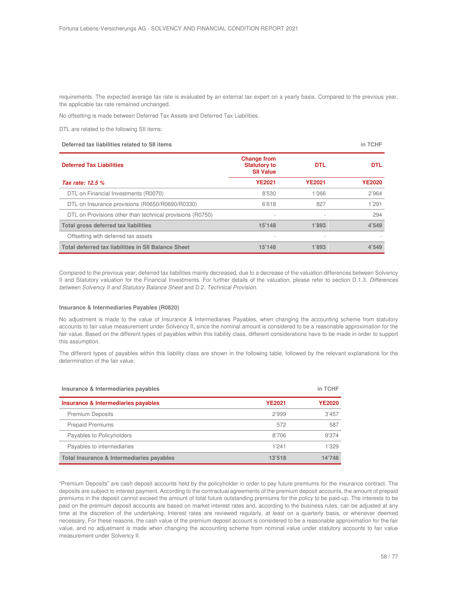requirements. The expected average tax rate is evaluated by an external tax expert on a yearly basis. Compared to the previous year, the applicable tax rate remained unchanged.

No offsetting is made between Deferred Tax Assets and Deferred Tax Liabilities.

DTL are related to the following SII items:

| Deferred tax liabilities related to SII items              |                                                               |               | in TCHF       |
|------------------------------------------------------------|---------------------------------------------------------------|---------------|---------------|
| <b>Deferred Tax Liabilities</b>                            | <b>Change from</b><br><b>Statutory to</b><br><b>SII Value</b> | <b>DTL</b>    | <b>DTL</b>    |
| Tax rate: 12.5 %                                           | <b>YE2021</b>                                                 | <b>YE2021</b> | <b>YE2020</b> |
| DTL on Financial Investments (R0070)                       | 8'530                                                         | 1'066         | 2'964         |
| DTL on Insurance provisions (R0650/R0690/R0330)            | 6'618                                                         | 827           | 1'291         |
| DTL on Provisions other than technical provisions (R0750)  | $\overline{\phantom{a}}$                                      |               | 294           |
| Total gross deferred tax liabilities                       | 15'148                                                        | 1'893         | 4'549         |
| Offsetting with deferred tax assets                        |                                                               |               |               |
| <b>Total deferred tax liabilities in SII Balance Sheet</b> | 15'148                                                        | 1'893         | 4'549         |

Compared to the previous year, deferred tax liabilities mainly decreased, due to a decrease of the valuation differences between Solvency II and Statutory valuation for the Financial Investments. For further details of the valuation, please refer to section D.1.3. Differences between Solvency II and Statutory Balance Sheet and D.2. Technical Provision.

#### **Insurance & Intermediaries Payables (R0820)**

No adjustment is made to the value of Insurance & Intermediaries Payables, when changing the accounting scheme from statutory accounts to fair value measurement under Solvency II, since the nominal amount is considered to be a reasonable approximation for the fair value. Based on the different types of payables within this liability class, different considerations have to be made in order to support this assumption.

The different types of payables within this liability class are shown in the following table, followed by the relevant explanations for the determination of the fair value:

| Insurance & Intermediaries payables       |               | in TCHF       |
|-------------------------------------------|---------------|---------------|
| Insurance & Intermediaries payables       | <b>YE2021</b> | <b>YE2020</b> |
| <b>Premium Deposits</b>                   | 2'999         | 3'457         |
| <b>Prepaid Premiums</b>                   | 572           | 587           |
| Payables to Policyholders                 | 8'706         | 9'374         |
| Payables to intermediaries                | 1'241         | 1'329         |
| Total Insurance & Intermediaries payables | 13'518        | 14'748        |

"Premium Deposits" are cash deposit accounts held by the policyholder in order to pay future premiums for the insurance contract. The deposits are subject to interest payment. According to the contractual agreements of the premium deposit accounts, the amount of prepaid premiums in the deposit cannot exceed the amount of total future outstanding premiums for the policy to be paid-up. The interests to be paid on the premium deposit accounts are based on market interest rates and, according to the business rules, can be adjusted at any time at the discretion of the undertaking. Interest rates are reviewed regularly, at least on a quarterly basis, or whenever deemed necessary. For these reasons, the cash value of the premium deposit account is considered to be a reasonable approximation for the fair value, and no adjustment is made when changing the accounting scheme from nominal value under statutory accounts to fair value measurement under Solvency II.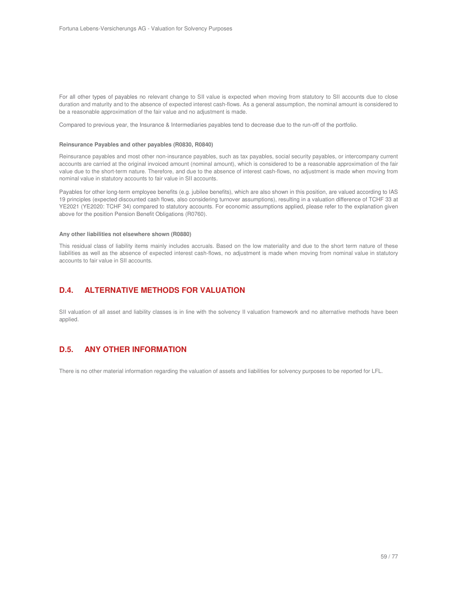For all other types of payables no relevant change to SII value is expected when moving from statutory to SII accounts due to close duration and maturity and to the absence of expected interest cash-flows. As a general assumption, the nominal amount is considered to be a reasonable approximation of the fair value and no adjustment is made.

Compared to previous year, the Insurance & Intermediaries payables tend to decrease due to the run-off of the portfolio.

#### **Reinsurance Payables and other payables (R0830, R0840)**

Reinsurance payables and most other non-insurance payables, such as tax payables, social security payables, or intercompany current accounts are carried at the original invoiced amount (nominal amount), which is considered to be a reasonable approximation of the fair value due to the short-term nature. Therefore, and due to the absence of interest cash-flows, no adjustment is made when moving from nominal value in statutory accounts to fair value in SII accounts.

Payables for other long-term employee benefits (e.g. jubilee benefits), which are also shown in this position, are valued according to IAS 19 principles (expected discounted cash flows, also considering turnover assumptions), resulting in a valuation difference of TCHF 33 at YE2021 (YE2020: TCHF 34) compared to statutory accounts. For economic assumptions applied, please refer to the explanation given above for the position Pension Benefit Obligations (R0760).

#### **Any other liabilities not elsewhere shown (R0880)**

This residual class of liability items mainly includes accruals. Based on the low materiality and due to the short term nature of these liabilities as well as the absence of expected interest cash-flows, no adjustment is made when moving from nominal value in statutory accounts to fair value in SII accounts.

# **D.4. ALTERNATIVE METHODS FOR VALUATION**

SII valuation of all asset and liability classes is in line with the solvency II valuation framework and no alternative methods have been applied.

# **D.5. ANY OTHER INFORMATION**

There is no other material information regarding the valuation of assets and liabilities for solvency purposes to be reported for LFL.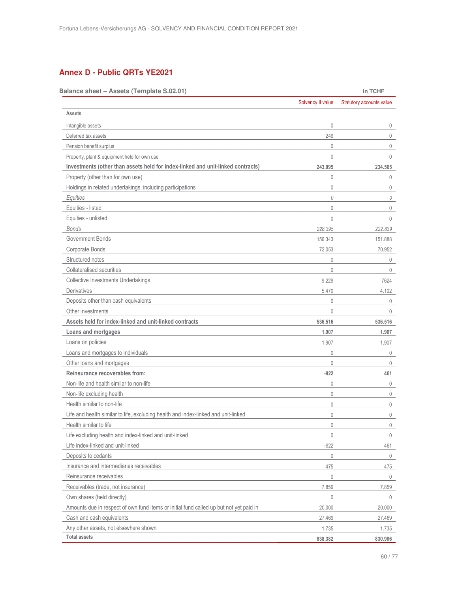# **Annex D - Public QRTs YE2021**

| Balance sheet - Assets (Template S.02.01)                                              |                   | in TCHF                  |
|----------------------------------------------------------------------------------------|-------------------|--------------------------|
|                                                                                        | Solvency II value | Statutory accounts value |
| Assets                                                                                 |                   |                          |
| Intangible assets                                                                      | 0                 | 0                        |
| Deferred tax assets                                                                    | 249               | $\mathbf 0$              |
| Pension benefit surplus                                                                | 0                 | $\mathbf 0$              |
| Property, plant & equipment held for own use                                           | 0                 | $\mathbf{0}$             |
| Investments (other than assets held for index-linked and unit-linked contracts)        | 243.095           | 234.565                  |
| Property (other than for own use)                                                      | 0                 | 0                        |
| Holdings in related undertakings, including participations                             | 0                 | $\mathbf 0$              |
| Equities                                                                               | 0                 | 0                        |
| Equities - listed                                                                      | 0                 | $\mathbf 0$              |
| Equities - unlisted                                                                    | 0                 | 0                        |
| Bonds                                                                                  | 228.395           | 222.839                  |
| Government Bonds                                                                       | 156.343           | 151.888                  |
| Corporate Bonds                                                                        | 72.053            | 70.952                   |
| Structured notes                                                                       | 0                 | 0                        |
| Collateralised securities                                                              | 0                 | $\mathbf 0$              |
| Collective Investments Undertakings                                                    | 9.229             | 7624                     |
| <b>Derivatives</b>                                                                     | 5.470             | 4.102                    |
| Deposits other than cash equivalents                                                   | 0                 | 0                        |
| Other investments                                                                      | 0                 | $\mathbf 0$              |
| Assets held for index-linked and unit-linked contracts                                 | 536.516           | 536.516                  |
| Loans and mortgages                                                                    | 1.907             | 1.907                    |
| Loans on policies                                                                      | 1.907             | 1.907                    |
| Loans and mortgages to individuals                                                     | 0                 | $\mathbf 0$              |
| Other loans and mortgages                                                              | 0                 | 0                        |
| Reinsurance recoverables from:                                                         | $-922$            | 461                      |
| Non-life and health similar to non-life                                                | 0                 | 0                        |
| Non-life excluding health                                                              | 0                 | $\mathbf{0}$             |
| Health similar to non-life                                                             | 0                 | 0                        |
| Life and health similar to life, excluding health and index-linked and unit-linked     | 0                 | 0                        |
| Health similar to life                                                                 | 0                 | 0                        |
| Life excluding health and index-linked and unit-linked                                 | $\mathbf 0$       | 0                        |
| Life index-linked and unit-linked                                                      | $-922$            | 461                      |
| Deposits to cedants                                                                    | 0                 | 0                        |
| Insurance and intermediaries receivables                                               | 475               | 475                      |
| Reinsurance receivables                                                                | 0                 | 0                        |
| Receivables (trade, not insurance)                                                     | 7.859             | 7.859                    |
| Own shares (held directly)                                                             | 0                 | 0                        |
| Amounts due in respect of own fund items or initial fund called up but not yet paid in | 20.000            | 20.000                   |
| Cash and cash equivalents                                                              | 27.469            | 27.469                   |
| Any other assets, not elsewhere shown                                                  | 1.735             | 1.735                    |
| <b>Total assets</b>                                                                    | 838.382           | 830.986                  |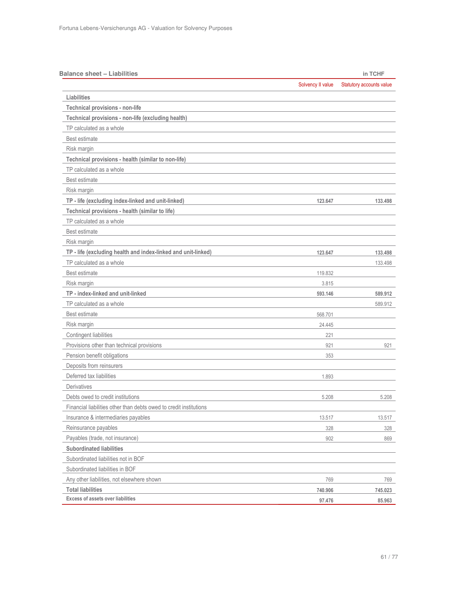| <b>Balance sheet - Liabilities</b>                                 |                   | in TCHF                  |
|--------------------------------------------------------------------|-------------------|--------------------------|
|                                                                    | Solvency II value | Statutory accounts value |
| Liabilities                                                        |                   |                          |
| Technical provisions - non-life                                    |                   |                          |
| Technical provisions - non-life (excluding health)                 |                   |                          |
| TP calculated as a whole                                           |                   |                          |
| Best estimate                                                      |                   |                          |
| Risk margin                                                        |                   |                          |
| Technical provisions - health (similar to non-life)                |                   |                          |
| TP calculated as a whole                                           |                   |                          |
| Best estimate                                                      |                   |                          |
| Risk margin                                                        |                   |                          |
| TP - life (excluding index-linked and unit-linked)                 | 123.647           | 133.498                  |
| Technical provisions - health (similar to life)                    |                   |                          |
| TP calculated as a whole                                           |                   |                          |
| Best estimate                                                      |                   |                          |
| Risk margin                                                        |                   |                          |
| TP - life (excluding health and index-linked and unit-linked)      | 123.647           | 133.498                  |
| TP calculated as a whole                                           |                   | 133.498                  |
| Best estimate                                                      | 119.832           |                          |
| Risk margin                                                        | 3.815             |                          |
| TP - index-linked and unit-linked                                  | 593.146           | 589.912                  |
| TP calculated as a whole                                           |                   | 589.912                  |
| Best estimate                                                      | 568.701           |                          |
| Risk margin                                                        | 24.445            |                          |
| Contingent liabilities                                             | 221               |                          |
| Provisions other than technical provisions                         | 921               | 921                      |
| Pension benefit obligations                                        | 353               |                          |
| Deposits from reinsurers                                           |                   |                          |
| Deferred tax liabilities                                           | 1.893             |                          |
| Derivatives                                                        |                   |                          |
| Debts owed to credit institutions                                  | 5.208             | 5.208                    |
| Financial liabilities other than debts owed to credit institutions |                   |                          |
| Insurance & intermediaries payables                                | 13.517            | 13.517                   |
| Reinsurance payables                                               | 328               | 328                      |
| Payables (trade, not insurance)                                    | 902               | 869                      |
| <b>Subordinated liabilities</b>                                    |                   |                          |
| Subordinated liabilities not in BOF                                |                   |                          |
| Subordinated liabilities in BOF                                    |                   |                          |
| Any other liabilities, not elsewhere shown                         | 769               | 769                      |
| <b>Total liabilities</b>                                           | 740.906           | 745.023                  |
| <b>Excess of assets over liabilities</b>                           | 97.476            | 85.963                   |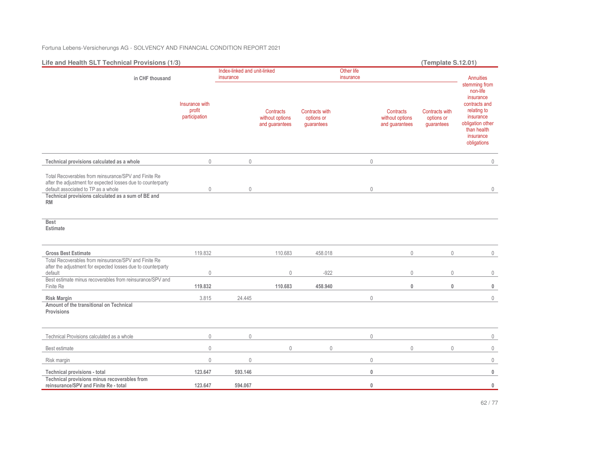Fortuna Lebens-Versicherungs AG - SOLVENCY AND FINANCIAL CONDITION REPORT 2021

| Life and Health SLT Technical Provisions (1/3)                                                                                                                                                                                  |                                           |                                           |                                                |                                            |                         |                                                | (Template S.12.01)                                |                                                                                                                                                    |
|---------------------------------------------------------------------------------------------------------------------------------------------------------------------------------------------------------------------------------|-------------------------------------------|-------------------------------------------|------------------------------------------------|--------------------------------------------|-------------------------|------------------------------------------------|---------------------------------------------------|----------------------------------------------------------------------------------------------------------------------------------------------------|
| in CHF thousand                                                                                                                                                                                                                 |                                           | Index-linked and unit-linked<br>insurance |                                                |                                            | Other life<br>insurance |                                                |                                                   | <b>Annuities</b>                                                                                                                                   |
|                                                                                                                                                                                                                                 | Insurance with<br>profit<br>participation |                                           | Contracts<br>without options<br>and guarantees | Contracts with<br>options or<br>guarantees |                         | Contracts<br>without options<br>and guarantees | <b>Contracts with</b><br>options or<br>guarantees | stemming from<br>non-life<br>insurance<br>contracts and<br>relating to<br>insurance<br>obligation other<br>than health<br>insurance<br>obligations |
| Technical provisions calculated as a whole                                                                                                                                                                                      | $\mathbf 0$                               | $\mathbb O$                               |                                                |                                            | $\mathbb O$             |                                                |                                                   | $\mathbf 0$                                                                                                                                        |
| Total Recoverables from reinsurance/SPV and Finite Re<br>after the adjustment for expected losses due to counterparty<br>default associated to TP as a whole<br>Technical provisions calculated as a sum of BE and<br><b>RM</b> | $\mathbf 0$                               | $\theta$                                  |                                                |                                            | $\mathbb O$             |                                                |                                                   | 0                                                                                                                                                  |
| <b>Best</b><br><b>Estimate</b>                                                                                                                                                                                                  |                                           |                                           |                                                |                                            |                         |                                                |                                                   |                                                                                                                                                    |
| <b>Gross Best Estimate</b>                                                                                                                                                                                                      | 119.832                                   |                                           | 110.683                                        | 458.018                                    |                         | $\mathbf 0$                                    | $\mathbb O$                                       | 0                                                                                                                                                  |
| Total Recoverables from reinsurance/SPV and Finite Re<br>after the adjustment for expected losses due to counterparty<br>default                                                                                                | $\mathbb O$                               |                                           | $\mathbf 0$                                    | $-922$                                     |                         | $\mathbf 0$                                    | $\mathbf 0$                                       | $\mathbf 0$                                                                                                                                        |
| Best estimate minus recoverables from reinsurance/SPV and<br>Finite Re                                                                                                                                                          | 119.832                                   |                                           | 110.683                                        | 458.940                                    |                         | $\mathbf{0}$                                   | $\bf{0}$                                          | $\mathbf 0$                                                                                                                                        |
| <b>Risk Margin</b><br>Amount of the transitional on Technical<br>Provisions                                                                                                                                                     | 3.815                                     | 24.445                                    |                                                |                                            | $\mathbb O$             |                                                |                                                   | $\mathbf 0$                                                                                                                                        |
| Technical Provisions calculated as a whole                                                                                                                                                                                      | $\mathbb O$                               | $\mathbb O$                               |                                                |                                            | $\mathbb O$             |                                                |                                                   | $\mathbf 0$                                                                                                                                        |
| Best estimate                                                                                                                                                                                                                   | $\mathbf 0$                               |                                           | $\overline{0}$                                 | $\mathbf{0}$                               |                         | $\Omega$                                       | $\mathbf{0}$                                      | $\mathbb O$                                                                                                                                        |
| Risk margin                                                                                                                                                                                                                     | $\mathbb O$                               | $\mathbf 0$                               |                                                |                                            | $\mathbb O$             |                                                |                                                   | $\mathbb O$                                                                                                                                        |
| Technical provisions - total                                                                                                                                                                                                    | 123.647                                   | 593.146                                   |                                                |                                            | $\pmb{0}$               |                                                |                                                   | $\mathbb O$                                                                                                                                        |
| Technical provisions minus recoverables from<br>reinsurance/SPV and Finite Re - total                                                                                                                                           | 123.647                                   | 594.067                                   |                                                |                                            | $\pmb{0}$               |                                                |                                                   | $\mathbf 0$                                                                                                                                        |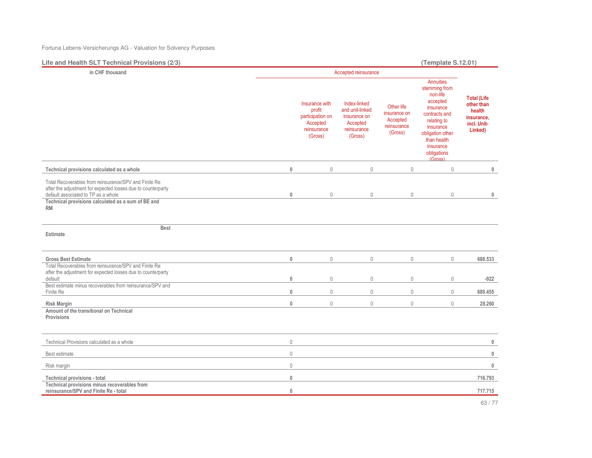Fortuna Lebens-Versicherungs AG - Valuation for Solvency Purposes

**Life and Health SLT Technical Provisions (2/3) (Template S.12.01)in CHF thousand** Accepted reinsurance **Total (Life other than health insurance, incl. Unit-Linked)** Insurance with profit participation on Accepted reinsurance (Gross) Index-linked and unit-linked insurance on Accepted reinsurance (Gross) Other life insurance on Accepted reinsurance (Gross) **Annuities**  stemming from non-life accepted insurance contracts and relating to insurance obligation other than health insurance obligations (Gross)**Technical provisions calculated as a whole 0** 0 0 0 0 **0** Total Recoverables from reinsurance/SPV and Finite Re after the adjustment for expected losses due to counterparty default associated to TP as a whole **0** 0 0 0 0 **0 Technical provisions calculated as a sum of BE and RMBest EstimateGross Best Estimate 0** 0 0 0 0 **688.533** Total Recoverables from reinsurance/SPV and Finite Re after the adjustment for expected losses due to counterparty default **0** 0 0 0 0 **-922** Best estimate minus recoverables from reinsurance/SPV and Finite Re **0** 0 0 0 0 **689.455 Risk Margin 0** 0 0 0 0 **28.260 Amount of the transitional on Technical Provisions**Technical Provisions calculated as a whole 0 **0** Best estimate 0 **0** Risk margin 0 **0 Technical provisions - total 0 716.793 Technical provisions minus recoverables from reinsurance/SPV and Finite Re - total 0 717.715**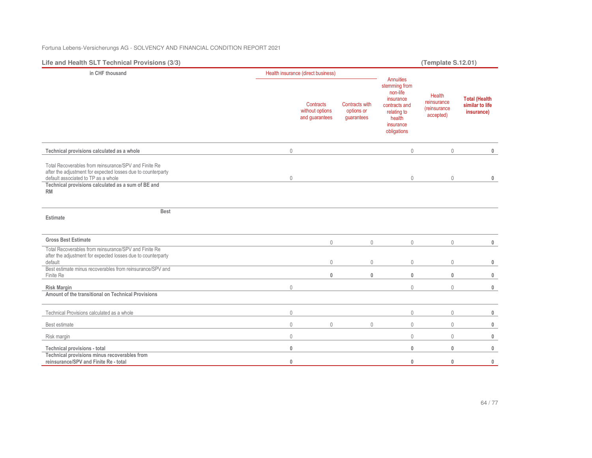Fortuna Lebens-Versicherungs AG - SOLVENCY AND FINANCIAL CONDITION REPORT 2021

| Life and Health SLT Technical Provisions (3/3)                                                                                                                                                                                  |             |                                                |                                                   |                                                                                                                           | (Template S.12.01)                                         |                                                       |
|---------------------------------------------------------------------------------------------------------------------------------------------------------------------------------------------------------------------------------|-------------|------------------------------------------------|---------------------------------------------------|---------------------------------------------------------------------------------------------------------------------------|------------------------------------------------------------|-------------------------------------------------------|
| in CHF thousand                                                                                                                                                                                                                 |             | Health insurance (direct business)             |                                                   |                                                                                                                           |                                                            |                                                       |
|                                                                                                                                                                                                                                 |             | Contracts<br>without options<br>and guarantees | <b>Contracts with</b><br>options or<br>guarantees | Annuities<br>stemming from<br>non-life<br>insurance<br>contracts and<br>relating to<br>health<br>insurance<br>obligations | Health<br>reinsurance<br><i>(reinsurance)</i><br>accepted) | <b>Total (Health</b><br>similar to life<br>insurance) |
| Technical provisions calculated as a whole                                                                                                                                                                                      | $\mathbf 0$ |                                                |                                                   | $\mathbf 0$                                                                                                               | $\mathbf 0$                                                | $\mathbf{0}$                                          |
| Total Recoverables from reinsurance/SPV and Finite Re<br>after the adjustment for expected losses due to counterparty<br>default associated to TP as a whole<br>Technical provisions calculated as a sum of BE and<br><b>RM</b> | $\mathbf 0$ |                                                |                                                   | $\mathbf{0}$                                                                                                              | $\mathbf 0$                                                | $\pmb{0}$                                             |
| <b>Best</b><br>Estimate                                                                                                                                                                                                         |             |                                                |                                                   |                                                                                                                           |                                                            |                                                       |
| <b>Gross Best Estimate</b>                                                                                                                                                                                                      |             | $\mathbf 0$                                    | $\mathbf 0$                                       | $\mathbf 0$                                                                                                               | $\mathbf 0$                                                | $\mathbf 0$                                           |
| Total Recoverables from reinsurance/SPV and Finite Re<br>after the adjustment for expected losses due to counterparty<br>default<br>Best estimate minus recoverables from reinsurance/SPV and                                   |             | $\mathbf 0$                                    | $\mathbf 0$                                       | $\mathbf{0}$                                                                                                              | $\mathbf 0$                                                | $\mathbf 0$                                           |
| Finite Re                                                                                                                                                                                                                       |             | $\mathbf{0}$                                   | $\mathbf{0}$                                      | $\mathbf{0}$                                                                                                              | $\mathbf{0}$                                               | $\mathbf 0$                                           |
| <b>Risk Margin</b>                                                                                                                                                                                                              | $\mathbb O$ |                                                |                                                   | $\mathbf{0}$                                                                                                              | $\mathbf{0}$                                               | $\bf{0}$                                              |
| Amount of the transitional on Technical Provisions                                                                                                                                                                              |             |                                                |                                                   |                                                                                                                           |                                                            |                                                       |
| Technical Provisions calculated as a whole                                                                                                                                                                                      | $\mathbb O$ |                                                |                                                   | $\mathbb O$                                                                                                               | $\mathbf 0$                                                | $\mathbf 0$                                           |
| Best estimate                                                                                                                                                                                                                   | $\mathbf 0$ | $\mathbf{0}$                                   | $\mathbf 0$                                       | $\mathbf{0}$                                                                                                              | $\mathbf{0}$                                               | $\mathbf 0$                                           |
| Risk margin                                                                                                                                                                                                                     | $\mathbf 0$ |                                                |                                                   | $\mathbf{0}$                                                                                                              | $\mathbf 0$                                                | $\mathbf 0$                                           |
| Technical provisions - total                                                                                                                                                                                                    | $\mathbf 0$ |                                                |                                                   | $\mathbf 0$                                                                                                               | $\mathbf 0$                                                | $\mathbf 0$                                           |
| Technical provisions minus recoverables from<br>reinsurance/SPV and Finite Re - total                                                                                                                                           | $\bf{0}$    |                                                |                                                   | $\mathbf{0}$                                                                                                              | $\mathbf{0}$                                               | $\mathbf 0$                                           |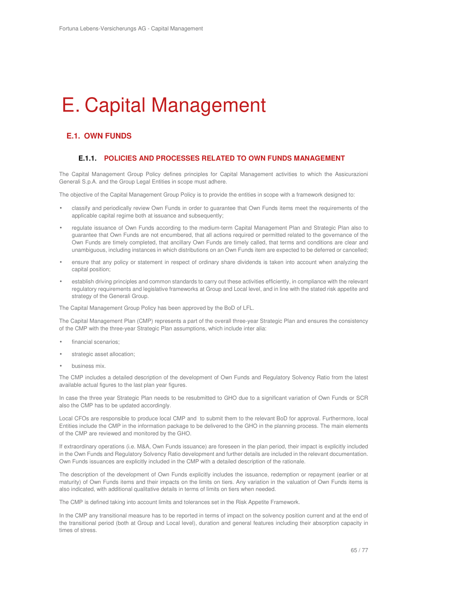# E. Capital Management

# **E.1. OWN FUNDS**

## **E.1.1. POLICIES AND PROCESSES RELATED TO OWN FUNDS MANAGEMENT**

The Capital Management Group Policy defines principles for Capital Management activities to which the Assicurazioni Generali S.p.A. and the Group Legal Entities in scope must adhere.

The objective of the Capital Management Group Policy is to provide the entities in scope with a framework designed to:

- classify and periodically review Own Funds in order to guarantee that Own Funds items meet the requirements of the applicable capital regime both at issuance and subsequently;
- regulate issuance of Own Funds according to the medium-term Capital Management Plan and Strategic Plan also to guarantee that Own Funds are not encumbered, that all actions required or permitted related to the governance of the Own Funds are timely completed, that ancillary Own Funds are timely called, that terms and conditions are clear and unambiguous, including instances in which distributions on an Own Funds item are expected to be deferred or cancelled;
- ensure that any policy or statement in respect of ordinary share dividends is taken into account when analyzing the capital position;
- establish driving principles and common standards to carry out these activities efficiently, in compliance with the relevant regulatory requirements and legislative frameworks at Group and Local level, and in line with the stated risk appetite and strategy of the Generali Group.

The Capital Management Group Policy has been approved by the BoD of LFL.

The Capital Management Plan (CMP) represents a part of the overall three-year Strategic Plan and ensures the consistency of the CMP with the three-year Strategic Plan assumptions, which include inter alia:

- financial scenarios;
- strategic asset allocation;
- business mix.

The CMP includes a detailed description of the development of Own Funds and Regulatory Solvency Ratio from the latest available actual figures to the last plan year figures.

In case the three year Strategic Plan needs to be resubmitted to GHO due to a significant variation of Own Funds or SCR also the CMP has to be updated accordingly.

Local CFOs are responsible to produce local CMP and to submit them to the relevant BoD for approval. Furthermore, local Entities include the CMP in the information package to be delivered to the GHO in the planning process. The main elements of the CMP are reviewed and monitored by the GHO.

If extraordinary operations (i.e. M&A, Own Funds issuance) are foreseen in the plan period, their impact is explicitly included in the Own Funds and Regulatory Solvency Ratio development and further details are included in the relevant documentation. Own Funds issuances are explicitly included in the CMP with a detailed description of the rationale.

The description of the development of Own Funds explicitly includes the issuance, redemption or repayment (earlier or at maturity) of Own Funds items and their impacts on the limits on tiers. Any variation in the valuation of Own Funds items is also indicated, with additional qualitative details in terms of limits on tiers when needed.

The CMP is defined taking into account limits and tolerances set in the Risk Appetite Framework.

In the CMP any transitional measure has to be reported in terms of impact on the solvency position current and at the end of the transitional period (both at Group and Local level), duration and general features including their absorption capacity in times of stress.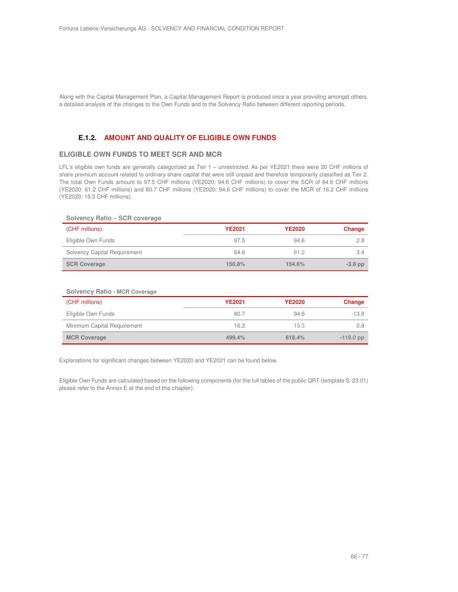Along with the Capital Management Plan, a Capital Management Report is produced once a year providing amongst others, a detailed analysis of the changes to the Own Funds and to the Solvency Ratio between different reporting periods.

# **E.1.2. AMOUNT AND QUALITY OF ELIGIBLE OWN FUNDS**

## **ELIGIBLE OWN FUNDS TO MEET SCR AND MCR**

LFL's eligible own funds are generally categorized as Tier 1 – unrestricted. As per YE2021 there were 20 CHF millions of share premium account related to ordinary share capital that were still unpaid and therefore temporarily classified as Tier 2. The total Own Funds amount to 97.5 CHF millions (YE2020: 94.6 CHF millions) to cover the SCR of 64.6 CHF millions (YE2020: 61.2 CHF millions) and 80.7 CHF millions (YE2020: 94.6 CHF millions) to cover the MCR of 16.2 CHF millions (YE2020: 15.3 CHF millions).

## **Solvency Ratio – SCR coverage**

| (CHF millions)               | <b>YE2021</b> | <b>YE2020</b> | Change    |
|------------------------------|---------------|---------------|-----------|
| Eligible Own Funds           | 97.5          | 94.6          | 2.8       |
| Solvency Capital Requirement | 64.6          | 61.2          | 3.4       |
| <b>SCR Coverage</b>          | 150.8%        | 154.6%        | $-3.8$ pp |

#### **Solvency Ratio - MCR Coverage**

| (CHF millions)              | <b>YE2021</b> | <b>YE2020</b> | Change      |
|-----------------------------|---------------|---------------|-------------|
| Eligible Own Funds          | 80.7          | 94.6          | $-13.9$     |
| Minimum Capital Requirement | 16.2          | 15.3          | 0.9         |
| <b>MCR Coverage</b>         | 499.4%        | 618.4%        | $-119.0$ pp |

Explanations for significant changes between YE2020 and YE2021 can be found below.

Eligible Own Funds are calculated based on the following components (for the full tables of the public QRT (template S. 23.01) please refer to the Annex E at the end of this chapter):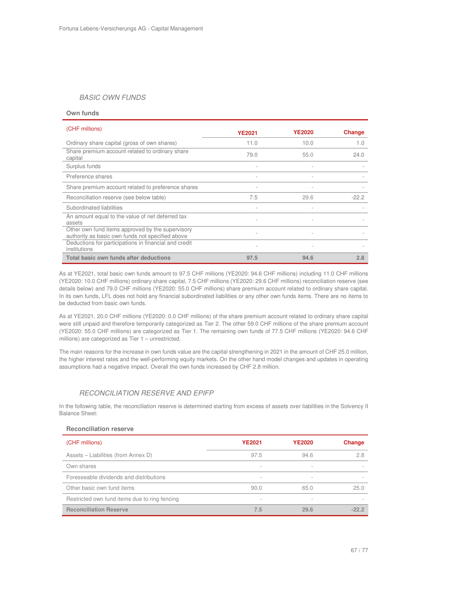## BASIC OWN FUNDS

#### **Own funds**

| (CHF millions)                                                                                       | <b>YE2021</b>  | <b>YE2020</b>            | Change  |
|------------------------------------------------------------------------------------------------------|----------------|--------------------------|---------|
| Ordinary share capital (gross of own shares)                                                         | 11.0           | 10.0                     | 1.0     |
| Share premium account related to ordinary share<br>capital                                           | 79.0           | 55.0                     | 24.0    |
| Surplus funds                                                                                        |                |                          |         |
| Preference shares                                                                                    |                |                          |         |
| Share premium account related to preference shares                                                   |                |                          |         |
| Reconciliation reserve (see below table)                                                             | 7.5            | 29.6                     | $-22.2$ |
| Subordinated liabilities                                                                             |                | $\overline{\phantom{a}}$ |         |
| An amount equal to the value of net deferred tax<br>assets                                           | $\overline{a}$ |                          |         |
| Other own fund items approved by the supervisory<br>authority as basic own funds not specified above |                |                          |         |
| Deductions for participations in financial and credit<br>institutions                                |                | $\overline{\phantom{a}}$ |         |
| Total basic own funds after deductions                                                               | 97.5           | 94.6                     | 2.8     |

As at YE2021, total basic own funds amount to 97.5 CHF millions (YE2020: 94.6 CHF millions) including 11.0 CHF millions (YE2020: 10.0 CHF millions) ordinary share capital, 7.5 CHF millions (YE2020: 29.6 CHF millions) reconciliation reserve (see details below) and 79.0 CHF millions (YE2020: 55.0 CHF millions) share premium account related to ordinary share capital. In its own funds, LFL does not hold any financial subordinated liabilities or any other own funds items. There are no items to be deducted from basic own funds.

As at YE2021, 20.0 CHF millions (YE2020: 0.0 CHF millions) of the share premium account related to ordinary share capital were still unpaid and therefore temporarily categorized as Tier 2. The other 59.0 CHF millions of the share premium account (YE2020: 55.0 CHF millions) are categorized as Tier 1. The remaining own funds of 77.5 CHF millions (YE2020: 94.6 CHF millions) are categorized as Tier 1 – unrestricted.

The main reasons for the increase in own funds value are the capital strengthening in 2021 in the amount of CHF 25.0 million, the higher interest rates and the well-performing equity markets. On the other hand model changes and updates in operating assumptions had a negative impact. Overall the own funds increased by CHF 2.8 million.

## RECONCILIATION RESERVE AND EPIFP

In the following table, the reconciliation reserve is determined starting from excess of assets over liabilities in the Solvency II Balance Sheet:

## **Reconciliation reserve**

| (CHF millions)                                | <b>YE2021</b>            | <b>YE2020</b>            | <b>Change</b> |
|-----------------------------------------------|--------------------------|--------------------------|---------------|
| Assets – Liabilities (from Annex D)           | 97.5                     | 94.6                     | 2.8           |
| Own shares                                    | $\,$                     | $\overline{\phantom{a}}$ |               |
| Foreseeable dividends and distributions       | $\,$                     | $\overline{\phantom{0}}$ |               |
| Other basic own fund items                    | 90.0                     | 65.0                     | 25.0          |
| Restricted own fund items due to ring fencing | $\overline{\phantom{a}}$ | $\overline{\phantom{a}}$ |               |
| <b>Reconciliation Reserve</b>                 | 7.5                      | 29.6                     | $-222$        |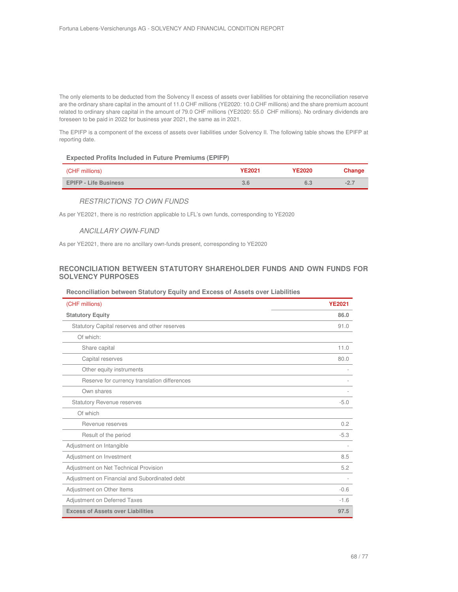The only elements to be deducted from the Solvency II excess of assets over liabilities for obtaining the reconciliation reserve are the ordinary share capital in the amount of 11.0 CHF millions (YE2020: 10.0 CHF millions) and the share premium account related to ordinary share capital in the amount of 79.0 CHF millions (YE2020: 55.0 CHF millions). No ordinary dividends are foreseen to be paid in 2022 for business year 2021, the same as in 2021.

The EPIFP is a component of the excess of assets over liabilities under Solvency II. The following table shows the EPIFP at reporting date.

#### **Expected Profits Included in Future Premiums (EPIFP)**

| (CHF millions)               | YE2021 | <b>YE2020</b> | Change |
|------------------------------|--------|---------------|--------|
| <b>EPIFP - Life Business</b> | 3.6    |               | $-2.$  |

## RESTRICTIONS TO OWN FUNDS

As per YE2021, there is no restriction applicable to LFL's own funds, corresponding to YE2020

## ANCILLARY OWN-FUND

As per YE2021, there are no ancillary own-funds present, corresponding to YE2020

## **RECONCILIATION BETWEEN STATUTORY SHAREHOLDER FUNDS AND OWN FUNDS FOR SOLVENCY PURPOSES**

## **Reconciliation between Statutory Equity and Excess of Assets over Liabilities**

| (CHF millions)                                | <b>YE2021</b> |
|-----------------------------------------------|---------------|
| <b>Statutory Equity</b>                       | 86.0          |
| Statutory Capital reserves and other reserves | 91.0          |
| Of which:                                     |               |
| Share capital                                 | 11.0          |
| Capital reserves                              | 80.0          |
| Other equity instruments                      |               |
| Reserve for currency translation differences  |               |
| Own shares                                    |               |
| <b>Statutory Revenue reserves</b>             | $-5.0$        |
| Of which                                      |               |
| Revenue reserves                              | 0.2           |
| Result of the period                          | $-5.3$        |
| Adjustment on Intangible                      |               |
| Adjustment on Investment                      | 8.5           |
| Adjustment on Net Technical Provision         | 5.2           |
| Adjustment on Financial and Subordinated debt |               |
| Adjustment on Other Items                     | $-0.6$        |
| Adjustment on Deferred Taxes                  | $-1.6$        |
| <b>Excess of Assets over Liabilities</b>      | 97.5          |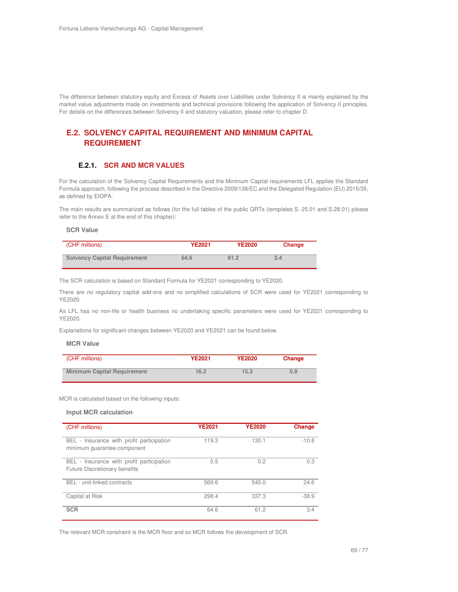The difference between statutory equity and Excess of Assets over Liabilities under Solvency II is mainly explained by the market value adjustments made on investments and technical provisions following the application of Solvency II principles. For details on the differences between Solvency II and statutory valuation, please refer to chapter D.

# **E.2. SOLVENCY CAPITAL REQUIREMENT AND MINIMUM CAPITAL REQUIREMENT**

## **E.2.1. SCR AND MCR VALUES**

For the calculation of the Solvency Capital Requirements and the Minimum Capital requirements LFL applies the Standard Formula approach, following the process described in the Directive 2009/138/EC and the Delegated Regulation (EU) 2015/35, as defined by EIOPA.

The main results are summarized as follows (for the full tables of the public QRTs (templates S. 25.01 and S.28.01) please refer to the Annex E at the end of this chapter):

#### **SCR Value**

| (CHF millions)                      | <b>YE2021</b> | <b>YE2020</b> | Change |
|-------------------------------------|---------------|---------------|--------|
| <b>Solvency Capital Requirement</b> | 64.6          | 61.2          | 3.4    |

The SCR calculation is based on Standard Formula for YE2021 corresponding to YE2020.

There are no regulatory capital add-ons and no simplified calculations of SCR were used for YE2021 corresponding to YE2020.

As LFL has no non-life or health business no undertaking specific parameters were used for YE2021 corresponding to YE2020.

Explanations for significant changes between YE2020 and YE2021 can be found below.

#### **MCR Value**

| (CHF millions)                     | YE2021 | <b>YE2020</b> | Change |
|------------------------------------|--------|---------------|--------|
| <b>Minimum Capital Requirement</b> | 16.2   | 15.3          | 0.9    |

MCR is calculated based on the following inputs:

#### **Input MCR calculation**

| (CHF millions)                                                             | <b>YE2021</b> | <b>YE2020</b> | Change  |
|----------------------------------------------------------------------------|---------------|---------------|---------|
| BEL - Insurance with profit participation<br>minimum quarantee component   | 119.3         | 130.1         | $-10.8$ |
| BEL - Insurance with profit participation<br>Future Discretionary benefits | 0.5           | 0.2           | 0.3     |
| BEL - unit-linked contracts                                                | 569.6         | 545.0         | 24.6    |
| Capital at Risk                                                            | 298.4         | 337.3         | $-38.9$ |
| <b>SCR</b>                                                                 | 64.6          | 61.2          | 3.4     |

The relevant MCR constraint is the MCR floor and so MCR follows the development of SCR.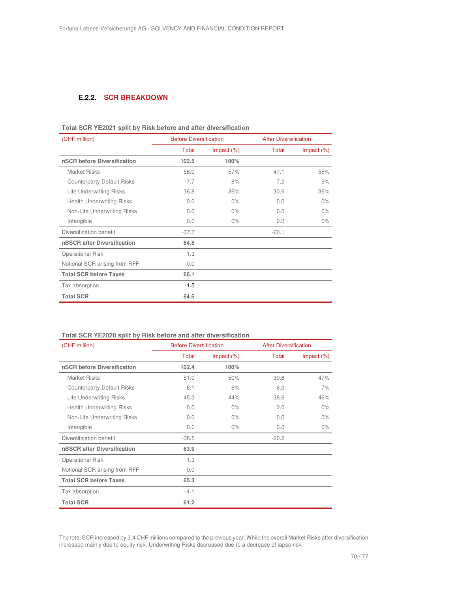## **E.2.2. SCR BREAKDOWN**

| (CHF million)                     | <b>Before Diversification</b> |               | <b>After Diversification</b> |               |
|-----------------------------------|-------------------------------|---------------|------------------------------|---------------|
|                                   | Total                         | Impact $(\%)$ | Total                        | Impact $(\%)$ |
| nSCR before Diversification       | 102.5                         | 100%          |                              |               |
| <b>Market Risks</b>               | 58.0                          | 57%           | 47.1                         | 55%           |
| <b>Counterparty Default Risks</b> | 7.7                           | 8%            | 7.2                          | 9%            |
| <b>Life Underwriting Risks</b>    | 36.8                          | 36%           | 30.6                         | 36%           |
| <b>Health Underwriting Risks</b>  | 0.0                           | $0\%$         | 0.0                          | $0\%$         |
| Non-Life Underwriting Risks       | 0.0                           | $0\%$         | 0.0                          | $0\%$         |
| Intangible                        | 0.0                           | $0\%$         | 0.0                          | $0\%$         |
| Diversification benefit           | $-37.7$                       |               | $-20.1$                      |               |
| nBSCR after Diversification       | 64.8                          |               |                              |               |
| <b>Operational Risk</b>           | 1.3                           |               |                              |               |
| Notional SCR arising from RFF     | 0.0                           |               |                              |               |
| <b>Total SCR before Taxes</b>     | 66.1                          |               |                              |               |
| Tax absorption                    | $-1.5$                        |               |                              |               |
| <b>Total SCR</b>                  | 64.6                          |               |                              |               |

# **Total SCR YE2021 split by Risk before and after diversification**

## **Total SCR YE2020 split by Risk before and after diversification**

| (CHF million)                     | <b>Before Diversification</b> |               | <b>After Diversification</b> |               |
|-----------------------------------|-------------------------------|---------------|------------------------------|---------------|
|                                   | Total                         | Impact $(\%)$ | Total                        | Impact $(\%)$ |
| nSCR before Diversification       | 102.4                         | 100%          |                              |               |
| Market Risks                      | 51.0                          | 50%           | 39.6                         | 47%           |
| <b>Counterparty Default Risks</b> | 6.1                           | 6%            | 6.0                          | 7%            |
| Life Underwriting Risks           | 45.3                          | 44%           | 38.6                         | 46%           |
| <b>Health Underwriting Risks</b>  | 0.0                           | $0\%$         | 0.0                          | $0\%$         |
| Non-Life Underwriting Risks       | 0.0                           | $0\%$         | 0.0                          | $0\%$         |
| Intangible                        | 0.0                           | $0\%$         | 0.0                          | $0\%$         |
| Diversification benefit           | $-38.5$                       |               | $-20.2$                      |               |
| nBSCR after Diversification       | 63.9                          |               |                              |               |
| <b>Operational Risk</b>           | 1.3                           |               |                              |               |
| Notional SCR arising from RFF     | 0.0                           |               |                              |               |
| <b>Total SCR before Taxes</b>     | 65.3                          |               |                              |               |
| Tax absorption                    | $-4.1$                        |               |                              |               |
| <b>Total SCR</b>                  | 61.2                          |               |                              |               |

The total SCR increased by 3.4 CHF millions compared to the previous year. While the overall Market Risks after diversification increased mainly due to equity risk, Underwriting Risks decreased due to a decrease of lapse risk.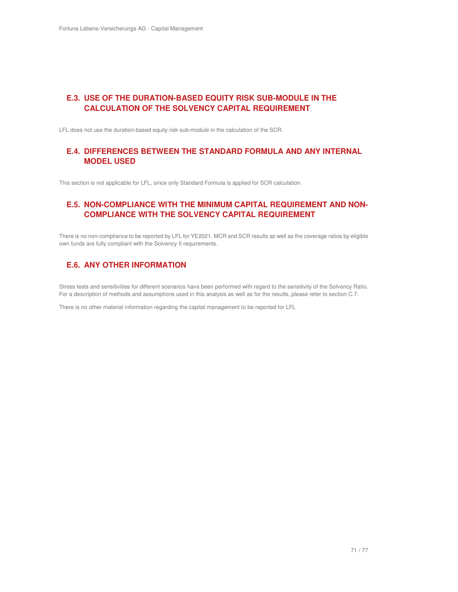# **E.3. USE OF THE DURATION-BASED EQUITY RISK SUB-MODULE IN THE CALCULATION OF THE SOLVENCY CAPITAL REQUIREMENT**

LFL does not use the duration-based equity risk sub-module in the calculation of the SCR.

# **E.4. DIFFERENCES BETWEEN THE STANDARD FORMULA AND ANY INTERNAL MODEL USED**

This section is not applicable for LFL, since only Standard Formula is applied for SCR calculation.

# **E.5. NON-COMPLIANCE WITH THE MINIMUM CAPITAL REQUIREMENT AND NON-COMPLIANCE WITH THE SOLVENCY CAPITAL REQUIREMENT**

There is no non-compliance to be reported by LFL for YE2021. MCR and SCR results as well as the coverage ratios by eligible own funds are fully compliant with the Solvency II requirements.

# **E.6. ANY OTHER INFORMATION**

Stress tests and sensitivities for different scenarios have been performed with regard to the sensitivity of the Solvency Ratio. For a description of methods and assumptions used in this analysis as well as for the results, please refer to section C.7.

There is no other material information regarding the capital management to be reported for LFL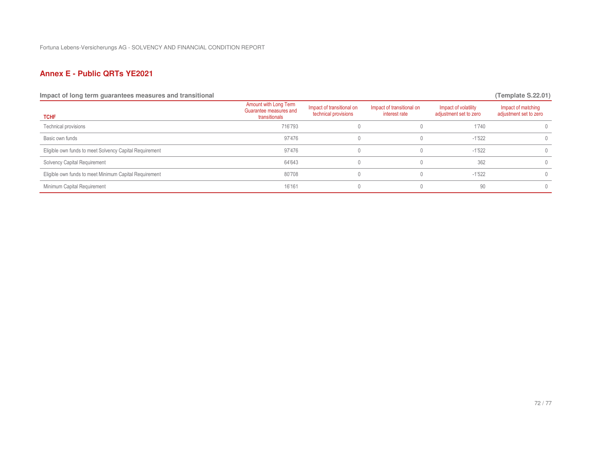# **Annex E - Public QRTs YE2021**

**Impact of long term guarantees measures and transitional (Template S.22.01)** (Template S.22.01)

| <b>TCHF</b>                                             | Amount with Long Term<br>Guarantee measures and<br>transitionals | Impact of transitional on<br>technical provisions | Impact of transitional on<br>interest rate | Impact of volatility<br>adjustment set to zero | Impact of matching<br>adjustment set to zero |
|---------------------------------------------------------|------------------------------------------------------------------|---------------------------------------------------|--------------------------------------------|------------------------------------------------|----------------------------------------------|
| Technical provisions                                    | 716'793                                                          |                                                   |                                            | 1'740                                          | 0.                                           |
| Basic own funds                                         | 97'476                                                           |                                                   |                                            | $-1'522$                                       | $\Omega$                                     |
| Eligible own funds to meet Solvency Capital Requirement | 97'476                                                           |                                                   |                                            | $-1'522$                                       | $\Omega$                                     |
| Solvency Capital Requirement                            | 64'643                                                           |                                                   |                                            | 362                                            | $\Omega$                                     |
| Eligible own funds to meet Minimum Capital Requirement  | 80'708                                                           |                                                   |                                            | $-1'522$                                       | 0                                            |
| Minimum Capital Requirement                             | 16'161                                                           |                                                   |                                            | 90                                             | $\cap$                                       |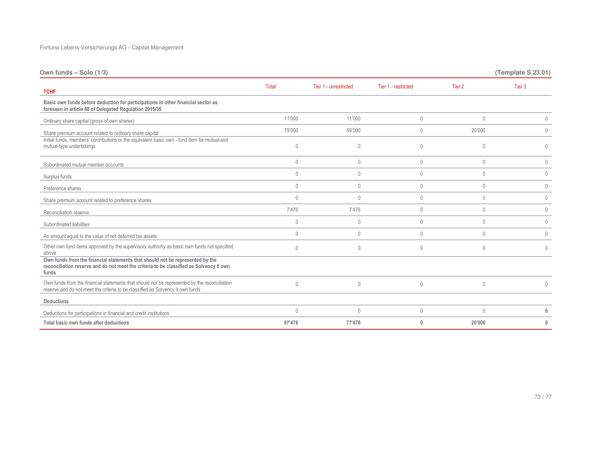| Own funds - Solo (1/3)                                                                                                                                                            |                |                       |                     |                   | (Template S.23.01) |
|-----------------------------------------------------------------------------------------------------------------------------------------------------------------------------------|----------------|-----------------------|---------------------|-------------------|--------------------|
| <b>TCHF</b>                                                                                                                                                                       | Total          | Tier 1 - unrestricted | Tier 1 - restricted | Tier <sub>2</sub> | Tier 3             |
| Basic own funds before deduction for participations in other financial sector as<br>foreseen in article 68 of Delegated Regulation 2015/35                                        |                |                       |                     |                   |                    |
| Ordinary share capital (gross of own shares)                                                                                                                                      | 11'000         | 11'000                | $\mathbf 0$         | $\mathbf{0}$      | 0                  |
| Share premium account related to ordinary share capital                                                                                                                           | 79'000         | 59'000                | $\mathbf{0}$        | 20'000            | $\mathbf 0$        |
| Initial funds, members' contributions or the equivalent basic own - fund item for mutual and<br>mutual-type undertakings                                                          | $\Omega$       | $\theta$              | $\mathbf{0}$        | $\Omega$          | 0                  |
| Subordinated mutual member accounts                                                                                                                                               | $\mathbf{0}$   | $\mathbf{0}$          | $\mathbf{0}$        | $\mathbf{0}$      | $\mathbf 0$        |
| Surplus funds                                                                                                                                                                     | $\mathbf{0}$   | $\mathbf{0}$          | $\mathbf 0$         | $\mathbf{0}$      | $\mathbf 0$        |
| Preference shares                                                                                                                                                                 | $\mathbf{0}$   | $\mathbf{0}$          | $\mathbf{0}$        | $\mathbf{0}$      | $\mathbf 0$        |
| Share premium account related to preference shares                                                                                                                                | $\mathbf{0}$   | $\mathbf{0}$          | $\mathbf{0}$        | $\mathbf{0}$      | $\mathbf 0$        |
| Reconciliation reserve                                                                                                                                                            | 7'476          | 7'476                 | $\mathbf 0$         | $\mathbf{0}$      | $\mathbf 0$        |
| Subordinated liabilities                                                                                                                                                          | $\mathbf{0}$   | $\mathbf{0}$          | $\mathbf{0}$        | $\mathbf{0}$      | $\mathbf 0$        |
| An amount equal to the value of net deferred tax assets                                                                                                                           | $\mathbf{0}$   | $\mathbf{0}$          | $\mathbf{0}$        | $\mathbf{0}$      | $\mathbf{0}$       |
| Other own fund items approved by the supervisory authority as basic own funds not specified<br>above                                                                              | $\theta$       | $\mathbf{0}$          | $\mathbf{0}$        | $\mathbf{0}$      | $\mathbf{0}$       |
| Own funds from the financial statements that should not be represented by the<br>reconciliation reserve and do not meet the criteria to be classified as Solvency II own<br>funds |                |                       |                     |                   |                    |
| Own funds from the financial statements that should not be represented by the reconciliation<br>reserve and do not meet the criteria to be classified as Solvency II own funds    | $\mathbf{0}$   | $\mathbf{0}$          | $\mathbf{0}$        | $\mathbf{0}$      | 0                  |
| <b>Deductions</b>                                                                                                                                                                 |                |                       |                     |                   |                    |
| Deductions for participations in financial and credit institutions                                                                                                                | $\overline{0}$ | $\Omega$              | $\mathbf{0}$        | $\mathbf{0}$      | $\Omega$           |
| Total basic own funds after deductions                                                                                                                                            | 97'476         | 77'476                | $\mathbf{0}$        | 20'000            | $\mathbf{0}$       |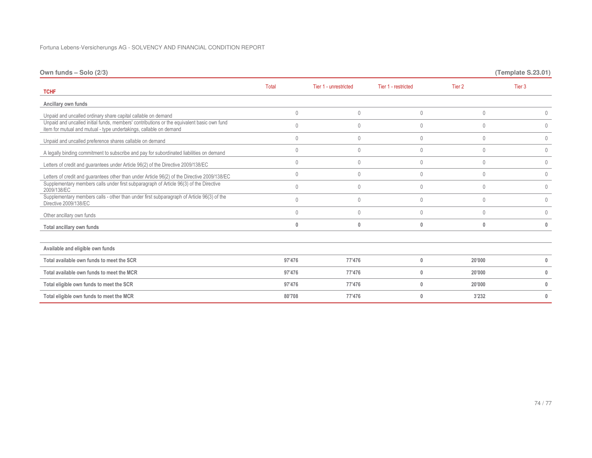| Own funds - Solo (2/3)                                                                                                                                           |              |                       |                     |                   | (Template S.23.01) |
|------------------------------------------------------------------------------------------------------------------------------------------------------------------|--------------|-----------------------|---------------------|-------------------|--------------------|
| <b>TCHF</b>                                                                                                                                                      | <b>Total</b> | Tier 1 - unrestricted | Tier 1 - restricted | Tier <sub>2</sub> | Tier 3             |
| Ancillary own funds                                                                                                                                              |              |                       |                     |                   |                    |
| Unpaid and uncalled ordinary share capital callable on demand                                                                                                    | $\mathbf 0$  | $\mathbf{0}$          | $\mathbf 0$         | $\mathbf{0}$      | 0                  |
| Unpaid and uncalled initial funds, members' contributions or the equivalent basic own fund<br>item for mutual and mutual - type undertakings, callable on demand | $\mathbf 0$  | $\theta$              | $\mathbf{0}$        | $\mathbf{0}$      | 0                  |
| Unpaid and uncalled preference shares callable on demand                                                                                                         | $\mathbf 0$  | $\theta$              | $\mathbf{0}$        | $\mathbf{0}$      | 0                  |
| A legally binding commitment to subscribe and pay for subordinated liabilities on demand                                                                         | $\mathbf{0}$ | $\theta$              | $\mathbf{0}$        | $\mathbf{0}$      | $\mathbf{0}$       |
| Letters of credit and guarantees under Article 96(2) of the Directive 2009/138/EC                                                                                | $\mathbf 0$  | $\theta$              | $\mathbf 0$         | $\mathbf{0}$      | $\mathbf 0$        |
| Letters of credit and guarantees other than under Article 96(2) of the Directive 2009/138/EC                                                                     | $\mathbf 0$  | $\theta$              | $\mathbf 0$         | $\mathbf{0}$      | $\mathbf 0$        |
| Supplementary members calls under first subparagraph of Article 96(3) of the Directive<br>2009/138/EC                                                            | $\mathbf 0$  | $\theta$              | $\mathbf 0$         | $\mathbf{0}$      | $\mathbf{0}$       |
| Supplementary members calls - other than under first subparagraph of Article 96(3) of the<br>Directive 2009/138/EC                                               | $\mathbf{0}$ | $\theta$              | $\mathbf{0}$        | $\mathbf{0}$      | 0                  |
| Other ancillary own funds                                                                                                                                        | $\mathbf{0}$ | $\theta$              | $\mathbf{0}$        | $\mathbf{0}$      | $\mathbf{0}$       |
| Total ancillary own funds                                                                                                                                        | $\bf{0}$     | $\mathbf{0}$          | $\bf{0}$            | $\mathbf{0}$      | $\bf{0}$           |
|                                                                                                                                                                  |              |                       |                     |                   |                    |
| Available and eligible own funds                                                                                                                                 |              |                       |                     |                   |                    |
| Total available own funds to meet the SCR                                                                                                                        | 97'476       | 77'476                | $\mathbf{0}$        | 20'000            |                    |
| Total available own funds to meet the MCR                                                                                                                        | 97'476       | 77'476                | 0                   | 20'000            | 0                  |
| Total eligible own funds to meet the SCR                                                                                                                         | 97'476       | 77'476                | $\mathbf{0}$        | 20'000            | $\mathbf{0}$       |
| Total eligible own funds to meet the MCR                                                                                                                         | 80'708       | 77'476                | $\mathbf{0}$        | 3'232             | $\mathbf{0}$       |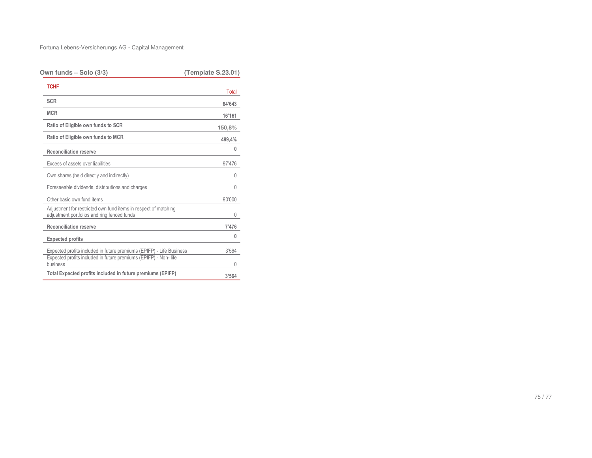| Own funds – Solo (3/3)                                                                                                                              | (Template S.23.01) |
|-----------------------------------------------------------------------------------------------------------------------------------------------------|--------------------|
| <b>TCHF</b>                                                                                                                                         | Total              |
| <b>SCR</b>                                                                                                                                          | 64'643             |
| <b>MCR</b>                                                                                                                                          | 16'161             |
| Ratio of Eligible own funds to SCR                                                                                                                  | 150,8%             |
| Ratio of Eligible own funds to MCR                                                                                                                  | 499,4%             |
| <b>Reconciliation reserve</b>                                                                                                                       | 0                  |
| Excess of assets over liabilities                                                                                                                   | 97'476             |
| Own shares (held directly and indirectly)                                                                                                           | 0                  |
| Foreseeable dividends, distributions and charges                                                                                                    | 0                  |
| Other basic own fund items                                                                                                                          | 90'000             |
| Adjustment for restricted own fund items in respect of matching<br>adjustment portfolios and ring fenced funds                                      | 0                  |
| <b>Reconciliation reserve</b>                                                                                                                       | 7'476              |
| <b>Expected profits</b>                                                                                                                             | 0                  |
| Expected profits included in future premiums (EPIFP) - Life Business<br>Expected profits included in future premiums (EPIFP) - Non-life<br>business | 3'564<br>U         |
| Total Expected profits included in future premiums (EPIFP)                                                                                          | 3'564              |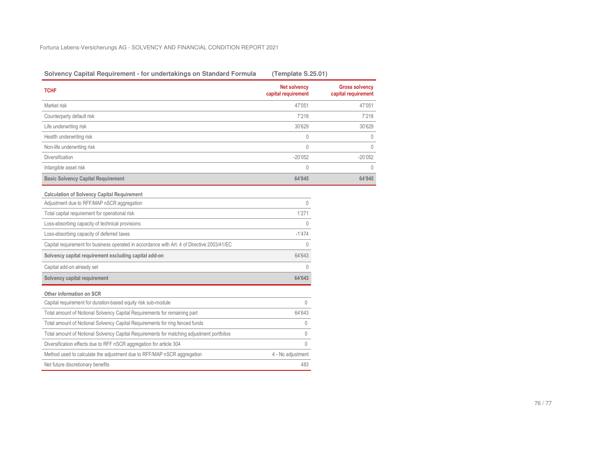| Solvency Capital Requirement - for undertakings on Standard Formula                         | (Template S.25.01)                         |                                              |
|---------------------------------------------------------------------------------------------|--------------------------------------------|----------------------------------------------|
| <b>TCHF</b>                                                                                 | <b>Net solvency</b><br>capital requirement | <b>Gross solvency</b><br>capital requirement |
| Market risk                                                                                 | 47'051                                     | 47'051                                       |
| Counterparty default risk                                                                   | 7'218                                      | 7'218                                        |
| Life underwriting risk                                                                      | 30'629                                     | 30'629                                       |
| Health underwriting risk                                                                    | $\mathbf 0$                                | $\mathbf{0}$                                 |
| Non-life underwriting risk                                                                  | $\overline{0}$                             | $\theta$                                     |
| Diversification                                                                             | $-20'052$                                  | $-20'052$                                    |
| Intangible asset risk                                                                       | $\mathbf 0$                                | 0                                            |
| <b>Basic Solvency Capital Requirement</b>                                                   | 64'845                                     | 64'845                                       |
| <b>Calculation of Solvency Capital Requirement</b>                                          |                                            |                                              |
| Adjustment due to RFF/MAP nSCR aggregation                                                  | $\Omega$                                   |                                              |
| Total capital requirement for operational risk                                              | 1'271                                      |                                              |
| Loss-absorbing capacity of technical provisions                                             | $\Omega$                                   |                                              |
| Loss-absorbing capacity of deferred taxes                                                   | $-1'474$                                   |                                              |
| Capital requirement for business operated in accordance with Art. 4 of Directive 2003/41/EC | $\theta$                                   |                                              |
| Solvency capital requirement excluding capital add-on                                       | 64'643                                     |                                              |
| Capital add-on already set                                                                  | 0                                          |                                              |
| Solvency capital requirement                                                                | 64'643                                     |                                              |
| Other information on SCR                                                                    |                                            |                                              |
| Capital requirement for duration-based equity risk sub-module                               | 0                                          |                                              |
| Total amount of Notional Solvency Capital Requirements for remaining part                   | 64'643                                     |                                              |
| Total amount of Notional Solvency Capital Requirements for ring fenced funds                | 0                                          |                                              |
| Total amount of Notional Solvency Capital Requirements for matching adjustment portfolios   | 0                                          |                                              |
| Diversification effects due to RFF nSCR aggregation for article 304                         | $\Omega$                                   |                                              |
| Method used to calculate the adjustment due to RFF/MAP nSCR aggregation                     | 4 - No adjustment                          |                                              |
| Net future discretionary benefits                                                           | 483                                        |                                              |